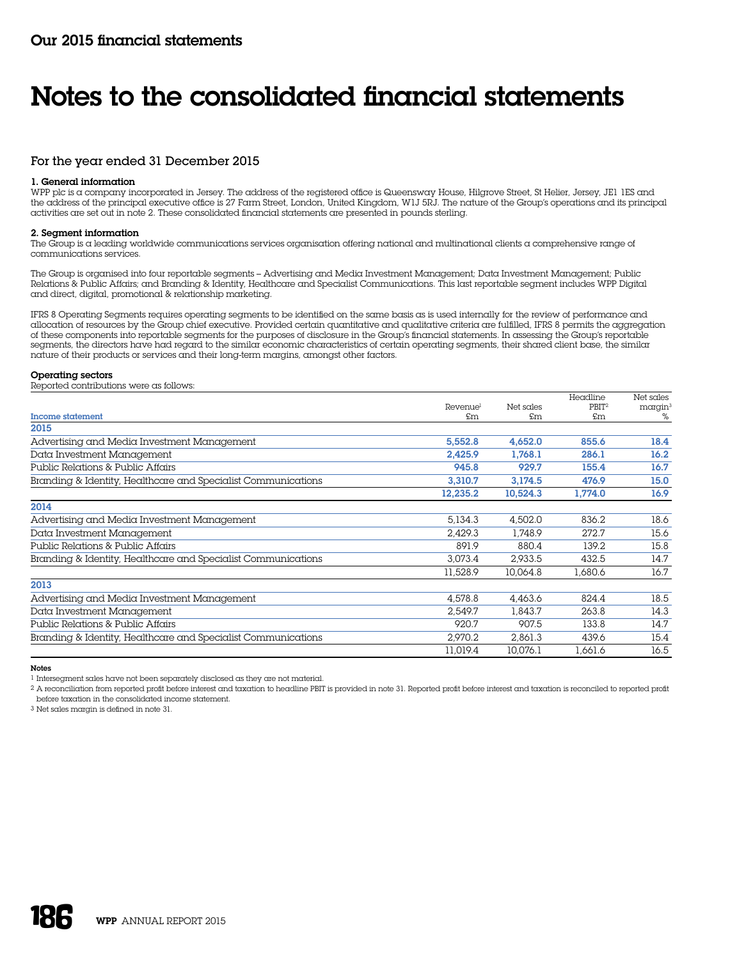# For the year ended 31 December 2015

# 1. General information

WPP plc is a company incorporated in Jersey. The address of the registered office is Queensway House, Hilgrove Street, St Helier, Jersey, JE1 1ES and the address of the principal executive office is 27 Farm Street, London, United Kingdom, W1J 5RJ. The nature of the Group's operations and its principal activities are set out in note 2. These consolidated financial statements are presented in pounds sterling.

# 2. Segment information

The Group is a leading worldwide communications services organisation offering national and multinational clients a comprehensive range of communications services.

The Group is organised into four reportable segments – Advertising and Media Investment Management; Data Investment Management; Public Relations & Public Affairs; and Branding & Identity, Healthcare and Specialist Communications. This last reportable segment includes WPP Digital and direct, digital, promotional & relationship marketing.

IFRS 8 Operating Segments requires operating segments to be identified on the same basis as is used internally for the review of performance and allocation of resources by the Group chief executive. Provided certain quantitative and qualitative criteria are fulfilled, IFRS 8 permits the aggregation of these components into reportable segments for the purposes of disclosure in the Group's financial statements. In assessing the Group's reportable segments, the directors have had regard to the similar economic characteristics of certain operating segments, their shared client base, the similar nature of their products or services and their long-term margins, amongst other factors.

# Operating sectors

Reported contributions were as follows:

|                                                               |                      |           | Headline          | Net sales     |
|---------------------------------------------------------------|----------------------|-----------|-------------------|---------------|
|                                                               | Revenue <sup>1</sup> | Net sales | PBIT <sup>2</sup> | $m$ argin $3$ |
| <b>Income statement</b>                                       | £m                   | £m        | £m                | %             |
| 2015                                                          |                      |           |                   |               |
| Advertising and Media Investment Management                   | 5,552.8              | 4,652.0   | 855.6             | 18.4          |
| Data Investment Management                                    | 2.425.9              | 1.768.1   | 286.1             | 16.2          |
| Public Relations & Public Affairs                             | 945.8                | 929.7     | 155.4             | 16.7          |
| Branding & Identity, Healthcare and Specialist Communications | 3.310.7              | 3.174.5   | 476.9             | 15.0          |
|                                                               | 12,235.2             | 10,524.3  | 1.774.0           | 16.9          |
| 2014                                                          |                      |           |                   |               |
| Advertising and Media Investment Management                   | 5,134.3              | 4,502.0   | 836.2             | 18.6          |
| Data Investment Management                                    | 2,429.3              | 1.748.9   | 272.7             | 15.6          |
| Public Relations & Public Affairs                             | 891.9                | 880.4     | 139.2             | 15.8          |
| Branding & Identity, Healthcare and Specialist Communications | 3.073.4              | 2.933.5   | 432.5             | 14.7          |
|                                                               | 11,528.9             | 10.064.8  | 1.680.6           | 16.7          |
| 2013                                                          |                      |           |                   |               |
| Advertising and Media Investment Management                   | 4.578.8              | 4.463.6   | 824.4             | 18.5          |
| Data Investment Management                                    | 2.549.7              | 1.843.7   | 263.8             | 14.3          |
| Public Relations & Public Affairs                             | 920.7                | 907.5     | 133.8             | 14.7          |
| Branding & Identity, Healthcare and Specialist Communications | 2.970.2              | 2,861.3   | 439.6             | 15.4          |
|                                                               | 11.019.4             | 10.076.1  | 1.661.6           | 16.5          |

Notes

1 Intersegment sales have not been separately disclosed as they are not material.

2 A reconciliation from reported profit before interest and taxation to headline PBIT is provided in note 31. Reported profit before interest and taxation is reconciled to reported profit before taxation in the consolidated income statement.

3 Net sales margin is defined in note 31.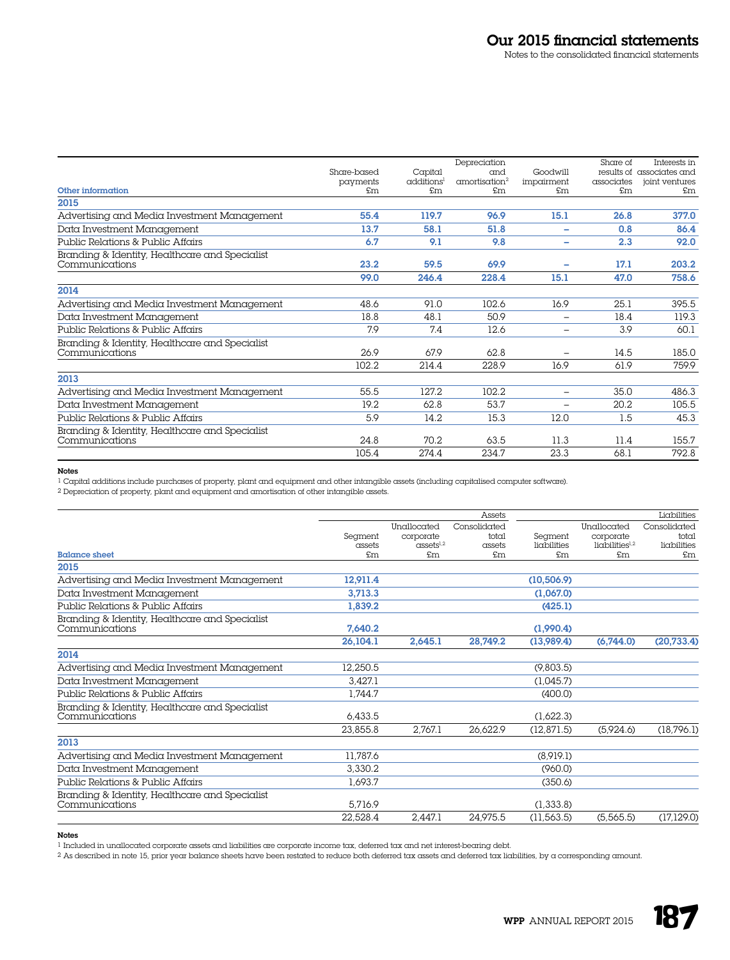|                                                |             |                        | Depreciation              |                          | Share of   | Interests in              |
|------------------------------------------------|-------------|------------------------|---------------------------|--------------------------|------------|---------------------------|
|                                                | Share-based | Capital                | and                       | Goodwill                 |            | results of associates and |
|                                                | payments    | additions <sup>1</sup> | amortisation <sup>2</sup> | impairment               | associates | joint ventures            |
| Other information                              | £m          | £m                     | £m                        | £m                       | £m         | £m                        |
| 2015                                           |             |                        |                           |                          |            |                           |
| Advertising and Media Investment Management    | 55.4        | 119.7                  | 96.9                      | 15.1                     | 26.8       | 377.0                     |
| Data Investment Management                     | 13.7        | 58.1                   | 51.8                      | -                        | 0.8        | 86.4                      |
| Public Relations & Public Affairs              | 6.7         | 9.1                    | 9.8                       | ۰                        | 2.3        | 92.0                      |
| Branding & Identity, Healthcare and Specialist |             |                        |                           |                          |            |                           |
| Communications                                 | 23.2        | 59.5                   | 69.9                      | ۰                        | 17.1       | 203.2                     |
|                                                | 99.0        | 246.4                  | 228.4                     | 15.1                     | 47.0       | 758.6                     |
| 2014                                           |             |                        |                           |                          |            |                           |
| Advertising and Media Investment Management    | 48.6        | 91.0                   | 102.6                     | 16.9                     | 25.1       | 395.5                     |
| Data Investment Management                     | 18.8        | 48.1                   | 50.9                      | $\overline{\phantom{0}}$ | 18.4       | 119.3                     |
| Public Relations & Public Affairs              | 7.9         | 7.4                    | 12.6                      | $\overline{\phantom{0}}$ | 3.9        | 60.1                      |
| Branding & Identity, Healthcare and Specialist |             |                        |                           |                          |            |                           |
| Communications                                 | 26.9        | 67.9                   | 62.8                      | $\overline{\phantom{0}}$ | 14.5       | 185.0                     |
|                                                | 102.2       | 214.4                  | 228.9                     | 16.9                     | 61.9       | 759.9                     |
| 2013                                           |             |                        |                           |                          |            |                           |
| Advertising and Media Investment Management    | 55.5        | 127.2                  | 102.2                     | $\overline{\phantom{0}}$ | 35.0       | 486.3                     |
| Data Investment Management                     | 19.2        | 62.8                   | 53.7                      | $\overline{\phantom{0}}$ | 20.2       | 105.5                     |
| Public Relations & Public Affairs              | 5.9         | 14.2                   | 15.3                      | 12.0                     | 1.5        | 45.3                      |
| Branding & Identity, Healthcare and Specialist |             |                        |                           |                          |            |                           |
| Communications                                 | 24.8        | 70.2                   | 63.5                      | 11.3                     | 11.4       | 155.7                     |
|                                                | 105.4       | 274.4                  | 234.7                     | 23.3                     | 68.1       | 792.8                     |

# Notes

1 Capital additions include purchases of property, plant and equipment and other intangible assets (including capitalised computer software).

2 Depreciation of property, plant and equipment and amortisation of other intangible assets.

|                                                |                 |                                                 | Assets       |                              |                                         | Liabilities          |
|------------------------------------------------|-----------------|-------------------------------------------------|--------------|------------------------------|-----------------------------------------|----------------------|
|                                                |                 | Unallocated                                     | Consolidated |                              | Unallocated                             | Consolidated         |
|                                                | Segment         | corporate                                       | total        | Segment                      | corporate                               | total                |
| <b>Balance sheet</b>                           | assets<br>\$m\$ | $\alpha$ ssets <sup>1,2</sup><br>$\mathfrak{m}$ | assets<br>£m | liabilities<br>$\mathsf{fm}$ | $l$ ichilities $l1,2$<br>$\mathfrak{m}$ | liabilities<br>\$m\$ |
|                                                |                 |                                                 |              |                              |                                         |                      |
| 2015                                           |                 |                                                 |              |                              |                                         |                      |
| Advertising and Media Investment Management    | 12,911.4        |                                                 |              | (10, 506.9)                  |                                         |                      |
| Data Investment Management                     | 3,713.3         |                                                 |              | (1.067.0)                    |                                         |                      |
| Public Relations & Public Affairs              | 1,839.2         |                                                 |              | (425.1)                      |                                         |                      |
| Branding & Identity, Healthcare and Specialist |                 |                                                 |              |                              |                                         |                      |
| Communications                                 | 7,640.2         |                                                 |              | (1,990.4)                    |                                         |                      |
|                                                | 26,104.1        | 2,645.1                                         | 28,749.2     | (13,989.4)                   | (6,744.0)                               | (20, 733.4)          |
| 2014                                           |                 |                                                 |              |                              |                                         |                      |
| Advertising and Media Investment Management    | 12.250.5        |                                                 |              | (9,803.5)                    |                                         |                      |
| Data Investment Management                     | 3.427.1         |                                                 |              | (1,045.7)                    |                                         |                      |
| Public Relations & Public Affairs              | 1.744.7         |                                                 |              | (400.0)                      |                                         |                      |
| Branding & Identity, Healthcare and Specialist |                 |                                                 |              |                              |                                         |                      |
| Communications                                 | 6,433.5         |                                                 |              | (1,622.3)                    |                                         |                      |
|                                                | 23.855.8        | 2.767.1                                         | 26.622.9     | (12, 871.5)                  | (5.924.6)                               | (18,796.1)           |
| 2013                                           |                 |                                                 |              |                              |                                         |                      |
| Advertising and Media Investment Management    | 11.787.6        |                                                 |              | (8,919.1)                    |                                         |                      |
| Data Investment Management                     | 3,330.2         |                                                 |              | (960.0)                      |                                         |                      |
| Public Relations & Public Affairs              | 1,693.7         |                                                 |              | (350.6)                      |                                         |                      |
| Branding & Identity, Healthcare and Specialist |                 |                                                 |              |                              |                                         |                      |
| Communications                                 | 5,716.9         |                                                 |              | (1,333.8)                    |                                         |                      |
|                                                | 22.528.4        | 2.447.1                                         | 24.975.5     | (11, 563.5)                  | (5.565.5)                               | (17, 129.0)          |

Notes

1 Included in unallocated corporate assets and liabilities are corporate income tax, deferred tax and net interest-bearing debt.

 $^2$  As described in note 15, prior year balance sheets have been restated to reduce both deferred tax assets and deferred tax liabilities, by a corresponding amount.

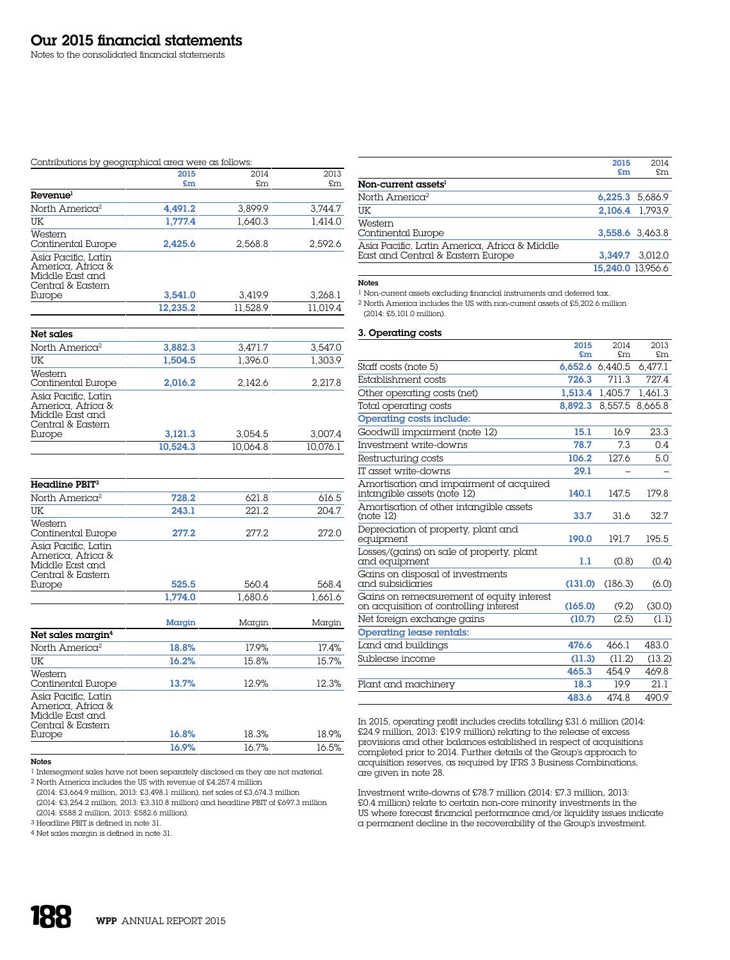# Contributions by geographical area were as follows:

|                                                                                  | 2015     | 2014     | 2013     |
|----------------------------------------------------------------------------------|----------|----------|----------|
|                                                                                  | £m       | £m       | £m       |
| Revenue <sup>1</sup>                                                             |          |          |          |
| North America <sup>2</sup>                                                       | 4.491.2  | 3.899.9  | 3.744.7  |
| UK                                                                               | 1.777.4  | 1,640.3  | 1.414.0  |
| Western<br>Continental Europe                                                    | 2,425.6  | 2.568.8  | 2.592.6  |
| Asia Pacific, Latin<br>America, Africa &<br>Middle East and<br>Central & Eastern |          |          |          |
| Europe                                                                           | 3.541.0  | 3.419.9  | 3.268.1  |
|                                                                                  | 12.235.2 | 11,528.9 | 11.019.4 |
| Net sales                                                                        |          |          |          |
|                                                                                  |          |          |          |

| North America <sup>2</sup>                                                                 | 3,882.3  | 3.471.7  | 3.547.0  |
|--------------------------------------------------------------------------------------------|----------|----------|----------|
| UK                                                                                         | 1.504.5  | 1.396.0  | 1.303.9  |
| Western<br>Continental Europe                                                              | 2.016.2  | 2.142.6  | 2.217.8  |
| Asia Pacific, Latin<br>America, Africa &<br>Middle East and<br>Central & Eastern<br>Europe | 3,121.3  | 3.054.5  | 3.007.4  |
|                                                                                            | 10.524.3 | 10.064.8 | 10.076.1 |

| $Headline$ PBIT $3$                                                              |         |         |         |
|----------------------------------------------------------------------------------|---------|---------|---------|
| North America <sup>2</sup>                                                       | 728.2   | 621.8   | 616.5   |
| UK                                                                               | 243.1   | 221.2   | 204.7   |
| Western<br>Continental Europe                                                    | 277.2   | 277.2   | 272.0   |
| Asia Pacific, Latin<br>America, Africa &<br>Middle East and<br>Central & Eastern |         |         |         |
| Europe                                                                           | 525.5   | 560.4   | 568.4   |
|                                                                                  | 1,774.0 | 1.680.6 | 1.661.6 |
|                                                                                  |         |         |         |
|                                                                                  | Margin  | Margin  | Margin  |
| Net sales margin <sup>4</sup>                                                    |         |         |         |
| North America <sup>2</sup>                                                       | 18.8%   | 17.9%   | 17.4%   |
| UK                                                                               | 16.2%   | 15.8%   | 15.7%   |
| Western<br>Continental Europe                                                    | 13.7%   | 12.9%   | 12.3%   |
| Asia Pacific, Latin<br>America, Africa &<br>Middle East and<br>Central & Eastern |         |         |         |
| Europe                                                                           | 16.8%   | 18.3%   | 18.9%   |
|                                                                                  | 16.9%   | 16.7%   | 16.5%   |

# Notes

1 Intersegment sales have not been separately disclosed as they are not material. 2 North America includes the US with revenue of £4,257.4 million

(2014: £3,664.9 million, 2013: £3,498.1 million), net sales of £3,674.3 million

(2014: £3,254.2 million, 2013: £3,310.8 million) and headline PBIT of £697.3 million (2014: £588.2 million, 2013: £582.6 million). 3 Headline PBIT is defined in note 31.

4 Net sales margin is defined in note 31.

2015 £m 2014 £m Non-current assets<sup>1</sup> North America<sup>2</sup> 6,225.3 5,686.9 UK 2,106.4 1,793.9 Western Continental Europe 3,558.6 3,463.8 Asia Pacific, Latin America, Africa & Middle East and Central & Eastern Europe 3,349.7 3,012.0 15,240.0 13,956.6

# Notes

 $^{\rm l}$  Non-current assets excluding financial instruments and deferred tax.

2 North America includes the US with non-current assets of £5,202.6 million (2014: £5,101.0 million).

# 3. Operating costs

|                                                                                     | 2015    | 2014            | 2013    |
|-------------------------------------------------------------------------------------|---------|-----------------|---------|
|                                                                                     | £m      | £m              | \$m\$   |
| Staff costs (note 5)                                                                |         | 6,652.6 6,440.5 | 6,477.1 |
| Establishment costs                                                                 | 726.3   | 711.3           | 7274    |
| Other operating costs (net)                                                         | 1.513.4 | 1.405.7         | 1.461.3 |
| Total operating costs                                                               | 8.892.3 | 8,557.5         | 8,665.8 |
| <b>Operating costs include:</b>                                                     |         |                 |         |
| Goodwill impairment (note 12)                                                       | 15.1    | 169             | 2.3.3   |
| Investment write-downs                                                              | 78.7    | 7.3             | 0.4     |
| Restructuring costs                                                                 | 106.2   | 1276            | 5.0     |
| IT asset write-downs                                                                | 29.1    |                 |         |
| Amortisation and impairment of acquired<br>intangible assets (note 12)              | 140.1   | 147.5           | 179.8   |
| Amortisation of other intangible assets<br>(note 12)                                | 33.7    | 31.6            | 32.7    |
| Depreciation of property, plant and<br>equipment                                    | 190.0   | 1917            | 195.5   |
| Losses/(gains) on sale of property, plant<br>and equipment                          | 1.1     | (0.8)           | (0.4)   |
| Gains on disposal of investments<br>and subsidiaries                                | (131.0) | (186.3)         | (6.0)   |
| Gains on remeasurement of equity interest<br>on acquisition of controlling inferest | (165.0) | (9.2)           | (30.0)  |
| Net foreign exchange gains                                                          | (10.7)  | (2.5)           | (1.1)   |
| <b>Operating lease rentals:</b>                                                     |         |                 |         |
| Land and buildings                                                                  | 476.6   | 4661            | 483.0   |
| Sublease income                                                                     | (11.3)  | (11.2)          | (13.2)  |
|                                                                                     | 465.3   | 454.9           | 469.8   |
| Plant and machinery                                                                 | 18.3    | 199             | 21.1    |
|                                                                                     | 483.6   | 474.8           | 490.9   |

In 2015, operating profit includes credits totalling £31.6 million (2014: £24.9 million, 2013: £19.9 million) relating to the release of excess provisions and other balances established in respect of acquisitions completed prior to 2014. Further details of the Group's approach to acquisition reserves, as required by IFRS 3 Business Combinations, are given in note 28.

Investment write-downs of £78.7 million (2014: £7.3 million, 2013: £0.4 million) relate to certain non-core minority investments in the US where forecast financial performance and/or liquidity issues indicate a permanent decline in the recoverability of the Group's investment.

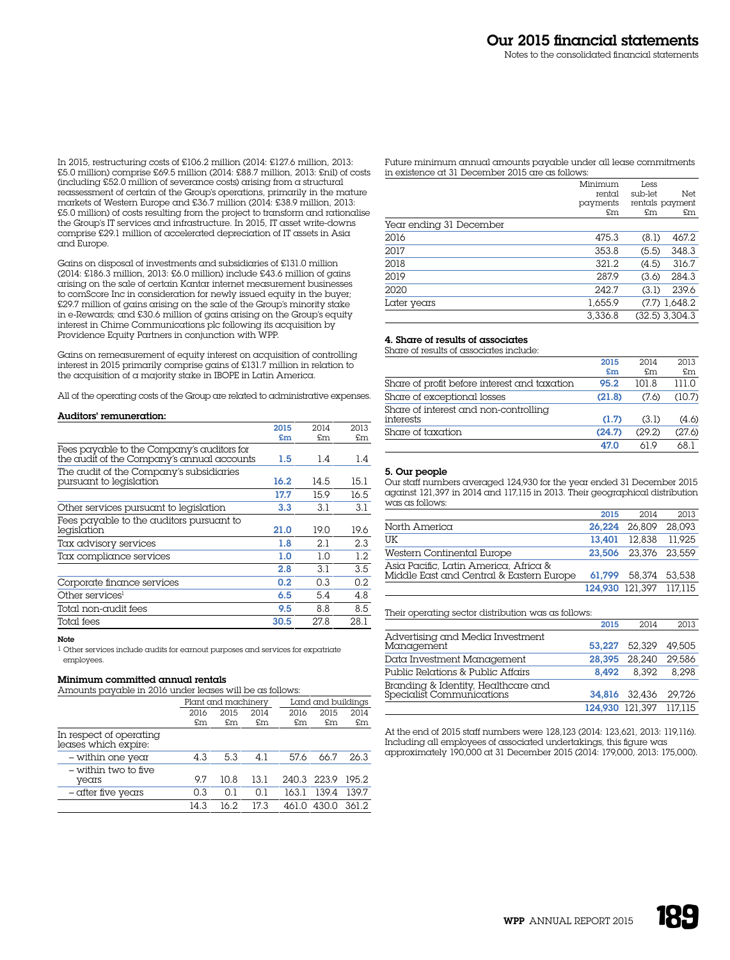In 2015, restructuring costs of £106.2 million (2014: £127.6 million, 2013: £5.0 million) comprise £69.5 million (2014: £88.7 million, 2013: £nil) of costs (including £52.0 million of severance costs) arising from a structural reassessment of certain of the Group's operations, primarily in the mature markets of Western Europe and £36.7 million (2014: £38.9 million, 2013: £5.0 million) of costs resulting from the project to transform and rationalise the Group's IT services and infrastructure. In 2015, IT asset write-downs comprise £29.1 million of accelerated depreciation of IT assets in Asia and Europe.

Gains on disposal of investments and subsidiaries of £131.0 million (2014: £186.3 million, 2013: £6.0 million) include £43.6 million of gains arising on the sale of certain Kantar internet measurement businesses to comScore Inc in consideration for newly issued equity in the buyer; £29.7 million of gains arising on the sale of the Group's minority stake in e-Rewards; and £30.6 million of gains arising on the Group's equity interest in Chime Communications plc following its acquisition by Providence Equity Partners in conjunction with WPP.

Gains on remeasurement of equity interest on acquisition of controlling interest in 2015 primarily comprise gains of £131.7 million in relation to the acquisition of a majority stake in IBOPE in Latin America.

All of the operating costs of the Group are related to administrative expenses.

### Auditors' remuneration:

|                                                                                          | 2015    | 2014 | 2013 |
|------------------------------------------------------------------------------------------|---------|------|------|
|                                                                                          | £m      | £m   | £m   |
| Fees payable to the Company's auditors for<br>the audit of the Company's annual accounts | $1.5\,$ | 1.4  | 1.4  |
| The audit of the Company's subsidiaries<br>pursuant to legislation                       | 16.2    | 14.5 | 15.1 |
|                                                                                          | 17.7    | 15.9 | 16.5 |
| Other services pursuant to legislation                                                   | 3.3     | 3.1  | 3.1  |
| Fees payable to the auditors pursuant to<br>legislation                                  | 21.0    | 19.0 | 19.6 |
| Tax advisory services                                                                    | 1.8     | 2.1  | 2.3  |
| Tax compliance services                                                                  | 1.0     | 1.0  | 1.2  |
|                                                                                          | 2.8     | 3.1  | 3.5  |
| Corporate finance services                                                               | 0.2     | 0.3  | 0.2  |
| Other services <sup>1</sup>                                                              | 6.5     | 5.4  | 4.8  |
| Total non-audit fees                                                                     | 9.5     | 8.8  | 8.5  |
| Total fees                                                                               | 30.5    | 27.8 | 28.1 |
|                                                                                          |         |      |      |

#### Note

1 Other services include audits for earnout purposes and services for expatriate employees.

# Minimum committed annual rentals

Amounts payable in 2016 under leases will be as follows:

| <u>Thirding payable in 2010 ander leases will be as follows.</u> |      |                     |      |       |                    |       |
|------------------------------------------------------------------|------|---------------------|------|-------|--------------------|-------|
|                                                                  |      | Plant and machinery |      |       | Land and buildings |       |
|                                                                  | 2016 | 2015                | 2014 | 2016  | 2015               | 2014  |
|                                                                  | £m   | £m                  | £m   | £m    | £m                 | £m    |
| In respect of operating<br>leases which expire:                  |      |                     |      |       |                    |       |
| - within one year                                                | 4.3  | 5.3                 | 4.1  | 57.6  | 66.7               | 26.3  |
| - within two to five<br>years                                    | 97   | 10.8                | 13.1 |       | 240.3 223.9        | 195.2 |
| - after five years                                               | 0.3  | 0.1                 | 0.1  | 163.1 | 139.4              | 139.7 |
|                                                                  | 14.3 | 16.2                | 17.3 | 461 N | 430.0              | 361.2 |

Future minimum annual amounts payable under all lease commitments in existence at 31 December 2015 are as follows:

|                         | Minimum  | Less    |                  |
|-------------------------|----------|---------|------------------|
|                         | rental   | sub-let | Net              |
|                         | payments |         | rentals payment  |
|                         | £m       | £m      | £m               |
| Year ending 31 December |          |         |                  |
| 2016                    | 475.3    | (8.1)   | 467.2            |
| 2017                    | 353.8    | (5.5)   | 348.3            |
| 2018                    | 321.2    | (4.5)   | 316.7            |
| 2019                    | 287.9    | (3.6)   | 284.3            |
| 2020                    | 242.7    | (3.1)   | 239.6            |
| Later years             | 1.655.9  |         | $(7.7)$ 1,648.2  |
|                         | 3.336.8  |         | $(32.5)$ 3.304.3 |

# 4. Share of results of associates

Share of results of associates include:

|                                                    | 2015<br>$5$ | 2014<br>$\mathsf{F}$ m | 2013<br>£m |
|----------------------------------------------------|-------------|------------------------|------------|
| Share of profit before interest and taxation       | 95.2        | 101.8                  | 111 N      |
| Share of exceptional losses                        | (21.8)      | (7.6)                  | (10.7)     |
| Share of interest and non-controlling<br>interests | (1.7)       | (3.1)                  | (4.6)      |
| Share of taxation                                  | (24.7)      | (29.2)                 | (27.6)     |
|                                                    | 47.0        | 61 Q                   | 681        |

#### 5. Our people

Our staff numbers averaged 124,930 for the year ended 31 December 2015 against 121,397 in 2014 and 117,115 in 2013. Their geographical distribution was as follows:

|                                                                                   | 2015   | 2014                    | 2013 |
|-----------------------------------------------------------------------------------|--------|-------------------------|------|
| North America                                                                     |        | 26.224 26.809 28.093    |      |
| UK                                                                                | 13.401 | 12.838 11.925           |      |
| Western Continental Europe                                                        |        | 23.506 23.376 23.559    |      |
| Asia Pacific, Latin America, Africa &<br>Middle East and Central & Eastern Europe |        | 61,799 58,374 53,538    |      |
|                                                                                   |        | 124.930 121.397 117.115 |      |

Their operating sector distribution was as follows:

|                                                                  | 2015   | 2014                    | 2013   |
|------------------------------------------------------------------|--------|-------------------------|--------|
| Advertising and Media Investment<br>Management                   |        | 53.227 52.329 49.505    |        |
| Data Investment Management                                       | 28.395 | 28,240                  | 29.586 |
| Public Relations & Public Affairs                                | 8.492  | 8.392                   | 8.298  |
| Branding & Identity, Healthcare and<br>Specialist Communications |        | 34.816 32.436 29.726    |        |
|                                                                  |        | 124,930 121,397 117,115 |        |

At the end of 2015 staff numbers were 128,123 (2014: 123,621, 2013: 119,116). Including all employees of associated undertakings, this figure was approximately 190,000 at 31 December 2015 (2014: 179,000, 2013: 175,000).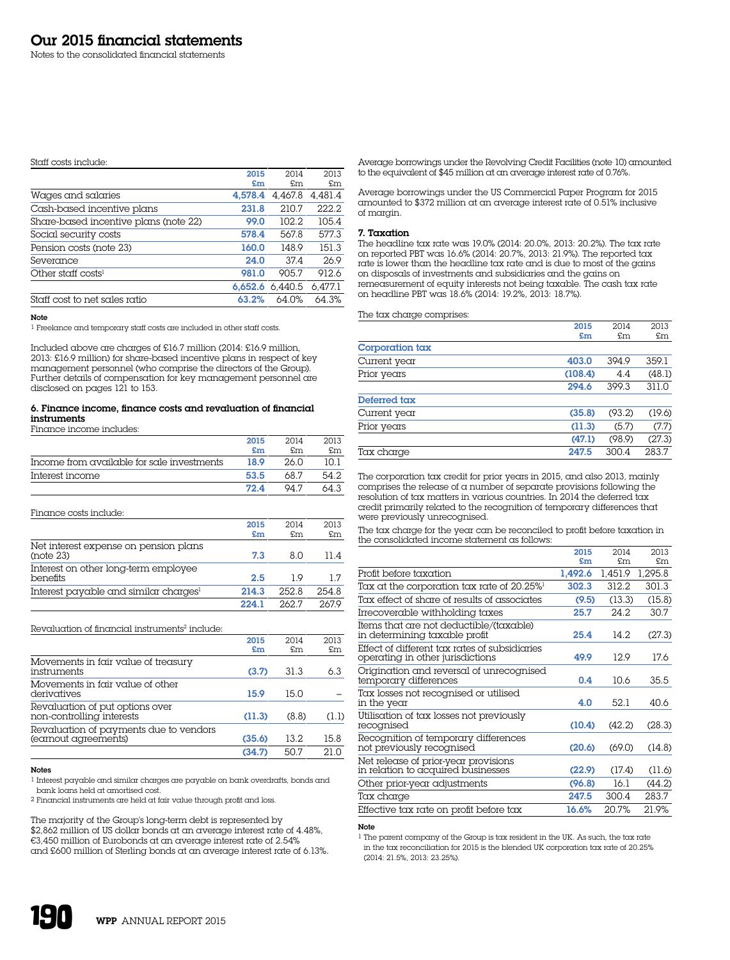#### Staff costs include:

|                                       | 2015    | 2014    | 2013    |
|---------------------------------------|---------|---------|---------|
|                                       | £m      | \$m\$   | £m      |
| Wages and salaries                    | 4.578.4 | 4.467.8 | 4.481.4 |
| Cash-based incentive plans            | 231.8   | 210.7   | 222.2   |
| Share-based incentive plans (note 22) | 99.0    | 102.2   | 105.4   |
| Social security costs                 | 578.4   | 567.8   | 577.3   |
| Pension costs (note 23)               | 160.0   | 148.9   | 151.3   |
| Severance                             | 24.0    | 37.4    | 26.9    |
| Other staff costs <sup>1</sup>        | 981.0   | 905.7   | 912.6   |
|                                       | 6.652.6 | 6.440.5 | 6.477.1 |
| Staff cost to net sales ratio         | 63.2%   | 64.0%   | 64.3%   |

Note

1 Freelance and temporary staff costs are included in other staff costs.

Included above are charges of £16.7 million (2014: £16.9 million, 2013: £16.9 million) for share-based incentive plans in respect of key management personnel (who comprise the directors of the Group). Further details of compensation for key management personnel are disclosed on pages 121 to 153.

#### 6. Finance income, finance costs and revaluation of financial instruments

Finance income includes:

|                                            | 2015 | 2014 | 2013 |
|--------------------------------------------|------|------|------|
|                                            | £m   | £m   | £m   |
| Income from available for sale investments | 18.9 | 26.0 | 10.1 |
| Interest income                            | 53.5 | 68 7 | 54.2 |
|                                            | 72.4 | 94 7 | 64.3 |

Finance costs include:

|                                                    | 2015<br>£m | 2014<br>£m | 2013<br>£m |
|----------------------------------------------------|------------|------------|------------|
| Net interest expense on pension plans<br>(note 23) | 7.3        | 8 N        | 11 4       |
| Interest on other long-term employee<br>benefits   | 2.5        | 19         | 17         |
| Interest payable and similar charges <sup>1</sup>  | 214.3      | 252.8      | 254.8      |
|                                                    | 2241       | 262.7      | 2679       |

#### Revaluation of financial instruments<sup>2</sup> include:

|                                                                | 2015<br>£m | 2014<br>£m | 2013<br>£m |
|----------------------------------------------------------------|------------|------------|------------|
| Movements in fair value of treasury<br>instruments             | (3.7)      | 31.3       | 6.3        |
| Movements in fair value of other<br>derivatives                | 15.9       | 15.0       |            |
| Revaluation of put options over<br>non-controlling interests   | (11.3)     | (8.8)      | (1.1)      |
| Revaluation of payments due to vendors<br>(earnout agreements) | (35.6)     | 13.2.      | 15.8       |
|                                                                | (34.7)     | 50.7       | 21.0       |

### Notes

1 Interest payable and similar charges are payable on bank overdrafts, bonds and bank loans held at amortised cost.

2 Financial instruments are held at fair value through profit and loss.

The majority of the Group's long-term debt is represented by \$2,862 million of US dollar bonds at an average interest rate of 4.48%, €3,450 million of Eurobonds at an average interest rate of 2.54% and £600 million of Sterling bonds at an average interest rate of 6.13%. Average borrowings under the Revolving Credit Facilities (note 10) amounted to the equivalent of \$45 million at an average interest rate of 0.76%.

Average borrowings under the US Commercial Paper Program for 2015 amounted to \$372 million at an average interest rate of 0.51% inclusive of margin.

#### 7. Taxation

The headline tax rate was 19.0% (2014: 20.0%, 2013: 20.2%). The tax rate on reported PBT was 16.6% (2014: 20.7%, 2013: 21.9%). The reported tax rate is lower than the headline tax rate and is due to most of the gains on disposals of investments and subsidiaries and the gains on remeasurement of equity interests not being taxable. The cash tax rate on headline PBT was 18.6% (2014: 19.2%, 2013: 18.7%).

The tax charge comprises:

|                 | 2015    | 2014   | 2013   |
|-----------------|---------|--------|--------|
|                 | £m      | £m     | £m     |
| Corporation tax |         |        |        |
| Current year    | 403.0   | 394.9  | 359.1  |
| Prior years     | (108.4) | 4.4    | (48.1) |
|                 | 294.6   | 399.3  | 311.0  |
| Deferred tax    |         |        |        |
| Current year    | (35.8)  | (93.2) | (19.6) |
| Prior years     | (11.3)  | (5.7)  | (7.7)  |
|                 | (47.1)  | (98.9) | (27.3) |
| Tax charge      | 247.5   | 300.4  | 283.7  |
|                 |         |        |        |

The corporation tax credit for prior years in 2015, and also 2013, mainly comprises the release of a number of separate provisions following the resolution of tax matters in various countries. In 2014 the deferred tax credit primarily related to the recognition of temporary differences that were previously unrecognised.

The tax charge for the year can be reconciled to profit before taxation in the consolidated income statement as follows:

|                                                                                   | 2015    | 2014    | 2013    |
|-----------------------------------------------------------------------------------|---------|---------|---------|
|                                                                                   | £m      | \$m\$   | £m      |
| Profit before taxation                                                            | 1.492.6 | 1.451.9 | 1,295.8 |
| Tax at the corporation tax rate of 20.25% <sup>1</sup>                            | 302.3   | 312.2   | 301.3   |
| Tax effect of share of results of associates                                      | (9.5)   | (13.3)  | (15.8)  |
| Irrecoverable withholding taxes                                                   | 25.7    | 24.2    | 30.7    |
| Items that are not deductible/(taxable)<br>in determining taxable profit          | 25.4    | 14.2.   | (27.3)  |
| Effect of different tax rates of subsidiaries<br>operating in other jurisdictions | 49.9    | 12.9    | 17.6    |
| Origination and reversal of unrecognised<br>temporary differences                 | 0.4     | 10.6    | 35.5    |
| Tax losses not recognised or utilised<br>in the year                              | 4.0     | 52.1    | 40.6    |
| Utilisation of tax losses not previously<br>recognised                            | (10.4)  | (42.2)  | (28.3)  |
| Recognition of temporary differences<br>not previously recognised                 | (20.6)  | (69.0)  | (14.8)  |
| Net release of prior-year provisions<br>in relation to acquired businesses        | (22.9)  | (17.4)  | (11.6)  |
| Other prior-year adjustments                                                      | (96.8)  | 16.1    | (44.2)  |
| Tax charge                                                                        | 247.5   | 300.4   | 283.7   |
| Effective tax rate on profit before tax                                           | 16.6%   | 20.7%   | 21.9%   |

#### Note

1 The parent company of the Group is tax resident in the UK. As such, the tax rate in the tax reconciliation for 2015 is the blended UK corporation tax rate of 20.25% (2014: 21.5%, 2013: 23.25%).

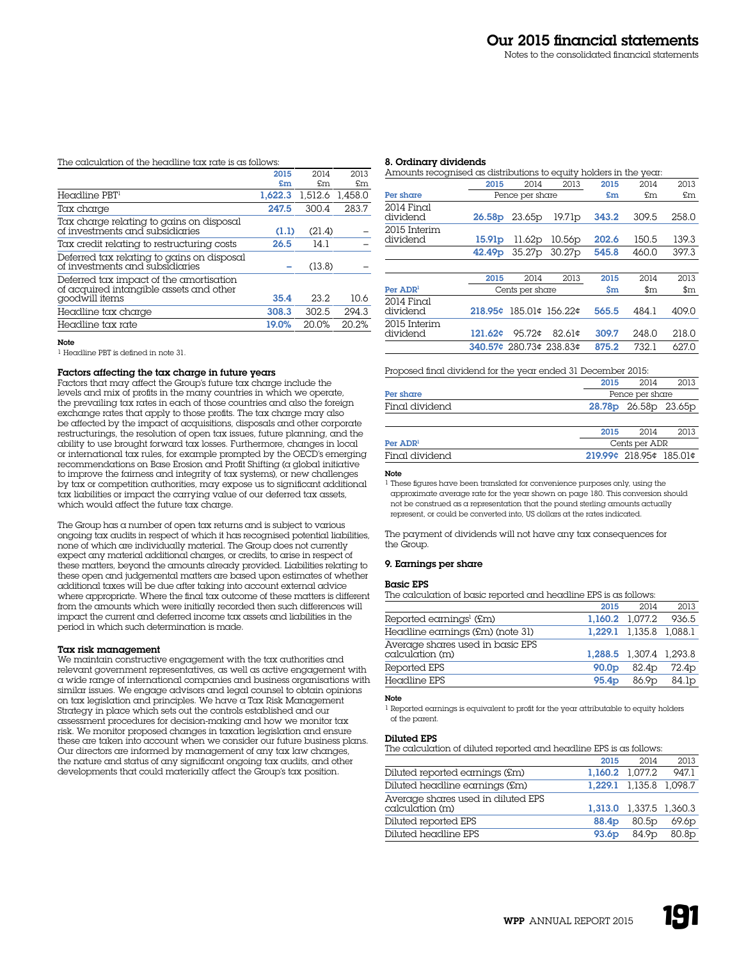# The calculation of the headline tax rate is as follows:

|                                                                                    | 2015    | 2014    | 2013    |
|------------------------------------------------------------------------------------|---------|---------|---------|
|                                                                                    | £m      | £m      | £m      |
| Headline PBT <sup>1</sup>                                                          | 1.622.3 | 1,512.6 | 1,458.0 |
| Tax charge                                                                         | 247.5   | 300.4   | 283.7   |
| Tax charge relating to gains on disposal<br>of investments and subsidiaries        | (1.1)   | (21.4)  |         |
| Tax credit relating to restructuring costs                                         | 26.5    | 14.1    |         |
| Deferred tax relating to gains on disposal<br>of investments and subsidiaries      |         | (13.8)  |         |
| Deferred tax impact of the amortisation<br>of acquired intangible assets and other |         |         |         |
| goodwill items                                                                     | 35.4    | 23.2    | 10.6    |
| Headline tax charge                                                                | 308.3   | 302.5   | 294.3   |
| Headline tax rate                                                                  | 19.0%   | 20.0%   | 20.2%   |

#### Note

1 Headline PBT is defined in note 31.

### Factors affecting the tax charge in future years

Factors that may affect the Group's future tax charge include the levels and mix of profits in the many countries in which we operate, the prevailing tax rates in each of those countries and also the foreign exchange rates that apply to those profits. The tax charge may also be affected by the impact of acquisitions, disposals and other corporate restructurings, the resolution of open tax issues, future planning, and the ability to use brought forward tax losses. Furthermore, changes in local or international tax rules, for example prompted by the OECD's emerging recommendations on Base Erosion and Profit Shifting (a global initiative to improve the fairness and integrity of tax systems), or new challenges by tax or competition authorities, may expose us to significant additional tax liabilities or impact the carrying value of our deferred tax assets, which would affect the future tax charge.

The Group has a number of open  $\tan x$  returns and is subject to various ongoing tax audits in respect of which it has recognised potential liabilities, none of which are individually material. The Group does not currently expect any material additional charges, or credits, to arise in respect of these matters, beyond the amounts already provided. Liabilities relating to these open and judgemental matters are based upon estimates of whether additional taxes will be due after taking into account external advice where appropriate. Where the final tax outcome of these matters is different from the amounts which were initially recorded then such differences will impact the current and deferred income tax assets and liabilities in the period in which such determination is made.

#### Tax risk management

We maintain constructive engagement with the tax authorities and relevant government representatives, as well as active engagement with a wide range of international companies and business organisations with similar issues. We engage advisors and legal counsel to obtain opinions on tax legislation and principles. We have a Tax Risk Management Strategy in place which sets out the controls established and our assessment procedures for decision-making and how we monitor tax risk. We monitor proposed changes in taxation legislation and ensure these are taken into account when we consider our future business plans. Our directors are informed by management of any tax law changes, the nature and status of any significant ongoing tax audits, and other developments that could materially affect the Group's tax position.

#### 8. Ordinary dividends

| Amounts recognised as distributions to equity holders in the year. |                    |                         |                    |                      |                                 |                                 |
|--------------------------------------------------------------------|--------------------|-------------------------|--------------------|----------------------|---------------------------------|---------------------------------|
|                                                                    | 2015               | 2014                    | 2013               | 2015                 | 2014                            | 2013                            |
| Per share                                                          |                    | Pence per share         |                    | £m                   | £m                              | £m                              |
| $2014$ Final<br>dividend                                           | 26.58p             | 23.65p                  | 19.71 <sub>p</sub> | 343.2                | 309.5                           | 258.0                           |
| 2015 Interim<br>dividend                                           | 15.91 <sub>D</sub> | 11.62p                  | 10.56p             | 202.6                | 150.5                           | 139.3                           |
|                                                                    | 42.49 <sub>p</sub> | 35.27 <sub>p</sub>      | 30.27 <sub>p</sub> | 545.8                | 460.0                           | 397.3                           |
|                                                                    |                    |                         |                    |                      |                                 |                                 |
|                                                                    | 2015               | 2014                    | 2013               | 2015                 | 2014                            | 2013                            |
| Per ADR <sup>1</sup>                                               |                    | Cents per share         |                    | $\mathbf{\hat{s}}$ m | $\mathop{\mathrm{sm}}\nolimits$ | $\mathop{\mathrm{sm}}\nolimits$ |
| $2014$ Final<br>dividend                                           | 218.95c            | 185.01¢ 156.22¢         |                    | 565.5                | 484.1                           | 409.0                           |
| 2015 Interim<br>dividend                                           | 121.62¢            | 95.72¢                  | $82.61$ ¢          | 309.7                | 248.0                           | 218.0                           |
|                                                                    |                    | 340.57¢ 280.73¢ 238.83¢ |                    | 875.2                | 732.1                           | 627.0                           |

# Proposed final dividend for the year ended 31 December 2015:

| _____          |      | - - -                |      |
|----------------|------|----------------------|------|
|                | 2015 | 2014                 | 2013 |
|                |      |                      |      |
| Final dividend |      | 28.78p 26.58p 23.65p |      |
| Per share      |      | Pence per share      |      |
|                | 2015 | 2014                 | 2013 |

| Per $\mathbf{ADR}^1$ | Cents per ADR             |  |  |
|----------------------|---------------------------|--|--|
| Final dividend       | $219.99c$ 218.95¢ 185.01¢ |  |  |
|                      |                           |  |  |

#### Note

1 These figures have been translated for convenience purposes only, using the approximate average rate for the year shown on page 180. This conversion should not be construed as a representation that the pound sterling amounts actually represent, or could be converted into, US dollars at the rates indicated.

The payment of dividends will not have any tax consequences for the Group.

#### 9. Earnings per share

# Basic EPS

The calculation of basic reported and headline EPS is as follows:

|                                                     | 2015              | 2014                    | 2013  |
|-----------------------------------------------------|-------------------|-------------------------|-------|
| Reported earnings <sup>1</sup> (£m)                 |                   | 1.160.2 1.077.2         | 936.5 |
| Headline earnings (£m) (note 31)                    |                   | 1.229.1 1.135.8 1.088.1 |       |
| Average shares used in basic EPS<br>calculation (m) |                   | 1.288.5 1.307.4 1.293.8 |       |
| Reported EPS                                        | 90.0 <sub>D</sub> | 82.4 <sub>p</sub>       | 72.4p |
| Headline EPS                                        | 95.4 <sub>p</sub> | 86.9 <sub>p</sub>       | 84.1p |

# Note

1 Reported earnings is equivalent to profit for the year attributable to equity holders of the parent.

#### Diluted EPS

The calculation of diluted reported and headline EPS is as follows:

|                                                       | 2015              | 2014                    | 2013              |
|-------------------------------------------------------|-------------------|-------------------------|-------------------|
| Diluted reported earnings (£m)                        |                   | 1.160.2 1.077.2         | 947.1             |
| Diluted headline earnings (£m)                        |                   | 1.229.1 1.135.8 1.098.7 |                   |
| Average shares used in diluted EPS<br>calculation (m) |                   | 1.313.0 1.337.5 1.360.3 |                   |
| Diluted reported EPS                                  | 88.4 <sub>p</sub> | 80.5 <sub>p</sub>       | 69.6 <sub>p</sub> |
| Diluted headline EPS                                  | 93.6 <sub>p</sub> | 84.9 <sub>p</sub>       | 80.8 <sub>p</sub> |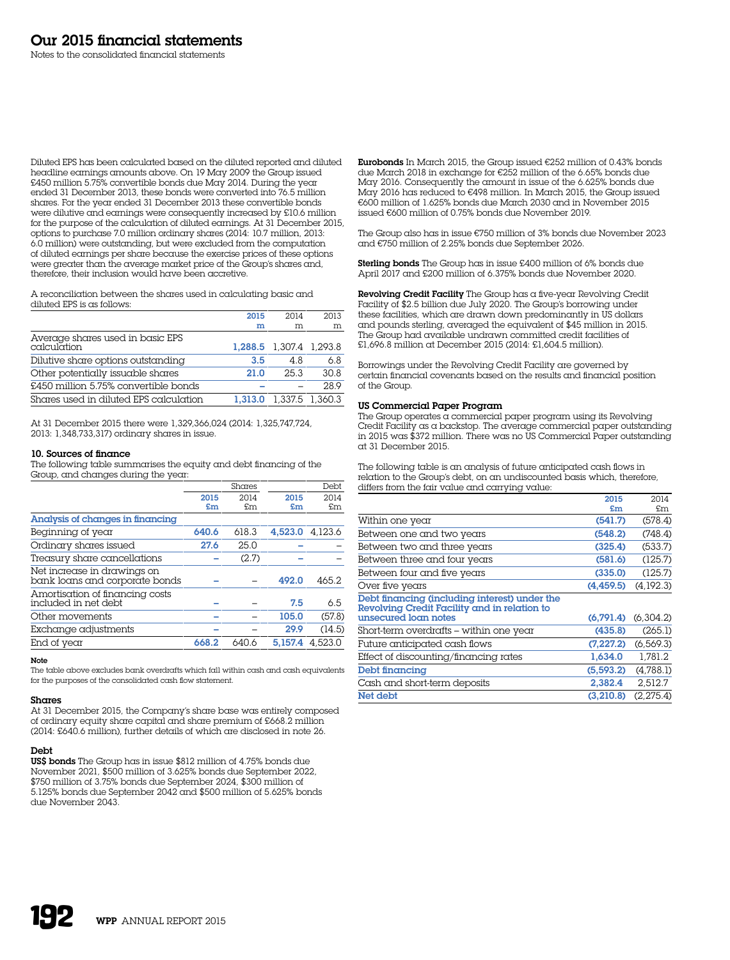Diluted EPS has been calculated based on the diluted reported and diluted headline earnings amounts above. On 19 May 2009 the Group issued £450 million 5.75% convertible bonds due May 2014. During the year ended 31 December 2013, these bonds were converted into 76.5 million shares. For the year ended 31 December 2013 these convertible bonds were dilutive and earnings were consequently increased by £10.6 million for the purpose of the calculation of diluted earnings. At 31 December 2015, options to purchase 7.0 million ordinary shares (2014: 10.7 million, 2013: 6.0 million) were outstanding, but were excluded from the computation of diluted earnings per share because the exercise prices of these options were greater than the average market price of the Group's shares and, therefore, their inclusion would have been accretive.

A reconciliation between the shares used in calculating basic and diluted EPS is as follows:

|                                                 | 2015    | 2014                    | 2013 |
|-------------------------------------------------|---------|-------------------------|------|
|                                                 | m       | m                       | m    |
| Average shares used in basic EPS<br>calculation |         | 1,288.5 1,307.4 1,293.8 |      |
| Dilutive share options outstanding              | 3.5     | 4.8                     | 6.8  |
| Other potentially issuable shares               | 21.0    | 25.3                    | 30.8 |
| £450 million 5.75% convertible bonds            |         |                         | 28.9 |
| Shares used in diluted EPS calculation          | 1.313.0 | 1,337.5 1,360.3         |      |

At 31 December 2015 there were 1,329,366,024 (2014: 1,325,747,724, 2013: 1,348,733,317) ordinary shares in issue.

# 10. Sources of finance

The following table summarises the equity and debt financing of the Group, and changes during the year:

|                                                               |       | Shares |         | Debt    |
|---------------------------------------------------------------|-------|--------|---------|---------|
|                                                               | 2015  | 2014   | 2015    | 2014    |
|                                                               | £m    | £m     | £m      | £m      |
| Analysis of changes in financing                              |       |        |         |         |
| Beginning of year                                             | 640.6 | 618.3  | 4,523.0 | 4.123.6 |
| Ordinary shares issued                                        | 27.6  | 25.0   |         |         |
| Treasury share cancellations                                  |       | (2.7)  |         |         |
| Net increase in drawings on<br>bank loans and corporate bonds |       |        | 492.0   | 465.2   |
| Amortisation of financing costs<br>included in net debt       |       |        | 7.5     | 6.5     |
| Other movements                                               |       |        | 105.0   | (57.8)  |
| Exchange adjustments                                          |       |        | 29.9    | (14.5)  |
| End of year                                                   | 668.2 | 640.6  | 5.157.4 | 4.523.0 |
|                                                               |       |        |         |         |

#### Note

The table above excludes bank overdrafts which fall within cash and cash equivalents for the purposes of the consolidated cash flow statement.

# Shares

At 31 December 2015, the Company's share base was entirely composed of ordinary equity share capital and share premium of £668.2 million (2014: £640.6 million), further details of which are disclosed in note 26.

# Debt

US\$ bonds The Group has in issue \$812 million of 4.75% bonds due November 2021, \$500 million of 3.625% bonds due September 2022, \$750 million of 3.75% bonds due September 2024, \$300 million of 5.125% bonds due September 2042 and \$500 million of 5.625% bonds due November 2043.

Eurobonds In March 2015, the Group issued €252 million of 0.43% bonds due March 2018 in exchange for €252 million of the 6.65% bonds due May 2016. Consequently the amount in issue of the 6.625% bonds due May 2016 has reduced to €498 million. In March 2015, the Group issued €600 million of 1.625% bonds due March 2030 and in November 2015 issued €600 million of 0.75% bonds due November 2019.

The Group also has in issue €750 million of 3% bonds due November 2023 and €750 million of 2.25% bonds due September 2026.

Sterling bonds The Group has in issue £400 million of 6% bonds due April 2017 and £200 million of 6.375% bonds due November 2020.

Revolving Credit Facility The Group has a five-year Revolving Credit Facility of \$2.5 billion due July 2020. The Group's borrowing under these facilities, which are drawn down predominantly in US dollars and pounds sterling, averaged the equivalent of \$45 million in 2015. The Group had available undrawn committed credit facilities of £1,696.8 million at December 2015 (2014: £1,604.5 million).

Borrowings under the Revolving Credit Facility are governed by certain financial covenants based on the results and financial position of the Group.

#### US Commercial Paper Program

The Group operates  $\alpha$  commercial paper program using its Revolving Credit Facility as a backstop. The average commercial paper outstanding in 2015 was \$372 million. There was no US Commercial Paper outstanding at 31 December 2015.

The following table is an analysis of future anticipated cash flows in relation to the Group's debt, on an undiscounted basis which, therefore, differs from the fair value and carrying value:

|                                                                                               | 2015       | 2014       |
|-----------------------------------------------------------------------------------------------|------------|------------|
|                                                                                               | £m         | £m         |
| Within one year                                                                               | (541.7)    | (578.4)    |
| Between one and two years                                                                     | (548.2)    | (748.4)    |
| Between two and three years                                                                   | (325.4)    | (533.7)    |
| Between three and four years                                                                  | (581.6)    | (125.7)    |
| Between four and five years                                                                   | (335.0)    | (125.7)    |
| Over five years                                                                               | (4.459.5)  | (4,192.3)  |
| Debt financing (including interest) under the<br>Revolving Credit Facility and in relation to |            |            |
| unsecured loan notes                                                                          | (6.791.4)  | (6.304.2)  |
| Short-term overdrafts – within one year                                                       | (435.8)    | (265.1)    |
| Future anticipated cash flows                                                                 | (7, 227.2) | (6, 569.3) |
| Effect of discounting/financing rates                                                         | 1.634.0    | 1.781.2    |
| Debt financing                                                                                | (5.593.2)  | (4.788.1)  |
| Cash and short-term deposits                                                                  | 2,382.4    | 2.512.7    |
| Net debt                                                                                      | (3.210.8)  | (2.275.4)  |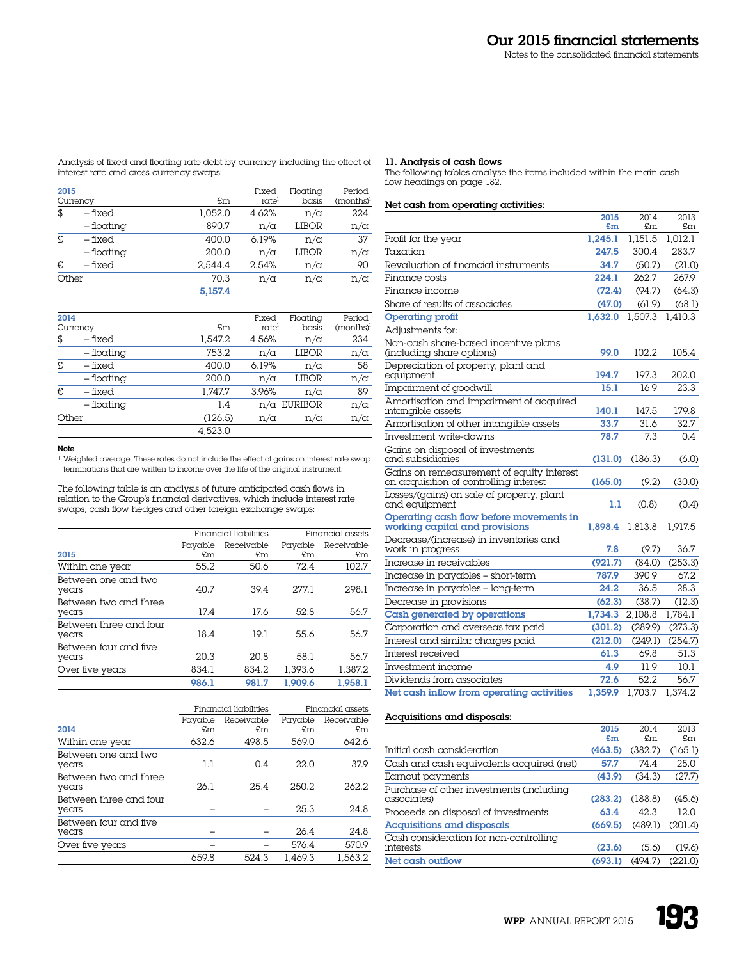Analysis of fixed and floating rate debt by currency including the effect of

# 11. Analysis of cash flows

The following tables analyse the items included within the main cash flow headings on page 182.

# Net cash from operating activities:

|                                                                                     | 2015<br>£m | 2014<br>£m | 2013<br>£m |
|-------------------------------------------------------------------------------------|------------|------------|------------|
| Profit for the year                                                                 | 1,245.1    | 1,151.5    | 1,012.1    |
| Taxation                                                                            | 247.5      | 300.4      | 283.7      |
| Revaluation of financial instruments                                                | 34.7       | (50.7)     | (21.0)     |
| Finance costs                                                                       | 224.1      | 262.7      | 267.9      |
| Finance income                                                                      | (72.4)     | (94.7)     | (64.3)     |
| Share of results of associates                                                      | (47.0)     | (61.9)     | (68.1)     |
| <b>Operating profit</b>                                                             | 1,632.0    | 1,507.3    | 1,410.3    |
| Adjustments for:                                                                    |            |            |            |
| Non-cash share-based incentive plans<br>(including share options)                   | 99.0       | 102.2      | 105.4      |
| Depreciation of property, plant and<br>equipment                                    | 194.7      | 197.3      | 202.0      |
| Impairment of goodwill                                                              | 15.1       | 16.9       | 23.3       |
| Amortisation and impairment of acquired<br>intangible assets                        | 140.1      | 147.5      | 179.8      |
| Amortisation of other intangible assets                                             | 33.7       | 31.6       | 32.7       |
| Investment write-downs                                                              | 78.7       | 7.3        | 0.4        |
| Gains on disposal of investments<br>and subsidiaries                                | (131.0)    | (186.3)    | (6.0)      |
| Gains on remeasurement of equity interest<br>on acquisition of controlling inferest | (165.0)    | (9.2)      | (30.0)     |
| Losses/(gains) on sale of property, plant<br>and equipment                          | 1.1        | (0.8)      | (0.4)      |
| Operating cash flow before movements in<br>working capital and provisions           | 1.898.4    | 1,813.8    | 1.917.5    |
| Decrease/(increase) in inventories and<br>work in progress                          | 7.8        | (9.7)      | 36.7       |
| Increase in receivables                                                             | (921.7)    | (84.0)     | (253.3)    |
| Increase in payables - short-term                                                   | 787.9      | 390.9      | 67.2       |
| Increase in payables - long-term                                                    | 24.2       | 36.5       | 28.3       |
| Decrease in provisions                                                              | (62.3)     | (38.7)     | (12.3)     |
| Cash generated by operations                                                        | 1,734.3    | 2,108.8    | 1.784.1    |
| Corporation and overseas tax paid                                                   | (301.2)    | (289.9)    | (273.3)    |
| Interest and similar charges paid                                                   | (212.0)    | (249.1)    | (254.7)    |
| Interest received                                                                   | 61.3       | 69.8       | 51.3       |
| Investment income                                                                   | 4.9        | 11.9       | 10.1       |
| Dividends from associates                                                           | 72.6       | 52.2       | 56.7       |
| Net cash inflow from operating activities                                           | 1.359.9    | 1.703.7    | 1.374.2    |

# Acquisitions and disposals:

|                                                         | 2015<br>£m | 2014<br>£m | 2013<br>£m |
|---------------------------------------------------------|------------|------------|------------|
| Initial cash consideration                              | (463.5)    | (382.7)    | (165.1)    |
| Cash and cash equivalents acquired (net)                | 57.7       | 74.4       | 25.0       |
| Earnout payments                                        | (43.9)     | (34.3)     | (27.7)     |
| Purchase of other investments (including<br>associates) | (283.2)    | (188.8)    | (45.6)     |
| Proceeds on disposal of investments                     | 63.4       | 42.3       | 12.0       |
| Acquisitions and disposals                              | (669.5)    | (489.1)    | (201.4)    |
| Cash consideration for non-controlling<br>interests     | (23.6)     | (5.6)      | (19.6)     |
| Net cash outflow                                        | (693.1)    | (494.7)    | (221.0)    |
|                                                         |            |            |            |

interest rate and cross-currency swaps:

| 2015  | Currency     | £m      | Fixed<br>rate | Floatina<br>basis | Period<br>$(months)^1$ |
|-------|--------------|---------|---------------|-------------------|------------------------|
| \$    | – fixed      | 1.052.0 | 4.62%         | $n/\alpha$        | 224                    |
|       | $-$ floating | 890.7   | $n/\alpha$    | LIBOR             | $n/\alpha$             |
| £     | – fixed      | 400.0   | 6.19%         | $n/\alpha$        | 37                     |
|       | – floating   | 200.0   | $n/\alpha$    | LIBOR             | $n/\alpha$             |
| €     | – fixed      | 2.544.4 | 2.54%         | $n/\alpha$        | 90                     |
| Other |              | 70.3    | $n/\alpha$    | $n/\alpha$        | $n/\alpha$             |
|       |              | 5.157.4 |               |                   |                        |

| 2014  |              |         | Fixed      | Floating           | Period                |
|-------|--------------|---------|------------|--------------------|-----------------------|
|       | Currency     | £m      | ratel      | basis              | (months) <sup>1</sup> |
| \$    | – fixed      | 1.547.2 | 4.56%      | n/α                | 234                   |
|       | – floating   | 753.2   | $n/\alpha$ | LIBOR              | $n/\alpha$            |
| £     | – fixed      | 400.0   | 6.19%      | $n/\alpha$         | 58                    |
|       | $-$ floating | 200.0   | $n/\alpha$ | LIBOR              | $n/\alpha$            |
| €     | – fixed      | 1.747.7 | 3.96%      | n/α                | 89                    |
|       | – floating   | 1.4     |            | $n/\alpha$ EURIBOR | $n/\alpha$            |
| Other |              | (126.5) | $n/\alpha$ | $n/\alpha$         | $n/\alpha$            |
|       |              | 4.523.0 |            |                    |                       |

# Note

1 Weighted average. These rates do not include the effect of gains on interest rate swap terminations that are written to income over the life of the original instrument.

The following table is an analysis of future anticipated cash flows in relation to the Group's financial derivatives, which include interest rate swaps, cash flow hedges and other foreign exchange swaps:

|                                 |         | Financial liabilities | Financial assets |            |
|---------------------------------|---------|-----------------------|------------------|------------|
|                                 | Payable | Receivable            | Payable          | Receivable |
| 2015                            | £m      | £m                    | £m               | £m         |
| Within one year                 | 55.2    | 50.6                  | 72.4             | 102.7      |
| Between one and two<br>years    | 40.7    | 39.4                  | 277.1            | 298.1      |
| Between two and three<br>years  | 17.4    | 17.6                  | 52.8             | 56.7       |
| Between three and four<br>years | 18.4    | 19.1                  | 55.6             | 56.7       |
| Between four and five<br>years  | 20.3    | 20.8                  | 58.1             | 56.7       |
| Over five years                 | 834.1   | 834.2                 | 1.393.6          | 1.387.2    |
|                                 | 986.1   | 981.7                 | 1.909.6          | 1.958.1    |

|                                 |               | Financial liabilities | Financial assets |                  |  |
|---------------------------------|---------------|-----------------------|------------------|------------------|--|
| 2014                            | Payable<br>£m | Receivable<br>\$m\$   | Payable<br>\$m\$ | Receivable<br>£m |  |
| Within one year                 | 632.6         | 498.5                 | 569.0            | 642.6            |  |
| Between one and two<br>years    | 1.1           | 0.4                   | 22.0             | 37.9             |  |
| Between two and three<br>years  | 26.1          | 25.4                  | 250.2            | 262.2            |  |
| Between three and four<br>years |               |                       | 25.3             | 24.8             |  |
| Between four and five<br>years  |               |                       | 26.4             | 24.8             |  |
| Over five years                 |               |                       | 576.4            | 570.9            |  |
|                                 | 659.8         | 524.3                 | 1.469.3          | 1,563.2          |  |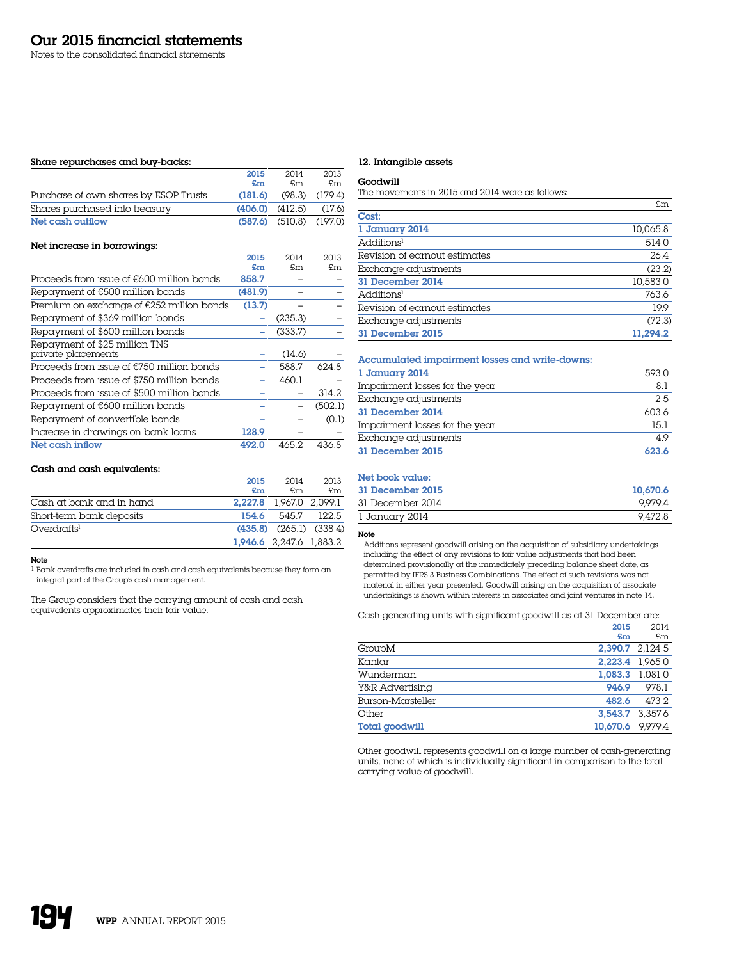Notes to the consolidated financial statements

# Share repurchases and buy-backs:

|                                       | 2015                | 2014                          | 2013               |
|---------------------------------------|---------------------|-------------------------------|--------------------|
|                                       | £m                  | £m                            | £m                 |
| Purchase of own shares by ESOP Trusts | (181.6)             |                               | $(98.3)$ $(179.4)$ |
| Shares purchased into treasury        | $(406.0)$ $(412.5)$ |                               | (17.6)             |
| Net cash outflow                      |                     | $(587.6)$ $(510.8)$ $(197.0)$ |                    |

# Net increase in borrowings:

|                                                     | 2015    | 2014    | 2013    |
|-----------------------------------------------------|---------|---------|---------|
|                                                     | £m      | £m      | £m      |
| Proceeds from issue of $E600$ million bonds         | 858.7   |         |         |
| Repayment of €500 million bonds                     | (481.9) |         |         |
| Premium on exchange of €252 million bonds           | (13.7)  |         |         |
| Repayment of \$369 million bonds                    |         | (235.3) |         |
| Repayment of \$600 million bonds                    |         | (333.7) |         |
| Repayment of \$25 million TNS<br>private placements |         | (14.6)  |         |
| Proceeds from issue of €750 million bonds           |         | 588.7   | 624.8   |
| Proceeds from issue of \$750 million bonds          |         | 460.1   |         |
| Proceeds from issue of \$500 million bonds          |         |         | 314.2   |
| Repayment of €600 million bonds                     |         |         | (502.1) |
| Repayment of convertible bonds                      |         |         | (0.1)   |
| Increase in drawings on bank loans                  | 128.9   |         |         |
| Net cash inflow                                     | 492.0   | 465.2   | 436.8   |

# Cash and cash equivalents:

|                          | 2015  | 2014                          | 2013  |
|--------------------------|-------|-------------------------------|-------|
|                          | £m    | £m.                           | £m    |
| Cash at bank and in hand |       | 2.227.8 1,967.0 2,099.1       |       |
| Short-term bank deposits | 154.6 | 545.7                         | 122.5 |
| Overdraffs <sup>1</sup>  |       | $(435.8)$ $(265.1)$ $(338.4)$ |       |
|                          |       | 1.946.6 2.247.6 1.883.2       |       |

# Note

1 Bank overdrafts are included in cash and cash equivalents because they form an integral part of the Group's cash management.

The Group considers that the carrying amount of cash and cash equivalents approximates their fair value.

# 12. Intangible assets

# Goodwill

The movements in 2015 and 2014 were as follows:

|                               | £m       |
|-------------------------------|----------|
| Cost:                         |          |
| 1 January 2014                | 10,065.8 |
| Additions <sup>1</sup>        | 514.0    |
| Revision of earnout estimates | 26.4     |
| Exchange adjustments          | (23.2)   |
| 31 December 2014              | 10,583.0 |
| Additions <sup>1</sup>        | 763.6    |
| Revision of earnout estimates | 19.9     |
| Exchange adjustments          | (72.3)   |
| 31 December 2015              | 11.294.2 |

# Accumulated impairment losses and write-downs:

| 1 January 2014                 | 593.0 |
|--------------------------------|-------|
| Impairment losses for the year | 8.1   |
| Exchange adjustments           | 2.5   |
| 31 December 2014               | 603.6 |
| Impairment losses for the year | 15.1  |
| Exchange adjustments           | 4.9   |
| 31 December 2015               | 623.6 |

# Net book value:

| 31 December 2015 | 10.670.6 |
|------------------|----------|
| 31 December 2014 | 9.979.4  |
| 1 January 2014   | 9.472.8  |

# Note

1 Additions represent goodwill arising on the acquisition of subsidiary undertakings including the effect of any revisions to fair value adjustments that had been determined provisionally at the immediately preceding balance sheet date, as permitted by IFRS 3 Business Combinations. The effect of such revisions was not material in either year presented. Goodwill arising on the acquisition of associate undertakings is shown within interests in associates and joint ventures in note 14.

Cash-generating units with significant goodwill as at 31 December are:

|                       | 2015            | 2014    |
|-----------------------|-----------------|---------|
|                       | £m              | £m      |
| GroupM                | 2.390.7 2.124.5 |         |
| Kantar                | 2.223.4 1.965.0 |         |
| Wunderman             | 1.083.3 1.081.0 |         |
| Y&R Advertising       | 946.9           | 978.1   |
| Burson-Marsteller     | 482.6           | 473.2   |
| Other                 | 3.543.7         | 3.357.6 |
| <b>Total goodwill</b> | 10.670.6        | 9.979.4 |

Other goodwill represents goodwill on a large number of cash-generating units, none of which is individually significant in comparison to the total carrying value of goodwill.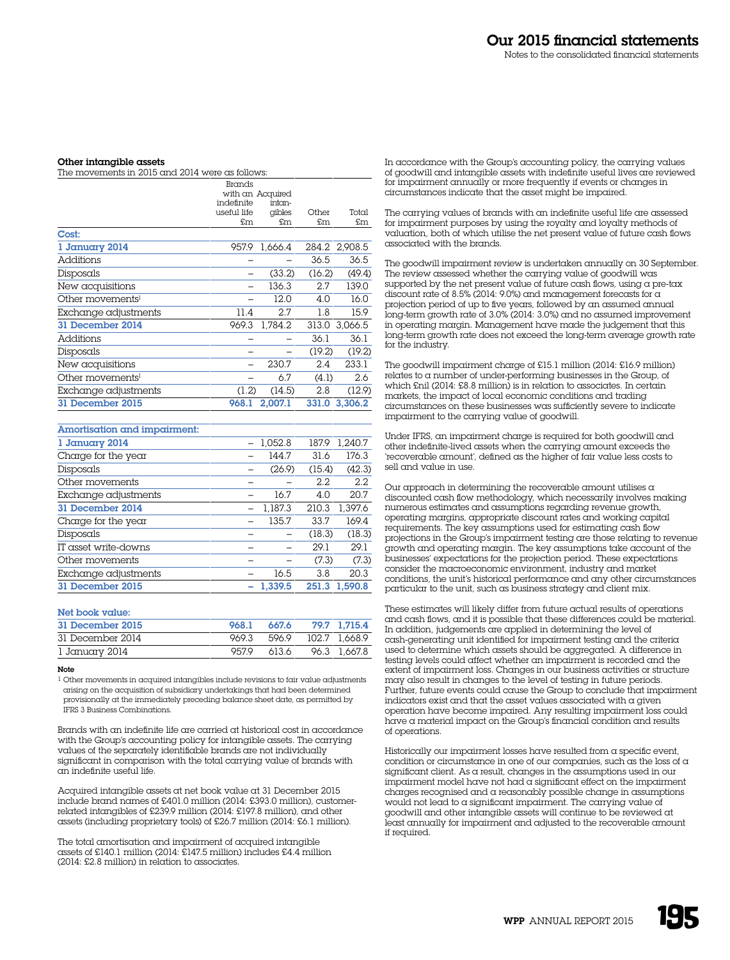#### Other intangible assets

| The movements in 2015 and 2014 were as follows: |               |                  |        |               |  |
|-------------------------------------------------|---------------|------------------|--------|---------------|--|
|                                                 | <b>Brands</b> |                  |        |               |  |
|                                                 |               | with an Acquired |        |               |  |
|                                                 | indefinite    | intan-           |        |               |  |
|                                                 | useful life   | qibles           | Other  | Total         |  |
|                                                 | £m            | £m               | £m     | £m            |  |
| Cost:                                           |               |                  |        |               |  |
| 1 January 2014                                  | 957.9         | 1,666.4          |        | 284.2 2,908.5 |  |
| <b>Additions</b>                                |               |                  | 36.5   | 36.5          |  |
| Disposals                                       |               | (33.2)           | (16.2) | (49.4)        |  |
| New acquisitions                                |               | 136.3            | 2.7    | 139.0         |  |
| Other movements <sup>1</sup>                    |               | 12.0             | 4.0    | 16.0          |  |
| Exchange adjustments                            | 11.4          | 2.7              | 1.8    | 15.9          |  |
| 31 December 2014                                | 969.3         | 1.784.2          | 313.0  | 3,066.5       |  |
| Additions                                       |               |                  | 36.1   | 36.1          |  |
| Disposals                                       |               |                  | (19.2) | (19.2)        |  |
| New acquisitions                                |               | 230.7            | 2.4    | 233.1         |  |
| Other movements <sup>1</sup>                    |               | 6.7              | (4.1)  | 2.6           |  |
| Exchange adjustments                            | (1.2)         | (14.5)           | 2.8    | (12.9)        |  |
| 31 December 2015                                | 968.1         | 2,007.1          | 331.0  | 3,306.2       |  |
|                                                 |               |                  |        |               |  |

| Amortisation and impairment: |         |        |         |
|------------------------------|---------|--------|---------|
| 1 January 2014               | 1.052.8 | 187.9  | 1.240.7 |
| Charge for the year          | 144.7   | 31.6   | 176.3   |
| Disposals                    | (26.9)  | (15.4) | (42.3)  |
| Other movements              |         | 2.2.   | 2.2     |
| Exchange adjustments         | 16.7    | 4.0    | 20.7    |
| 31 December 2014             | 1.187.3 | 210.3  | 1.397.6 |
| Charge for the year          | 135.7   | 33.7   | 169.4   |
| Disposals                    |         | (18.3) | (18.3)  |
| IT asset write-downs         |         | 29.1   | 29.1    |
| Other movements              |         | (7.3)  | (7.3)   |
| Exchange adjustments         | 16.5    | 3.8    | 20.3    |
| 31 December 2015             | 1.339.5 | 251.3  | 1.590.8 |

# Net book value:

| 31 December 2015 | 968.1 | 667.6 | 79.7 1.715.4  |
|------------------|-------|-------|---------------|
| 31 December 2014 | 969.3 | 596.9 | 102.7 1.668.9 |
| 1 January 2014   | 9579  | 613.6 | 96.3 1.667.8  |

#### Note

1 Other movements in acquired intangibles include revisions to fair value adjustments arising on the acquisition of subsidiary undertakings that had been determined provisionally at the immediately preceding balance sheet date, as permitted by IFRS 3 Business Combinations.

Brands with an indefinite life are carried at historical cost in accordance with the Group's accounting policy for intangible assets. The carrying values of the separately identifiable brands are not individually significant in comparison with the total carrying value of brands with an indefinite useful life.

Acquired intangible assets at net book value at 31 December 2015 include brand names of £401.0 million (2014: £393.0 million), customerrelated intangibles of £239.9 million (2014: £197.8 million), and other assets (including proprietary tools) of £26.7 million (2014: £6.1 million).

The total amortisation and impairment of acquired intangible assets of £140.1 million (2014: £147.5 million) includes £4.4 million (2014: £2.8 million) in relation to associates

In accordance with the Group's accounting policy, the carrying values of goodwill and intangible assets with indefinite useful lives are reviewed for impairment annually or more frequently if events or changes in circumstances indicate that the asset might be impaired.

The carrying values of brands with an indefinite useful life are assessed for impairment purposes by using the royalty and loyalty methods of valuation, both of which utilise the net present value of future cash flows associated with the brands.

The goodwill impairment review is undertaken annually on 30 September. The review assessed whether the carrying value of goodwill was supported by the net present value of future cash flows, using a pre-tax discount rate of 8.5% (2014: 9.0%) and management forecasts for a projection period of up to five years, followed by an assumed annual long-term growth rate of 3.0% (2014: 3.0%) and no assumed improvement in operating margin. Management have made the judgement that this long-term growth rate does not exceed the long-term average growth rate for the industry.

The goodwill impairment charge of £15.1 million (2014: £16.9 million) relates to a number of under-performing businesses in the Group, of which £nil (2014: £8.8 million) is in relation to associates. In certain markets, the impact of local economic conditions and trading circumstances on these businesses was sufficiently severe to indicate impairment to the carrying value of goodwill.

Under IFRS, an impairment charge is required for both goodwill and other indefinite-lived assets when the carrying amount exceeds the 'recoverable amount', defined as the higher of fair value less costs to sell and value in use.

Our approach in determining the recoverable amount utilises  $\alpha$ discounted cash flow methodology, which necessarily involves making numerous estimates and assumptions regarding revenue growth, operating margins, appropriate discount rates and working capital requirements. The key assumptions used for estimating cash flow projections in the Group's impairment testing are those relating to revenue growth and operating margin. The key assumptions take account of the businesses' expectations for the projection period. These expectations consider the macroeconomic environment, industry and market conditions, the unit's historical performance and any other circumstances particular to the unit, such as business strategy and client mix.

These estimates will likely differ from future actual results of operations and cash flows, and it is possible that these differences could be material. In addition, judgements are applied in determining the level of cash-generating unit identified for impairment testing and the criteria used to determine which assets should be aggregated. A difference in testing levels could affect whether an impairment is recorded and the extent of impairment loss. Changes in our business activities or structure may also result in changes to the level of testing in future periods. Further, future events could cause the Group to conclude that impairment indicators exist and that the asset values associated with a given operation have become impaired. Any resulting impairment loss could have a material impact on the Group's financial condition and results of operations.

Historically our impairment losses have resulted from a specific event, condition or circumstance in one of our companies, such as the loss of a significant client. As a result, changes in the assumptions used in our impairment model have not had a significant effect on the impairment charges recognised and a reasonably possible change in assumptions would not lead to a significant impairment. The carrying value of goodwill and other intangible assets will continue to be reviewed at least annually for impairment and adjusted to the recoverable amount if required.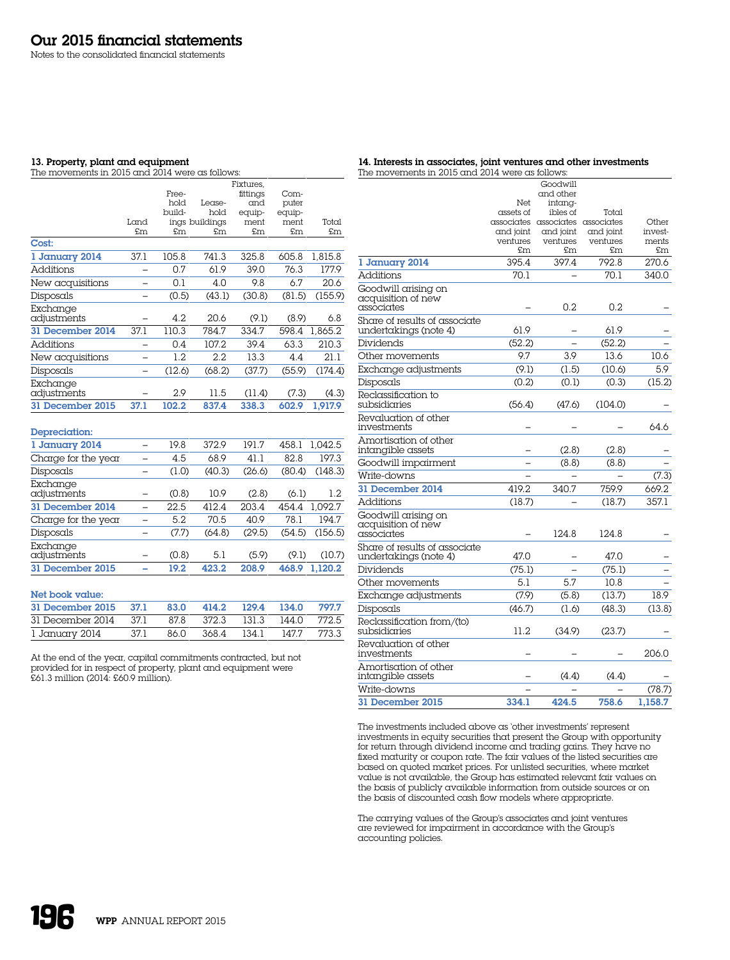Notes to the consolidated financial statements

# 13. Property, plant and equipment

The movements in 2015 and 2014 were as follows:

| 14. Interests in associates, joint ventures and other investments |
|-------------------------------------------------------------------|
| The movements in 2015 and 2014 were as follows:                   |

|                         |                          |        |                | Fixtures, |        |         |
|-------------------------|--------------------------|--------|----------------|-----------|--------|---------|
|                         |                          | Free-  |                | fittings  | Com-   |         |
|                         |                          | hold   | Lease-         | and       | puter  |         |
|                         |                          | -build | hold           | equip-    | equip- |         |
|                         | Land                     |        | ings buildings | ment      | ment   | Total   |
|                         | £m                       | £m     | £m             | £m        | £m     | £m      |
| Cost:                   |                          |        |                |           |        |         |
| 1 January 2014          | 37.1                     | 105.8  | 741.3          | 325.8     | 605.8  | 1,815.8 |
| <b>Additions</b>        |                          | 0.7    | 61.9           | 39.0      | 76.3   | 177.9   |
| New acquisitions        | -                        | 0.1    | 4.0            | 9.8       | 6.7    | 20.6    |
| Disposals               |                          | (0.5)  | (43.1)         | (30.8)    | (81.5) | (155.9) |
| Exchange<br>adjustments |                          | 4.2    | 20.6           | (9.1)     | (8.9)  | 6.8     |
| 31 December 2014        | 37.1                     | 110.3  | 784.7          | 334.7     | 598.4  | 1.865.2 |
| <b>Additions</b>        |                          | 0.4    | 107.2          | 39.4      | 63.3   | 210.3   |
| New acquisitions        |                          | 1.2    | 2.2            | 13.3      | 4.4    | 21.1    |
| Disposals               |                          | (12.6) | (68.2)         | (37.7)    | (55.9) | (174.4) |
| Exchange<br>adjustments |                          | 2.9    | 11.5           | (11.4)    | (7.3)  | (4.3)   |
| 31 December 2015        | 37.1                     | 102.2  | 837.4          | 338.3     | 602.9  | 1.917.9 |
| Depreciation:           |                          |        |                |           |        |         |
| 1 January 2014          |                          | 19.8   | 372.9          | 191.7     | 458.1  | 1.042.5 |
| Charge for the year     | -                        | 4.5    | 68.9           | 41.1      | 82.8   | 197.3   |
| Disposals               | -                        | (1.0)  | (40.3)         | (26.6)    | (80.4) | (148.3) |
| Exchange<br>adjustments |                          | (0.8)  | 10.9           | (2.8)     | (6.1)  | 1.2     |
| 31 December 2014        | $\overline{\phantom{0}}$ | 22.5   | 412.4          | 203.4     | 454.4  | 1.092.7 |
| Charge for the year     |                          | 5.2    | 70.5           | 40.9      | 78.1   | 194.7   |
| Disposals               |                          | (7.7)  | (64.8)         | (29.5)    | (54.5) | (156.5) |
| Exchange<br>adjustments |                          | (0.8)  | 5.1            | (5.9)     | (9.1)  | (10.7)  |
| 31 December 2015        |                          | 19.2   | 423.2          | 208.9     | 468.9  | 1.120.2 |

#### Net book value:

| 31 December 2015 37.1 |      | 83.0 | 414.2 129.4 134.0            |  | 797.7 |
|-----------------------|------|------|------------------------------|--|-------|
| 31 December 2014 37.1 |      |      | 87.8 372.3 131.3 144.0 772.5 |  |       |
| l January 2014        | 37.1 | 86.0 | 368.4 134.1 147.7            |  | 773.3 |

At the end of the year, capital commitments contracted, but not provided for in respect of property, plant and equipment were £61.3 million (2014: £60.9 million).

|                                                         |                       | Goodwill                         |                       |                  |
|---------------------------------------------------------|-----------------------|----------------------------------|-----------------------|------------------|
|                                                         |                       | and other                        |                       |                  |
|                                                         | Net                   | intana-                          |                       |                  |
|                                                         | assets of             | ibles of                         | Total                 |                  |
|                                                         |                       | associates associates associates |                       | Other            |
|                                                         | and joint<br>ventures | and joint<br>ventures            | and joint<br>ventures | invest-<br>ments |
|                                                         | £m.                   | £m                               | £m                    | £m               |
| 1 January 2014                                          | 395.4                 | 397.4                            | 792.8                 | 270.6            |
| <b>Additions</b>                                        | 70.1                  |                                  | 70.1                  | 340.0            |
| Goodwill arising on                                     |                       |                                  |                       |                  |
| acquisition of new<br>associates                        |                       | 0.2                              | 0.2                   |                  |
| Share of results of associate                           |                       |                                  |                       |                  |
| undertakings (note 4)                                   | 61.9                  |                                  | 61.9                  |                  |
| Dividends                                               | (52.2)                |                                  | (52.2)                |                  |
| Other movements                                         | 9.7                   | 3.9                              | 13.6                  | 10.6             |
| Exchange adjustments                                    | (9.1)                 | (1.5)                            | (10.6)                | 5.9              |
| Disposals                                               | (0.2)                 | (0.1)                            | (0.3)                 | (15.2)           |
| Reclassification to<br>subsidiaries                     | (56.4)                | (47.6)                           | (104.0)               |                  |
| Revaluation of other<br>investments                     |                       |                                  |                       | 64.6             |
| Amortisation of other<br>intangible assets              |                       | (2.8)                            | (2.8)                 |                  |
| Goodwill impairment                                     |                       | (8.8)                            | (8.8)                 |                  |
| Write-downs                                             |                       |                                  |                       | (7.3)            |
| 31 December 2014                                        | 419.2                 | 340.7                            | 759.9                 | 669.2            |
| Additions                                               | (18.7)                |                                  | (18.7)                | 357.1            |
| Goodwill arising on<br>acquisition of new<br>associates |                       | 124.8                            | 124.8                 |                  |
| Share of results of associate                           |                       |                                  |                       |                  |
| undertakings (note 4)                                   | 47.0                  |                                  | 47.0                  |                  |
| Dividends                                               | (75.1)                |                                  | (75.1)                |                  |
| Other movements                                         | 5.1                   | 5.7                              | 10.8                  |                  |
| Exchange adjustments                                    | (7.9)                 | (5.8)                            | (13.7)                | 18.9             |
| Disposals                                               | (46.7)                | (1.6)                            | (48.3)                | (13.8)           |
| Reclassification from/(to)<br>subsidiaries              | 11.2                  | (34.9)                           | (23.7)                |                  |
| Revaluation of other<br>investments                     |                       |                                  |                       | 206.0            |
| Amortisation of other<br>intangible assets              |                       | (4.4)                            | (4.4)                 |                  |
| Write-downs                                             |                       |                                  |                       | (78.7)           |
| 31 December 2015                                        | 334.1                 | 424.5                            | 758.6                 | 1.158.7          |

The investments included above as 'other investments' represent investments in equity securities that present the Group with opportunity for return through dividend income and trading gains. They have no fixed maturity or coupon rate. The fair values of the listed securities are based on quoted market prices. For unlisted securities, where market value is not available, the Group has estimated relevant fair values on the basis of publicly available information from outside sources or on the basis of discounted cash flow models where appropriate.

The carrying values of the Group's associates and joint ventures are reviewed for impairment in accordance with the Group's accounting policies.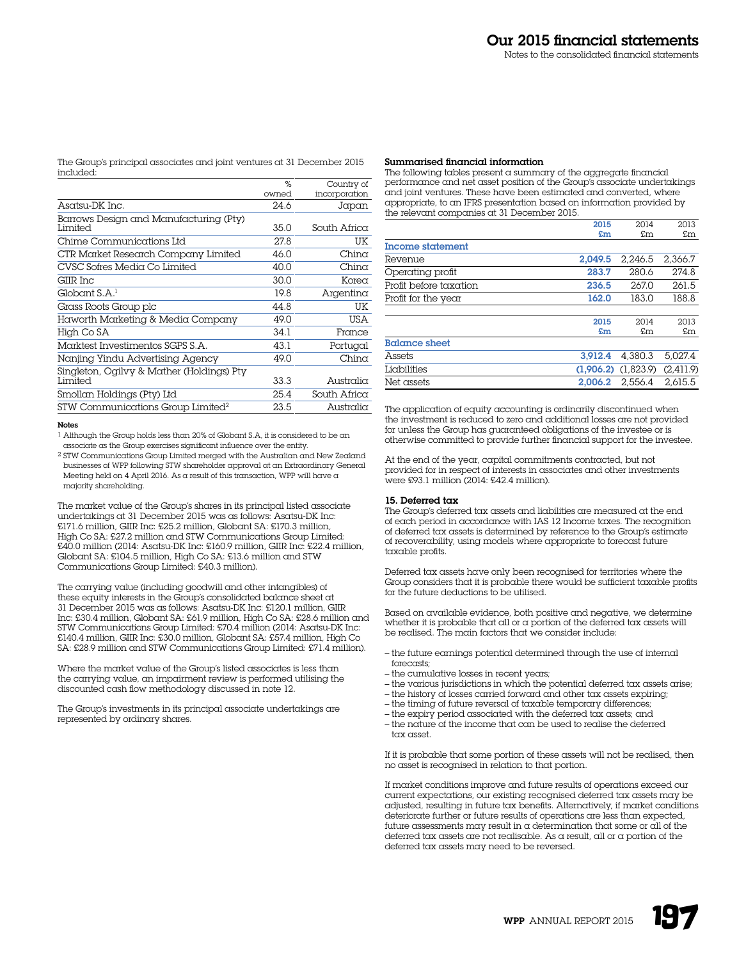The Group's principal associates and joint ventures at 31 December 2015 included:

|                                               | %     | Country of    |
|-----------------------------------------------|-------|---------------|
|                                               | owned | incorporation |
| Asatsu-DK Inc.                                | 24.6  | Japan         |
| Barrows Design and Manufacturing (Pty)        |       |               |
| Limited                                       | 35.0  | South Africa  |
| Chime Communications Ltd                      | 27.8  | UK            |
| CTR Market Research Company Limited           | 46.0  | $Chin\alpha$  |
| CVSC Sofres Media Co Limited                  | 40.0  | $Chin\alpha$  |
| GIIR Inc                                      | 30.0  | Korea         |
| GlobalS.A. <sup>1</sup>                       | 19.8  | Argentina     |
| Grass Roots Group plc                         | 448   | UK            |
| Haworth Marketing & Media Company             | 49.0  | USA           |
| High Co SA                                    | 34.1  | France        |
| Marktest Investimentos SGPS S.A.              | 43.1  | Portugal      |
| Nanjing Yindu Advertising Agency              | 49.0  | $Chin\alpha$  |
| Singleton, Ogilvy & Mather (Holdings) Pty     |       |               |
| Limited                                       | 33.3  | Australia     |
| Smollan Holdings (Pty) Ltd                    | 25.4  | South Africa  |
| STW Communications Group Limited <sup>2</sup> | 23.5  | Australia     |

#### Notes

1 Although the Group holds less than 20% of Globant S.A, it is considered to be an associate as the Group exercises significant influence over the entity.

2 STW Communications Group Limited merged with the Australian and New Zealand businesses of WPP following STW shareholder approval at an Extraordinary General Meeting held on 4 April 2016. As a result of this transaction, WPP will have a majority shareholding.

The market value of the Group's shares in its principal listed associate undertakings at 31 December 2015 was as follows: Asatsu-DK Inc: £171.6 million, GIIR Inc: £25.2 million, Globant SA: £170.3 million, High Co SA: £27.2 million and STW Communications Group Limited: £40.0 million (2014: Asatsu-DK Inc: £160.9 million, GIIR Inc: £22.4 million, Globant SA: £104.5 million, High Co SA: £13.6 million and STW Communications Group Limited: £40.3 million).

The carrying value (including goodwill and other intangibles) of these equity interests in the Group's consolidated balance sheet at 31 December 2015 was as follows: Asatsu-DK Inc: £120.1 million, GIIR Inc: £30.4 million, Globant SA: £61.9 million, High Co SA: £28.6 million and STW Communications Group Limited: £70.4 million (2014: Asatsu-DK Inc: £140.4 million, GIIR Inc: £30.0 million, Globant SA: £57.4 million, High Co SA: £28.9 million and STW Communications Group Limited: £71.4 million).

Where the market value of the Group's listed associates is less than the carrying value, an impairment review is performed utilising the discounted cash flow methodology discussed in note 12.

The Group's investments in its principal associate undertakings are represented by ordinary shares.

#### Summarised financial information

The following tables present a summary of the aggregate financial performance and net asset position of the Group's associate undertakings and joint ventures. These have been estimated and converted, where appropriate, to an IFRS presentation based on information provided by the relevant companies at 31 December 2015.

|                        | 2015    | 2014                    | 2013      |
|------------------------|---------|-------------------------|-----------|
|                        | £m      | £m                      | £m        |
| Income statement       |         |                         |           |
| Revenue                | 2.049.5 | 2.246.5                 | 2.366.7   |
| Operating profit       | 283.7   | 280.6                   | 274.8     |
| Profit before taxation | 236.5   | 267.0                   | 261.5     |
| Profit for the year    | 162.0   | 183.0                   | 188.8     |
|                        |         |                         |           |
|                        | 2015    | 2014                    | 2013      |
|                        | £m      | £m                      | £m        |
| <b>Balance sheet</b>   |         |                         |           |
| Assets                 | 3.912.4 | 4.380.3                 | 5.027.4   |
| Liabilities            |         | $(1.906.2)$ $(1.823.9)$ | (2,411.9) |
| Net assets             | 2.006.2 | 2.556.4                 | 2.615.5   |

The application of equity accounting is ordinarily discontinued when the investment is reduced to zero and additional losses are not provided for unless the Group has guaranteed obligations of the investee or is otherwise committed to provide further financial support for the investee.

At the end of the year, capital commitments contracted, but not provided for in respect of interests in associates and other investments were £93.1 million (2014: £42.4 million).

#### 15. Deferred tax

The Group's deferred tax assets and liabilities are measured at the end of each period in accordance with IAS 12 Income taxes. The recognition of deferred tax assets is determined by reference to the Group's estimate of recoverability, using models where appropriate to forecast future taxable profits.

Deferred tax assets have only been recognised for territories where the Group considers that it is probable there would be sufficient taxable profits for the future deductions to be utilised.

Based on available evidence, both positive and negative, we determine whether it is probable that all or a portion of the deferred tax assets will be realised. The main factors that we consider include:

- the future earnings potential determined through the use of internal forecasts;
- the cumulative losses in recent years;
- the various jurisdictions in which the potential deferred tax assets arise;
- the history of losses carried forward and other tax assets expiring;
- the timing of future reversal of taxable temporary differences;
- the expiry period associated with the deferred tax assets; and
- the nature of the income that can be used to realise the deferred tax asset.

If it is probable that some portion of these assets will not be realised, then no asset is recognised in relation to that portion.

If market conditions improve and future results of operations exceed our current expectations, our existing recognised deferred tax assets may be adjusted, resulting in future tax benefits. Alternatively, if market conditions deteriorate further or future results of operations are less than expected, future assessments may result in a determination that some or all of the deferred tax assets are not realisable. As a result, all or a portion of the deferred tax assets may need to be reversed.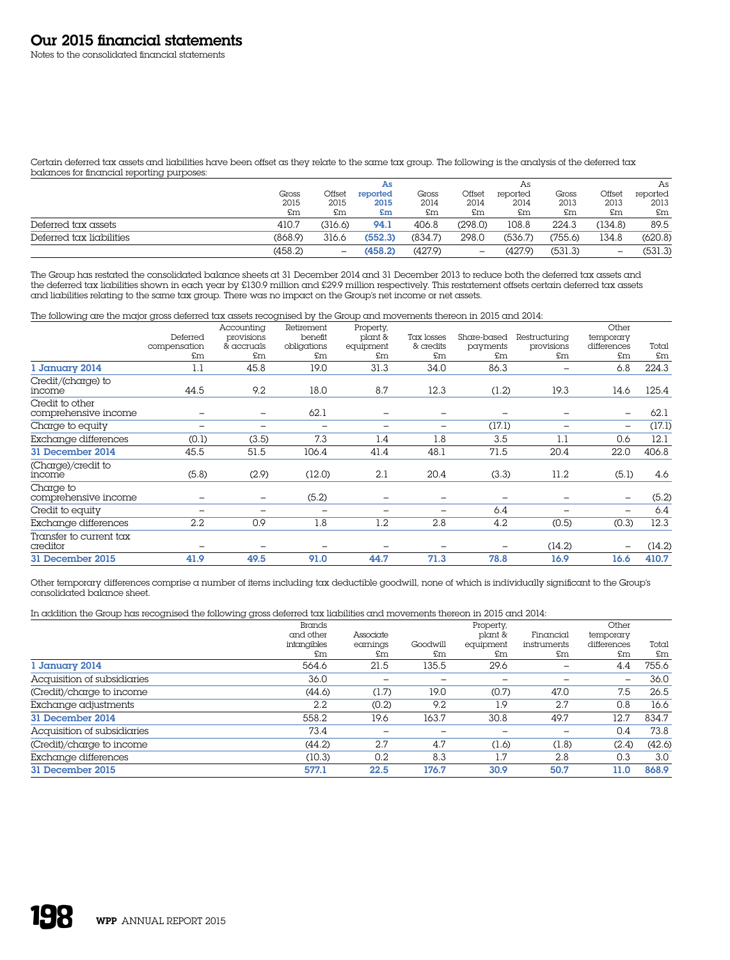Notes to the consolidated financial statements

Certain deferred tax assets and liabilities have been offset as they relate to the same tax group. The following is the analysis of the deferred tax balances for financial reporting purposes:

|                          |         |                 | As       |         |                   | As       |         |                          | As       |
|--------------------------|---------|-----------------|----------|---------|-------------------|----------|---------|--------------------------|----------|
|                          | Gross   | Offset          | reported | Gross   | Offset            | reported | Gross   | Offset                   | reported |
|                          | 2015    | 2015            | 2015     | 2014    | 2014              | 2014     | 2013    | 2013                     | 2013     |
|                          | £m      | £m              | £m       | £m      | £m                | £m       | £m      | £m                       | £m       |
| Deferred tax assets      | 410.7   | (316.6)         | 94.1     | 406.8   | (298.0)           | 108.8    | 224.3   | (134.8)                  | 89.5     |
| Deferred tax liabilities | (868.9) | 316.6           | (552.3)  | (834.7) | 298.0             | (536.7)  | 755.6   | 134.8                    | (620.8)  |
|                          | (458.2) | $\qquad \qquad$ | (458.2)  | (427.9) | $\qquad \qquad -$ | (427.9)  | (531.3) | $\overline{\phantom{0}}$ | (531.3)  |

The Group has restated the consolidated balance sheets at 31 December 2014 and 31 December 2013 to reduce both the deferred tax assets and the deferred tax liabilities shown in each year by £130.9 million and £29.9 million respectively. This restatement offsets certain deferred tax assets and liabilities relating to the same tax group. There was no impact on the Group's net income or net assets.

The following are the major gross deferred tax assets recognised by the Group and movements thereon in 2015 and 2014:

|                                         |              | Accounting               | Retirement               | Property, |            |             |               | Other                    |        |
|-----------------------------------------|--------------|--------------------------|--------------------------|-----------|------------|-------------|---------------|--------------------------|--------|
|                                         | Deferred     | provisions               | benefit                  | plant &   | Tax losses | Share-based | Restructuring | temporary                |        |
|                                         | compensation | & accruals               | obligations              | equipment | & credits  | payments    | provisions    | differences              | Total  |
|                                         | £m           | £m                       | £m                       | £m        | £m         | £m          | £m            | £m                       | £m     |
| 1 January 2014                          | 1.1          | 45.8                     | 19.0                     | 31.3      | 34.0       | 86.3        |               | 6.8                      | 224.3  |
| Credit/(charge) to<br>income            | 44.5         | 9.2                      | 18.0                     | 8.7       | 12.3       | (1.2)       | 19.3          | 14.6                     | 125.4  |
| Credit to other<br>comprehensive income |              | -                        | 62.1                     |           | -          |             | -             | $\overline{\phantom{0}}$ | 62.1   |
| Charge to equity                        | -            |                          | $\overline{\phantom{0}}$ | -         | -          | (17.1)      |               | $\overline{\phantom{0}}$ | (17.1) |
| Exchange differences                    | (0.1)        | (3.5)                    | 7.3                      | 1.4       | 1.8        | 3.5         | 1.1           | 0.6                      | 12.1   |
| 31 December 2014                        | 45.5         | 51.5                     | 106.4                    | 41.4      | 48.1       | 71.5        | 20.4          | 22.0                     | 406.8  |
| (Charge)/credit to<br>income            | (5.8)        | (2.9)                    | (12.0)                   | 2.1       | 20.4       | (3.3)       | 11.2          | (5.1)                    | 4.6    |
| Charge to<br>comprehensive income       |              | -                        | (5.2)                    | -         | -          |             | -             | -                        | (5.2)  |
| Credit to equity                        | -            | $\overline{\phantom{a}}$ | $\overline{\phantom{a}}$ | -         | -          | 6.4         |               | -                        | 6.4    |
| Exchange differences                    | 2.2          | 0.9                      | 1.8                      | 1.2       | 2.8        | 4.2         | (0.5)         | (0.3)                    | 12.3   |
| Transfer to current tax<br>creditor     | -            | -                        |                          | -         | -          |             | (14.2)        | $\overline{\phantom{0}}$ | (14.2) |
| 31 December 2015                        | 41.9         | 49.5                     | 91.0                     | 44.7      | 71.3       | 78.8        | 16.9          | 16.6                     | 410.7  |

Other temporary differences comprise a number of items including tax deductible goodwill, none of which is individually significant to the Group's consolidated balance sheet.

In addition the Group has recognised the following gross deferred tax liabilities and movements thereon in 2015 and 2014:

| $\checkmark$                | $\check{ }$ |           |          |           |             |             |        |
|-----------------------------|-------------|-----------|----------|-----------|-------------|-------------|--------|
|                             | Brands      |           |          | Property, |             | Other       |        |
|                             | and other   | Associate |          | plant &   | Financial   | temporary   |        |
|                             | intangibles | earnings  | Goodwill | equipment | instruments | differences | Total  |
|                             | £m          | £m        | £m       | £m        | £m          | £m          | £m     |
| 1 January 2014              | 564.6       | 21.5      | 135.5    | 29.6      |             | 4.4         | 755.6  |
| Acquisition of subsidiaries | 36.0        | -         |          |           |             | -           | 36.0   |
| (Credit)/charge to income   | (44.6)      | (1.7)     | 19.0     | (0.7)     | 47.0        | 7.5         | 26.5   |
| Exchange adjustments        | 2.2         | (0.2)     | 9.2      | 1.9       | 2.7         | 0.8         | 16.6   |
| 31 December 2014            | 558.2       | 19.6      | 163.7    | 30.8      | 49.7        | 12.7        | 834.7  |
| Acquisition of subsidiaries | 73.4        |           |          |           | -           | 0.4         | 73.8   |
| (Credit)/charge to income   | (44.2)      | 2.7       | 4.7      | (1.6)     | (1.8)       | (2.4)       | (42.6) |
| Exchange differences        | (10.3)      | 0.2       | 8.3      | 1.7       | 2.8         | 0.3         | 3.0    |
| 31 December 2015            | 577.1       | 22.5      | 176.7    | 30.9      | 50.7        | 11.0        | 868.9  |
|                             |             |           |          |           |             |             |        |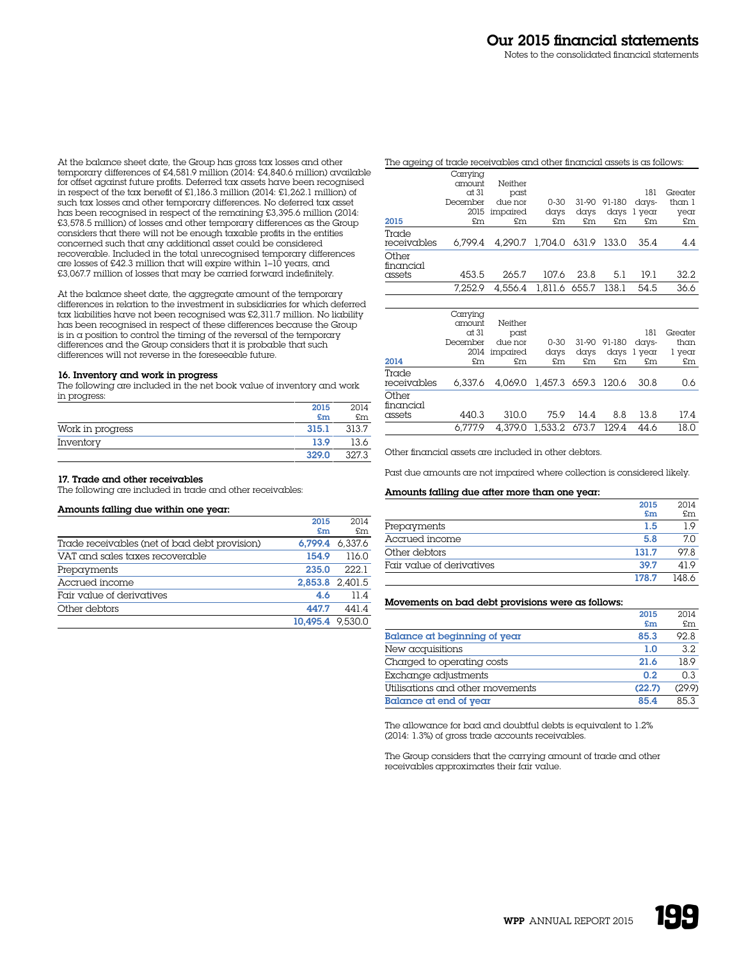At the balance sheet date, the Group has gross tax losses and other temporary differences of £4,581.9 million (2014: £4,840.6 million) available for offset against future profits. Deferred tax assets have been recognised in respect of the tax benefit of £1,186.3 million (2014: £1,262.1 million) of such tax losses and other temporary differences. No deferred tax asset has been recognised in respect of the remaining £3,395.6 million (2014: £3,578.5 million) of losses and other temporary differences as the Group considers that there will not be enough taxable profits in the entities concerned such that any additional asset could be considered recoverable. Included in the total unrecognised temporary differences are losses of £42.3 million that will expire within 1–10 years, and £3,067.7 million of losses that may be carried forward indefinitely.

At the balance sheet date, the aggregate amount of the temporary differences in relation to the investment in subsidiaries for which deferred tax liabilities have not been recognised was £2,311.7 million. No liability has been recognised in respect of these differences because the Group is in  $\alpha$  position to control the timing of the reversal of the temporary differences and the Group considers that it is probable that such differences will not reverse in the foreseeable future.

# 16. Inventory and work in progress

The following are included in the net book value of inventory and work in progress:

|                  | 2015  | 2014  |
|------------------|-------|-------|
|                  | $5$ m | £m    |
| Work in progress | 315.1 | 313.7 |
| Inventory        | 13.9  | 13.6  |
|                  | 329.0 | 327.3 |

# 17. Trade and other receivables

The following are included in trade and other receivables:

# Amounts falling due within one year:

|                                               | 2015             | 2014            |
|-----------------------------------------------|------------------|-----------------|
|                                               | £m               | £m              |
| Trade receivables (net of bad debt provision) |                  | 6.799.4 6.337.6 |
| VAT and sales taxes recoverable               | 154.9            | 116.0           |
| Prepayments                                   | 235.0            | 222.1           |
| Accrued income                                |                  | 2.853.8 2.401.5 |
| Fair value of derivatives                     | 4.6              | 11.4            |
| Other debtors                                 | 447.7            | 441.4           |
|                                               | 10.495.4 9.530.0 |                 |

| The ageing of trade receivables and other financial assets is as follows: |          |          |                             |       |        |             |         |
|---------------------------------------------------------------------------|----------|----------|-----------------------------|-------|--------|-------------|---------|
|                                                                           | Carrying |          |                             |       |        |             |         |
|                                                                           | amount   | Neither  |                             |       |        |             |         |
|                                                                           | $ct$ 31  | past     |                             |       |        | 181         | Greater |
|                                                                           | December | due nor  | $0 - 30$                    | 31-90 | 91-180 | days-       | than 1  |
|                                                                           | 2015     | impaired | days                        | davs  |        | days 1 year | year    |
| 2015                                                                      | £m       | £m       | £m                          | £m    | £m     | £m          | £m      |
| Trade                                                                     |          |          |                             |       |        |             |         |
| receivables                                                               | 6.799.4  |          | 4.290.7 1.704.0 631.9 133.0 |       |        | 35.4        | 4.4     |
| Other<br>financial                                                        |          |          |                             |       |        |             |         |
| assets                                                                    | 453.5    | 265.7    | 1076                        | 23.8  | 5.1    | 19.1        | 32.2.   |
|                                                                           | 7.252.9  | 4.556.4  | 1,811.6 655.7               |       | 138.1  | 54.5        | 36.6    |

| 2014                         | Carrying<br>amount<br>at 31<br>December<br>£m | Neither<br>past<br>due nor<br>2014 impaired<br>£m | $0 - 30$<br>days<br>£m      | days<br>£m | 31-90 91-180<br>£m | 181<br>days-<br>days 1 year<br>£m | Greater<br>than<br>l year<br>£m |
|------------------------------|-----------------------------------------------|---------------------------------------------------|-----------------------------|------------|--------------------|-----------------------------------|---------------------------------|
| Trade<br>receivables         | 6.337.6                                       |                                                   | 4,069.0 1,457.3 659.3 120.6 |            |                    | 30.8                              | 0.6                             |
| Other<br>financial<br>assets | 440.3                                         | 310.0                                             | 75.9                        | 14.4       | 8.8                | 13.8                              | 17.4                            |
|                              | 6.777.9                                       |                                                   | 4.379.0 1.533.2 673.7 129.4 |            |                    | 44.6                              | 18.0                            |

Other financial assets are included in other debtors.

Past due amounts are not impaired where collection is considered likely.

#### Amounts falling due after more than one year:

|                           | 2015  | 2014  |
|---------------------------|-------|-------|
|                           | £m    | £m    |
| Prepayments               | 1.5   | 19    |
| Accrued income            | 5.8   | 70    |
| Other debtors             | 131.7 | 978   |
| Fair value of derivatives | 39.7  | 419   |
|                           | 178.7 | 148.6 |

#### Movements on bad debt provisions were as follows:

|                                  | 2015   | 2014   |
|----------------------------------|--------|--------|
|                                  | £m     | £m     |
| Balance at beginning of year     | 85.3   | 92.8   |
| New acquisitions                 | 1.0    | 32     |
| Charged to operating costs       | 21.6   | 18.9   |
| Exchange adjustments             | 0.2    | 0.3    |
| Utilisations and other movements | (22.7) | (29.9) |
| Balance at end of year           | 85.4   | 853    |

The allowance for bad and doubtful debts is equivalent to 1.2% (2014: 1.3%) of gross trade accounts receivables.

The Group considers that the carrying amount of trade and other receivables approximates their fair value.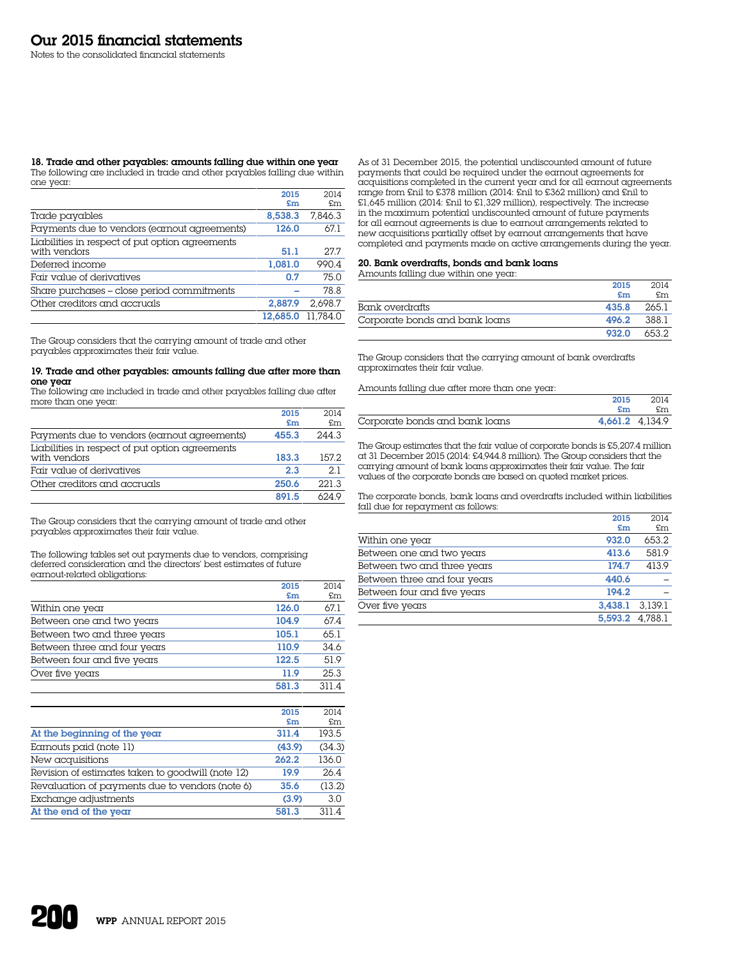#### 18. Trade and other payables: amounts falling due within one year The following are included in trade and other payables falling due within one year:

|                                                                 | 2015     | 2014     |
|-----------------------------------------------------------------|----------|----------|
|                                                                 | £m       | £m.      |
| Trade payables                                                  | 8,538.3  | 7.846.3  |
| Payments due to vendors (earnout agreements)                    | 126.0    | 67.1     |
| Liabilities in respect of put option agreements<br>with vendors | 51.1     | 277      |
| Deferred income                                                 | 1.081.0  | 990.4    |
| Fair value of derivatives                                       | 0.7      | 75.0     |
| Share purchases - close period commitments                      |          | 78.8     |
| Other creditors and accruals                                    | 2.887.9  | 2.698.7  |
|                                                                 | 12,685.0 | 11.784.0 |

The Group considers that the carrying amount of trade and other payables approximates their fair value.

#### 19. Trade and other payables: amounts falling due after more than one year

The following are included in trade and other payables falling due after more than one year:

|                                                 | 2015  | 2014  |
|-------------------------------------------------|-------|-------|
|                                                 | £m    | £m    |
| Payments due to vendors (earnout agreements)    | 455.3 | 244.3 |
| Liabilities in respect of put option agreements |       |       |
| with vendors                                    | 183.3 | 1572  |
| Fair value of derivatives                       | 2.3   | 2.1   |
| Other creditors and accruals                    | 250.6 | 221.3 |
|                                                 | 891.5 | 6249  |

The Group considers that the carrying amount of trade and other payables approximates their fair value.

The following tables set out payments due to vendors, comprising deferred consideration and the directors' best estimates of future earnout-related obligations:

|                              | 2015  | 2014  |
|------------------------------|-------|-------|
|                              | £m    | £m    |
| Within one year              | 126.0 | 67.1  |
| Between one and two years    | 104.9 | 67.4  |
| Between two and three years  | 105.1 | 65.1  |
| Between three and four years | 110.9 | 34.6  |
| Between four and five years  | 122.5 | 51.9  |
| Over five years              | 11.9  | 25.3  |
|                              | 581.3 | 311.4 |

|                                                   | 2015   | 2014   |
|---------------------------------------------------|--------|--------|
|                                                   | £m     | £m     |
| At the beginning of the year                      | 311.4  | 193.5  |
| Earnouts paid (note 11)                           | (43.9) | (34.3) |
| New acquisitions                                  | 262.2  | 136.0  |
| Revision of estimates taken to goodwill (note 12) | 19.9   | 26.4   |
| Revaluation of payments due to vendors (note 6)   | 35.6   | (13.2) |
| Exchange adjustments                              | (3.9)  | 3.0    |
| At the end of the year                            | 581.3  | 311.4  |

As of 31 December 2015, the potential undiscounted amount of future payments that could be required under the earnout agreements for acquisitions completed in the current year and for all earnout agreements range from £nil to £378 million (2014: £nil to £362 million) and £nil to £1,645 million (2014: £nil to £1,329 million), respectively. The increase in the maximum potential undiscounted amount of future payments for all earnout agreements is due to earnout arrangements related to new acquisitions partially offset by earnout arrangements that have completed and payments made on active arrangements during the year.

# 20. Bank overdrafts, bonds and bank loans

#### Amounts falling due within one year:

|                                | 2015  | 2014  |
|--------------------------------|-------|-------|
|                                | £m    | £m    |
| Bank overdrafts                | 435.8 | 2651  |
| Corporate bonds and bank loans | 496.2 | 3881  |
|                                | 932.0 | 653.2 |

The Group considers that the carrying amount of bank overdrafts approximates their fair value.

Amounts falling due after more than one year:

|                                | 2015 | 2014            |
|--------------------------------|------|-----------------|
|                                | £m   | f.m             |
| Corporate bonds and bank loans |      | 4.661.2 4.134.9 |

The Group estimates that the fair value of corporate bonds is £5,207.4 million at 31 December 2015 (2014: £4,944.8 million). The Group considers that the carrying amount of bank loans approximates their fair value. The fair values of the corporate bonds are based on quoted market prices.

The corporate bonds, bank loans and overdrafts included within liabilities fall due for repayment as follows:

|                              | 2015    | 2014    |
|------------------------------|---------|---------|
|                              | £m      | £m      |
| Within one year              | 932.0   | 653.2   |
| Between one and two years    | 413.6   | 581.9   |
| Between two and three years  | 174.7   | 413.9   |
| Between three and four years | 440.6   |         |
| Between four and five years  | 194.2   |         |
| Over five years              | 3.438.1 | 3.139.1 |
|                              | 5,593.2 | 4.788.1 |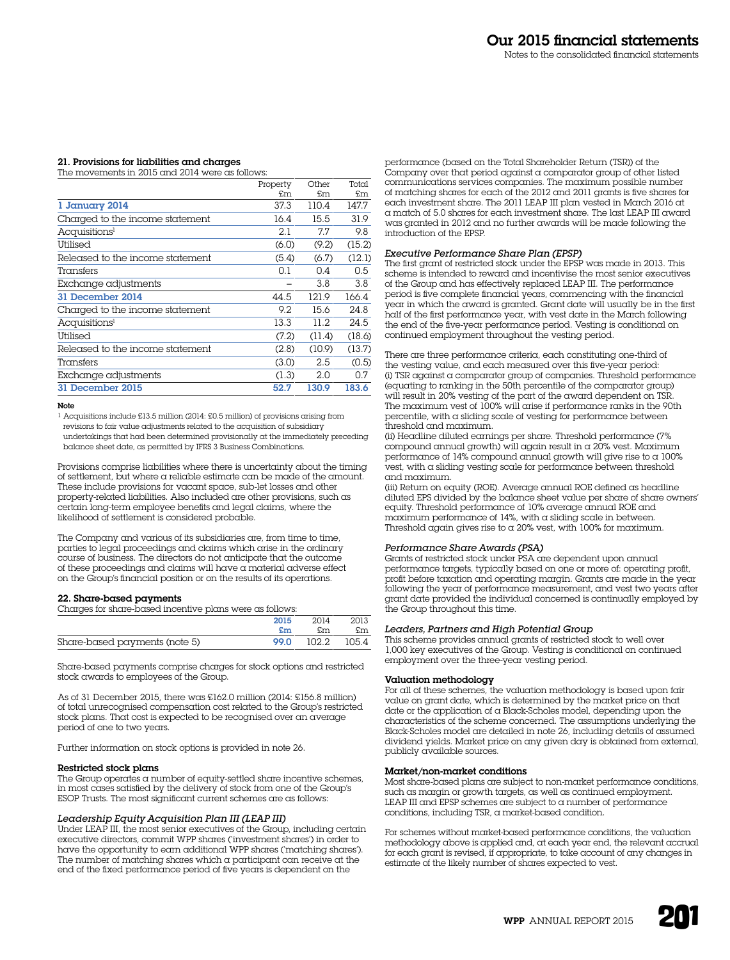# 21. Provisions for liabilities and charges

The movements in 2015 and 2014 were as follows:

|                                  | Property | Other  | Total  |
|----------------------------------|----------|--------|--------|
|                                  | £m       | £m     | £m     |
| 1 January 2014                   | 37.3     | 110.4  | 147.7  |
| Charged to the income statement  | 16.4     | 15.5   | 31.9   |
| Acquisitions <sup>1</sup>        | 2.1      | 7.7    | 9.8    |
| Utilised                         | (6.0)    | (9.2)  | (15.2) |
| Released to the income statement | (5.4)    | (6.7)  | (12.1) |
| Transfers                        | 0.1      | 0.4    | 0.5    |
| Exchange adjustments             |          | 3.8    | 3.8    |
| 31 December 2014                 | 44.5     | 121.9  | 166.4  |
| Charged to the income statement  | 9.2      | 15.6   | 24.8   |
| Acquisitions <sup>1</sup>        | 13.3     | 11.2.  | 24.5   |
| Utilised                         | (7.2)    | (11.4) | (18.6) |
| Released to the income statement | (2.8)    | (10.9) | (13.7) |
| Transfers                        | (3.0)    | 2.5    | (0.5)  |
| Exchange adjustments             | (1.3)    | 2.0    | 0.7    |
| 31 December 2015                 | 52.7     | 130.9  | 183.6  |
|                                  |          |        |        |

#### Note

1 Acquisitions include £13.5 million (2014: £0.5 million) of provisions arising from revisions to fair value adjustments related to the acquisition of subsidiary undertakings that had been determined provisionally at the immediately preceding balance sheet date, as permitted by IFRS 3 Business Combinations.

Provisions comprise liabilities where there is uncertainty about the timing of settlement, but where a reliable estimate can be made of the amount. These include provisions for vacant space, sub-let losses and other property-related liabilities. Also included are other provisions, such as certain long-term employee benefits and legal claims, where the likelihood of settlement is considered probable.

The Company and various of its subsidiaries are, from time to time, parties to legal proceedings and claims which arise in the ordinary course of business. The directors do not anticipate that the outcome of these proceedings and claims will have a material adverse effect on the Group's financial position or on the results of its operations.

#### 22. Share-based payments

Charges for share-based incentive plans were as follows:

|                               | 2015 | 2014             | 2013 |
|-------------------------------|------|------------------|------|
|                               | £m   | £m.              | £m   |
| Share-based payments (note 5) |      | 99.0 102.2 105.4 |      |

Share-based payments comprise charges for stock options and restricted stock awards to employees of the Group.

As of 31 December 2015, there was £162.0 million (2014: £156.8 million) of total unrecognised compensation cost related to the Group's restricted stock plans. That cost is expected to be recognised over an average period of one to two years.

Further information on stock options is provided in note 26.

# Restricted stock plans

The Group operates a number of equity-settled share incentive schemes, in most cases satisfied by the delivery of stock from one of the Group's ESOP Trusts. The most significant current schemes are as follows:

# *Leadership Equity Acquisition Plan III (LEAP III)*

Under LEAP III, the most senior executives of the Group, including certain executive directors, commit WPP shares ('investment shares') in order to have the opportunity to earn additional WPP shares ('matching shares'). The number of matching shares which a participant can receive at the end of the fixed performance period of five years is dependent on the

performance (based on the Total Shareholder Return (TSR)) of the Company over that period against a comparator group of other listed communications services companies. The maximum possible number of matching shares for each of the 2012 and 2011 grants is five shares for each investment share. The 2011 LEAP III plan vested in March 2016 at a match of 5.0 shares for each investment share. The last LEAP III award was granted in 2012 and no further awards will be made following the introduction of the EPSP.

# *Executive Performance Share Plan (EPSP)*

The first grant of restricted stock under the EPSP was made in 2013. This scheme is intended to reward and incentivise the most senior executives of the Group and has effectively replaced LEAP III. The performance period is five complete financial years, commencing with the financial year in which the award is granted. Grant date will usually be in the first half of the first performance year, with vest date in the March following the end of the five-year performance period. Vesting is conditional on continued employment throughout the vesting period.

There are three performance criteria, each constituting one-third of the vesting value, and each measured over this five-year period: (i) TSR against a comparator group of companies. Threshold performance (equating to ranking in the 50th percentile of the comparator group) will result in 20% vesting of the part of the award dependent on TSR. The maximum vest of 100% will arise if performance ranks in the 90th percentile, with a sliding scale of vesting for performance between threshold and maximum.

(ii) Headline diluted earnings per share. Threshold performance (7% compound annual growth) will again result in  $\alpha$  20% vest. Maximum performance of  $14\%$  compound annual growth will give rise to a 100% vest, with a sliding vesting scale for performance between threshold and maximum.

(iii) Return on equity (ROE). Average annual ROE defined as headline diluted EPS divided by the balance sheet value per share of share owners' equity. Threshold performance of 10% average annual ROE and maximum performance of 14%, with a sliding scale in between. Threshold again gives rise to a 20% vest, with 100% for maximum.

# *Performance Share Awards (PSA)*

Grants of restricted stock under PSA are dependent upon annual performance targets, typically based on one or more of: operating profit, profit before taxation and operating margin. Grants are made in the year following the year of performance measurement, and vest two years after grant date provided the individual concerned is continually employed by the Group throughout this time.

# *Leaders, Partners and High Potential Group*

This scheme provides annual grants of restricted stock to well over 1,000 key executives of the Group. Vesting is conditional on continued employment over the three-year vesting period.

#### Valuation methodology

For all of these schemes, the valuation methodology is based upon fair value on grant date, which is determined by the market price on that date or the application of a Black-Scholes model, depending upon the characteristics of the scheme concerned. The assumptions underlying the Black-Scholes model are detailed in note 26, including details of assumed dividend yields. Market price on any given day is obtained from external, publicly available sources.

#### Market/non-market conditions

Most share-based plans are subject to non-market performance conditions, such as margin or growth targets, as well as continued employment. LEAP III and EPSP schemes are subject to a number of performance conditions, including TSR, a market-based condition.

For schemes without market-based performance conditions, the valuation methodology above is applied and, at each year end, the relevant accrual for each grant is revised, if appropriate, to take account of any changes in estimate of the likely number of shares expected to vest.

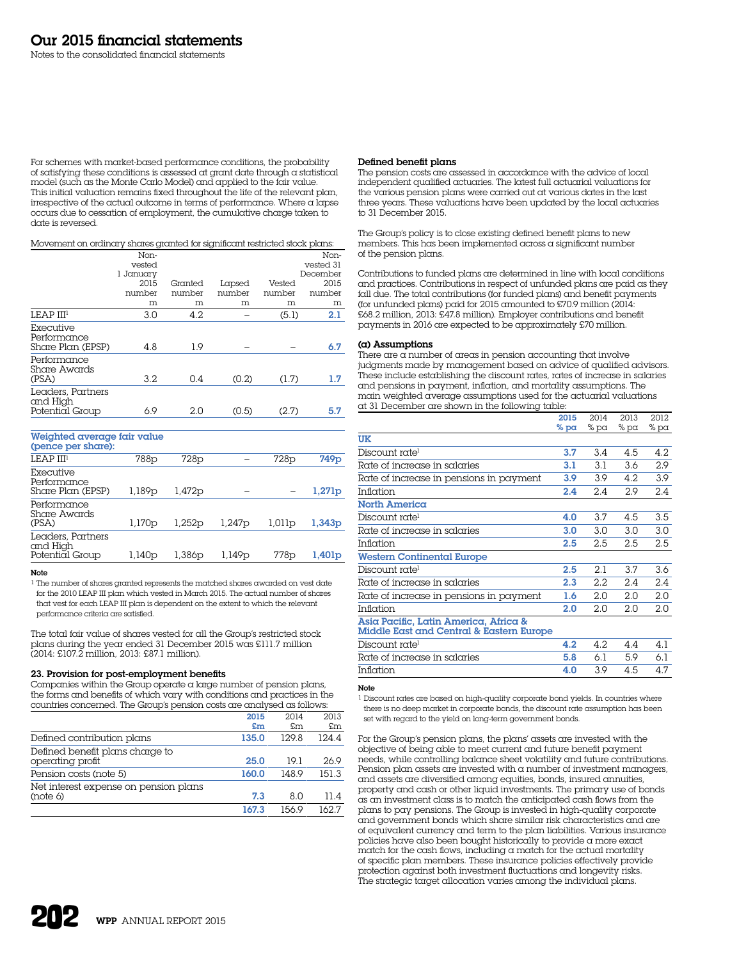For schemes with market-based performance conditions, the probability of satisfying these conditions is assessed at grant date through a statistical model (such as the Monte Carlo Model) and applied to the fair value. This initial valuation remains fixed throughout the life of the relevant plan, irrespective of the actual outcome in terms of performance. Where a lapse occurs due to cessation of employment, the cumulative charge taken to date is reversed.

Movement on ordinary shares granted for significant restricted stock plans:

| Non-   |                             |         |        | Non-             |
|--------|-----------------------------|---------|--------|------------------|
|        |                             |         |        | vested 31        |
|        |                             |         |        | December<br>2015 |
| number | number                      | number  | number | number           |
| m      | m                           | m       | m      | m                |
| 3.0    | 4.2                         |         | (5.1)  | 2.1              |
| 4.8    | 1.9                         |         |        | 6.7              |
| 3.2    | 0.4                         | (0.2)   | (1.7)  | 1.7              |
| 6.9    | 2.0                         | (0.5)   | (2.7)  | 5.7              |
|        | vested<br>1 January<br>2015 | Granted | Lapsed | Vested           |

Weighted average fair value

| (pence per share):                               |                    |                    |        |                  |                    |
|--------------------------------------------------|--------------------|--------------------|--------|------------------|--------------------|
| LEAP III <sup>1</sup>                            | 788p               | 728 <sub>p</sub>   |        | 728 <sub>p</sub> | 749 <sub>p</sub>   |
| Executive<br>Performance<br>Share Plan (EPSP)    | 1,189p             | 1,472p             |        |                  | 1,271 <sub>p</sub> |
| Performance<br>Share Awards<br>(PSA)             | 1,170 <sub>p</sub> | 1.252 <sub>p</sub> | 1,247p | 1,011p           | 1,343p             |
| Leaders, Partners<br>and High<br>Potential Group | 1,140 <sub>p</sub> | 1,386p             | 1,149p | 778p             | 1,401 <sub>p</sub> |

# Note

1 The number of shares granted represents the matched shares awarded on vest date for the 2010 LEAP III plan which vested in March 2015. The actual number of shares that vest for each LEAP III plan is dependent on the extent to which the relevant performance criteria are satisfied.

The total fair value of shares vested for all the Group's restricted stock plans during the year ended 31 December 2015 was £111.7 million (2014: £107.2 million, 2013: £87.1 million).

# 23. Provision for post-employment benefits

Companies within the Group operate  $\alpha$  large number of pension plans, the forms and benefits of which vary with conditions and practices in the countries concerned. The Group's pension costs are analysed as follows:

|                                       | 2015  | 2014  | 2013  |
|---------------------------------------|-------|-------|-------|
|                                       | £m    | £m    | £m    |
| Defined contribution plans            | 135.0 | 1298  | 124.4 |
| Defined benefit plans charge to       |       |       |       |
| operating profit                      | 25.0  | 191   | 26.9  |
| Pension costs (note 5)                | 160.0 | 148.9 | 151.3 |
| Net interest expense on pension plans |       |       |       |
| (note 6)                              | 7.3   | 8.0   | 11.4  |
|                                       | 167.3 | 156 9 | 162.7 |

# Defined benefit plans

The pension costs are assessed in accordance with the advice of local independent qualified actuaries. The latest full actuarial valuations for the various pension plans were carried out at various dates in the last three years. These valuations have been updated by the local actuaries to 31 December 2015.

The Group's policy is to close existing defined benefit plans to new members. This has been implemented across a significant number of the pension plans.

Contributions to funded plans are determined in line with local conditions and practices. Contributions in respect of unfunded plans are paid as they fall due. The total contributions (for funded plans) and benefit payments (for unfunded plans) paid for 2015 amounted to £70.9 million (2014: £68.2 million, 2013: £47.8 million). Employer contributions and benefit payments in 2016 are expected to be approximately £70 million.

# (a) Assumptions

There are a number of areas in pension accounting that involve judgments made by management based on advice of qualified advisors. These include establishing the discount rates, rates of increase in salaries and pensions in payment, inflation, and mortality assumptions. The main weighted average assumptions used for the actuarial valuations at 31 December are shown in the following table:  $2013$ 

|                                                                                   | 2015    | 2014     | 2013   | 2012     |
|-----------------------------------------------------------------------------------|---------|----------|--------|----------|
|                                                                                   | % $pa$  | % pa     | $%$ pa | % pa     |
| UK                                                                                |         |          |        |          |
| Discount rate <sup>1</sup>                                                        | 3.7     | 3.4      | 4.5    | 4.2      |
| Rate of increase in salaries                                                      | 3.1     | 3.1      | 3.6    | 2.9      |
| Rate of increase in pensions in payment                                           | 3.9     | 3.9      | 4.2    | 3.9      |
| Inflation                                                                         | 2.4     | 2.4      | 2.9    | 2.4      |
| North America                                                                     |         |          |        |          |
| Discount rate <sup>1</sup>                                                        | 4.0     | 3.7      | 4.5    | 3.5      |
| Rate of increase in salaries                                                      | 3.0     | 3.0      | 3.0    | 3.0      |
| Inflation                                                                         | $2.5\,$ | 2.5      | 2.5    | 2.5      |
| <b>Western Continental Europe</b>                                                 |         |          |        |          |
| Discount rate <sup>1</sup>                                                        | 2.5     | 2.1      | 3.7    | 3.6      |
| Rate of increase in salaries                                                      | 2.3     | 2.2      | 2.4    | 2.4      |
| Rate of increase in pensions in payment                                           | 1.6     | 2.0      | 2.0    | 2.0      |
| Inflation                                                                         | 2.0     | 2.0      | 2.0    | 2.0      |
| Asia Pacific, Latin America, Africa &<br>Middle East and Central & Eastern Europe |         |          |        |          |
| Discount rate <sup>1</sup>                                                        | 4.2     | 4.2      | 4.4    | 4.1      |
| Data of incraarca in calariac                                                     | 58      | $\sim$ 1 | 50     | $\sim$ 1 |

| Discount rate <sup>1</sup>   | <b>42</b> | 42      | 44          |     |
|------------------------------|-----------|---------|-------------|-----|
| Rate of increase in salaries | 5.8       |         | 6.1 5.9 6.1 |     |
| Inflation                    |           | 4.0 3.9 | 4.5         | 4.7 |

#### Note

1 Discount rates are based on high-quality corporate bond yields. In countries where there is no deep market in corporate bonds, the discount rate assumption has been set with regard to the yield on long-term government bonds.

For the Group's pension plans, the plans' assets are invested with the objective of being able to meet current and future benefit payment needs, while controlling balance sheet volatility and future contributions. Pension plan assets are invested with a number of investment managers, and assets are diversified among equities, bonds, insured annuities, property and cash or other liquid investments. The primary use of bonds as an investment class is to match the anticipated cash flows from the plans to pay pensions. The Group is invested in high-quality corporate and government bonds which share similar risk characteristics and are of equivalent currency and term to the plan liabilities. Various insurance policies have also been bought historically to provide a more exact match for the cash flows, including a match for the actual mortality of specific plan members. These insurance policies effectively provide protection against both investment fluctuations and longevity risks. The strategic target allocation varies among the individual plans.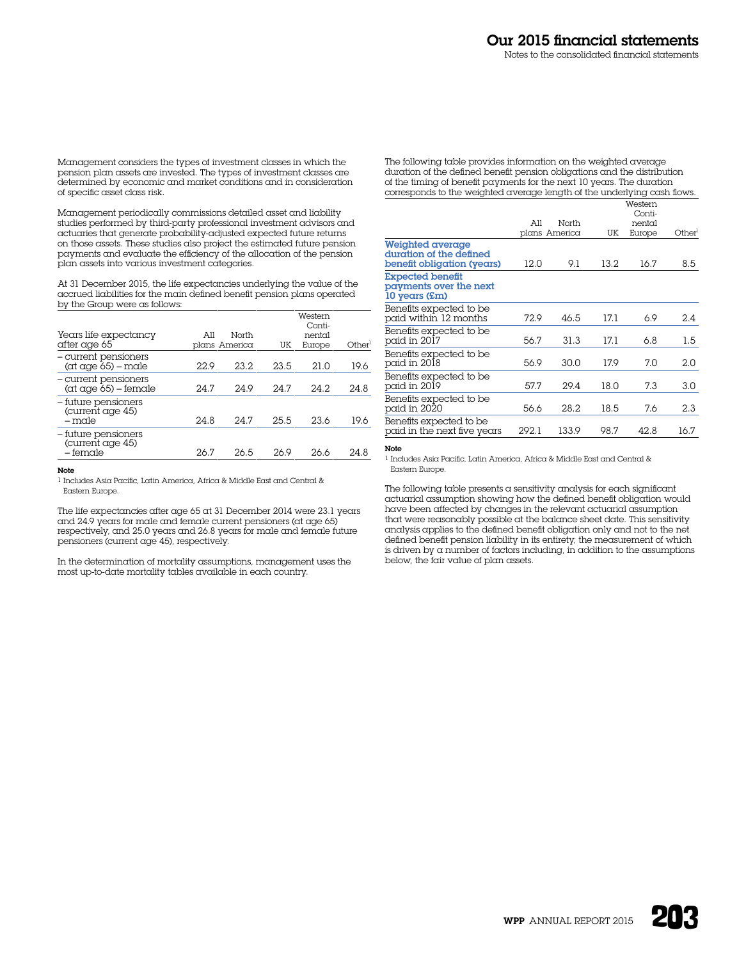Management considers the types of investment classes in which the pension plan assets are invested. The types of investment classes are determined by economic and market conditions and in consideration of specific asset class risk.

Management periodically commissions detailed asset and liability studies performed by third-party professional investment advisors and actuaries that generate probability-adjusted expected future returns on those assets. These studies also project the estimated future pension payments and evaluate the efficiency of the allocation of the pension plan assets into various investment categories.

At 31 December 2015, the life expectancies underlying the value of the accrued liabilities for the main defined benefit pension plans operated by the Group were as follows:

| Years life expectancy<br>after age 65                              | All<br>plans America | North | UK   | Western<br>Conti-<br>nental<br>Europe | Other <sup>1</sup> |
|--------------------------------------------------------------------|----------------------|-------|------|---------------------------------------|--------------------|
| – current pensioners<br>$(\alpha t \alpha q e 65) - \alpha d e$    | 22.9                 | 23.2. | 23.5 | 21.0                                  | 19.6               |
| - current pensioners<br>$(\alpha t \alpha q e 65) - \text{female}$ | 24.7                 | 24.9  | 24.7 | 24.2                                  | 24.8               |
| - future pensioners<br>(current age 45)<br>$-$ male                | 24.8                 | 24.7  | 25.5 | 23.6                                  | 19.6               |
| - future pensioners<br>(current age 45)<br>– female                | 26.7                 | 26.5  | 26.9 | 26.6                                  | 24.8               |

#### Note

1 Includes Asia Pacific, Latin America, Africa & Middle East and Central & Eastern Europe.

The life expectancies after age 65 at 31 December 2014 were 23.1 years and 24.9 years for male and female current pensioners (at age 65) respectively, and 25.0 years and 26.8 years for male and female future pensioners (current age 45), respectively.

In the determination of mortality assumptions, management uses the most up-to-date mortality tables available in each country.

The following table provides information on the weighted average duration of the defined benefit pension obligations and the distribution of the timing of benefit payments for the next 10 years. The duration corresponds to the weighted average length of the underlying cash flows.

|                                                                                  |       | North         |      | Western<br>Conti- |       |
|----------------------------------------------------------------------------------|-------|---------------|------|-------------------|-------|
|                                                                                  | All   | plans America | UK   | nental<br>Europe  | Other |
| <b>Weighted average</b><br>duration of the defined<br>benefit obligation (years) | 12.0  | 9.1           | 13.2 | 16.7              | 8.5   |
| <b>Expected benefit</b><br>payments over the next<br>10 years (£m)               |       |               |      |                   |       |
| Benefits expected to be<br>paid within 12 months                                 | 72.9  | 46.5          | 17.1 | 6.9               | 2.4   |
| Benefits expected to be<br>paid in 2017                                          | 56.7  | 31.3          | 17.1 | 6.8               | 1.5   |
| Benefits expected to be<br>paid in 2018                                          | 56.9  | 30.0          | 17.9 | 7.0               | 2.0   |
| Benefits expected to be<br>paid in 2019                                          | 57.7  | 29.4          | 18.0 | 7.3               | 3.0   |
| Benefits expected to be<br>paid in 2020                                          | 56.6  | 28.2          | 18.5 | 7.6               | 2.3   |
| Benefits expected to be<br>paid in the next five years                           | 292.1 | 133.9         | 98.7 | 42.8              | 16.7  |

# Note

1 Includes Asia Pacific, Latin America, Africa & Middle East and Central & Eastern Europe.

The following table presents a sensitivity analysis for each significant actuarial assumption showing how the defined benefit obligation would have been affected by changes in the relevant actuarial assumption that were reasonably possible at the balance sheet date. This sensitivity analysis applies to the defined benefit obligation only and not to the net defined benefit pension liability in its entirety, the measurement of which is driven by a number of factors including, in addition to the assumptions below, the fair value of plan assets.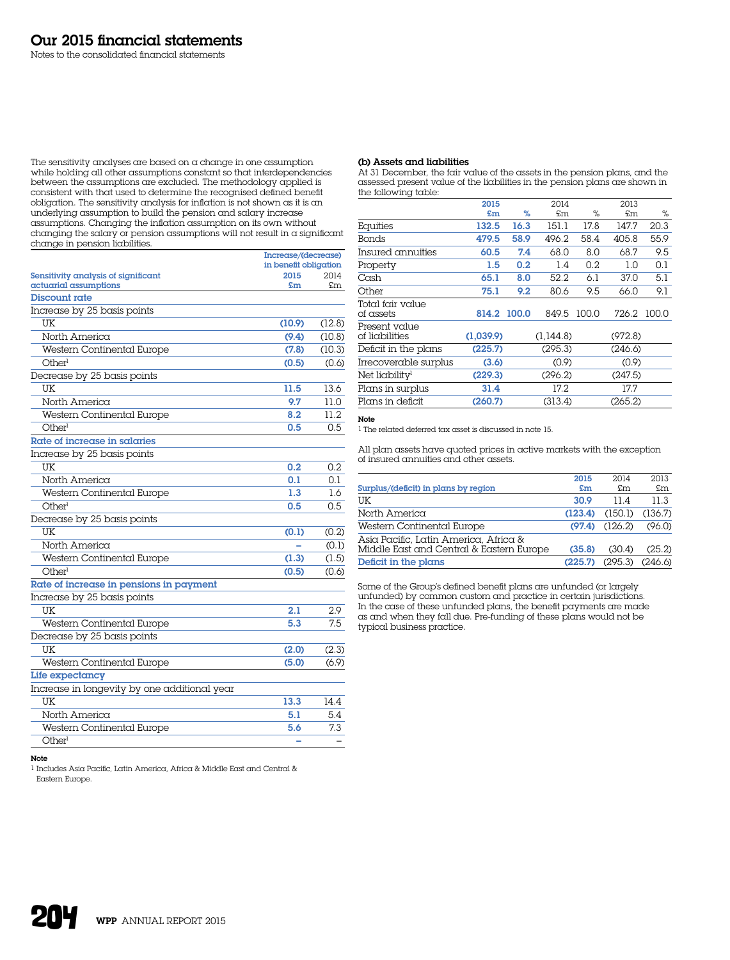The sensitivity analyses are based on a change in one assumption while holding all other assumptions constant so that interdependencies between the assumptions are excluded. The methodology applied is consistent with that used to determine the recognised defined benefit obligation. The sensitivity analysis for inflation is not shown as it is an underlying assumption to build the pension and salary increase assumptions. Changing the inflation assumption on its own without changing the salary or pension assumptions will not result in a significant change in pension liabilities.

|                                              | Increase/(decrease)   |        |
|----------------------------------------------|-----------------------|--------|
|                                              | in benefit obligation |        |
| Sensitivity analysis of significant          | 2015                  | 2014   |
| actuarial assumptions<br>Discount rate       | £m                    | £m     |
|                                              |                       |        |
| Increase by 25 basis points                  |                       |        |
| UK                                           | (10.9)                | (12.8) |
| North America                                | (9.4)                 | (10.8) |
| Western Continental Europe                   | (7.8)                 | (10.3) |
| Otherl                                       | (0.5)                 | (0.6)  |
| Decrease by 25 basis points                  |                       |        |
| UK                                           | 11.5                  | 13.6   |
| North America                                | 9.7                   | 11.0   |
| Western Continental Europe                   | 8.2                   | 11.2.  |
| Otherl                                       | 0.5                   | 0.5    |
| Rate of increase in salaries                 |                       |        |
| Increase by 25 basis points                  |                       |        |
| UK                                           | 0.2                   | 0.2    |
| North America                                | 0.1                   | 0.1    |
| Western Continental Europe                   | 1.3                   | 16     |
| Otherl                                       | 0.5                   | 0.5    |
| Decrease by 25 basis points                  |                       |        |
| UK                                           | (0.1)                 | (0.2)  |
| North America                                |                       | (0.1)  |
| Western Continental Europe                   | (1.3)                 | (1.5)  |
| Other <sup>1</sup>                           | (0.5)                 | (0.6)  |
| Rate of increase in pensions in payment      |                       |        |
| Increase by 25 basis points                  |                       |        |
| UK                                           | 2.1                   | 2.9    |
| Western Continental Europe                   | 5.3                   | 7.5    |
| Decrease by 25 basis points                  |                       |        |
| UK                                           | (2.0)                 | (2.3)  |
| Western Continental Europe                   | (5.0)                 | (6.9)  |
| Life expectancy                              |                       |        |
| Increase in longevity by one additional year |                       |        |
| UK                                           | 13.3                  | 14.4   |
| North America                                | 5.1                   | 5.4    |
| Western Continental Europe                   | 5.6                   | 7.3    |
| Otherl                                       | ۰                     |        |
|                                              |                       |        |

# Note

1 Includes Asia Pacific, Latin America, Africa & Middle East and Central & Eastern Europe.

# (b) Assets and liabilities

At 31 December, the fair value of the assets in the pension plans, and the assessed present value of the liabilities in the pension plans are shown in the following table:

|                                 | 2015      |       | 2014      |       | 2013    |       |
|---------------------------------|-----------|-------|-----------|-------|---------|-------|
|                                 | £m        | %     | £m        | %     | £m      | %     |
| Equities                        | 132.5     | 16.3  | 151.1     | 17.8  | 147.7   | 20.3  |
| <b>Bonds</b>                    | 479.5     | 58.9  | 496.2     | 58.4  | 405.8   | 55.9  |
| Insured annuities               | 60.5      | 7.4   | 68.0      | 8.0   | 68.7    | 9.5   |
| Property                        | 1.5       | 0.2   | 1.4       | 0.2   | 1.0     | 0.1   |
| Cash                            | 65.1      | 8.0   | 52.2      | 6.1   | 37.0    | 5.1   |
| Other                           | 75.1      | 9.2   | 80.6      | 9.5   | 66.0    | 9.1   |
| Total fair value<br>of assets   | 814.2     | 100.0 | 849.5     | 100.0 | 726.2   | 100.0 |
| Present value<br>of liabilities | (1,039.9) |       | (1.144.8) |       | (972.8) |       |
| Deficit in the plans            | (225.7)   |       | (295.3)   |       | (246.6) |       |
| Irrecoverable surplus           | (3.6)     |       | (0.9)     |       | (0.9)   |       |
| Net liability <sup>1</sup>      | (229.3)   |       | (296.2)   |       | (247.5) |       |
| Plans in surplus                | 31.4      |       | 17.2      |       | 17.7    |       |
| Plans in deficit                | (260.7)   |       | (313.4)   |       | (265.2) |       |

# Note

1 The related deferred tax asset is discussed in note 15.

All plan assets have quoted prices in active markets with the exception of insured annuities and other assets.

|                                                                                   | 2015    | 2014    | 2013    |
|-----------------------------------------------------------------------------------|---------|---------|---------|
| Surplus/(deficit) in plans by region                                              | £m      | \$m\$   | £m      |
| UK                                                                                | 30.9    | 11 4    | 11.3    |
| North America                                                                     | (123.4) | (150.1) | (136.7) |
| Western Continental Europe                                                        | (97.4)  | (126.2) | (96.0)  |
| Asia Pacific, Latin America, Africa &<br>Middle East and Central & Eastern Europe | (35.8)  | (30.4)  | (25.2)  |
| Deficit in the plans                                                              | (225.7) | (295.3) | (246.6) |

Some of the Group's defined benefit plans are unfunded (or largely unfunded) by common custom and practice in certain jurisdictions. In the case of these unfunded plans, the benefit payments are made as and when they fall due. Pre-funding of these plans would not be typical business practice.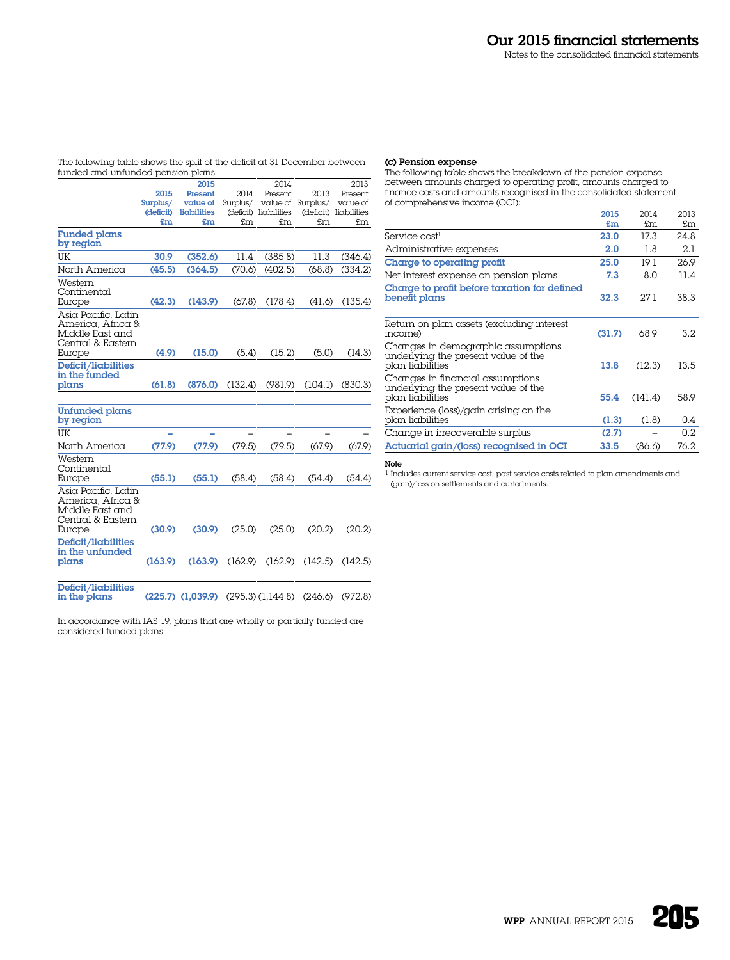The following table shows the split of the deficit at 31 December between funded and unfunded pension plans.

| 2015<br>Surplus/<br>(deficit)<br>£m<br>30.9<br>(45.5)<br>(42.3)<br>(4.9)<br>(61.8) | 2015<br>Present<br>value of<br>liabilities<br>£m<br>(352.6)<br>(364.5)<br>(143.9)<br>(15.0)<br>(876.0) | 2014<br>Surplus/<br>£m<br>11.4<br>(70.6)<br>(67.8)<br>(5.4)<br>(132.4) | 2014<br>Present<br>(deficit) liabilities<br>£m.<br>(385.8)<br>(402.5)<br>(178.4)<br>(15.2)<br>(981.9) | 2013<br>value of Surplus/ value of<br>(deficit) liabilities<br>£m<br>11.3<br>(68.8)<br>(41.6)<br>(5.0)<br>(104.1) | 2013<br>Present<br>£m<br>(346.4)<br>(334.2)<br>(135.4)<br>(14.3)<br>(830.3) |
|------------------------------------------------------------------------------------|--------------------------------------------------------------------------------------------------------|------------------------------------------------------------------------|-------------------------------------------------------------------------------------------------------|-------------------------------------------------------------------------------------------------------------------|-----------------------------------------------------------------------------|
|                                                                                    |                                                                                                        |                                                                        |                                                                                                       |                                                                                                                   |                                                                             |
|                                                                                    |                                                                                                        |                                                                        |                                                                                                       |                                                                                                                   |                                                                             |
|                                                                                    |                                                                                                        |                                                                        |                                                                                                       |                                                                                                                   |                                                                             |
|                                                                                    |                                                                                                        |                                                                        |                                                                                                       |                                                                                                                   |                                                                             |
|                                                                                    |                                                                                                        |                                                                        |                                                                                                       |                                                                                                                   |                                                                             |
|                                                                                    |                                                                                                        |                                                                        |                                                                                                       |                                                                                                                   |                                                                             |
|                                                                                    |                                                                                                        |                                                                        |                                                                                                       |                                                                                                                   |                                                                             |
|                                                                                    |                                                                                                        |                                                                        |                                                                                                       |                                                                                                                   |                                                                             |
|                                                                                    |                                                                                                        |                                                                        |                                                                                                       |                                                                                                                   |                                                                             |
|                                                                                    |                                                                                                        |                                                                        |                                                                                                       |                                                                                                                   |                                                                             |
|                                                                                    |                                                                                                        |                                                                        |                                                                                                       |                                                                                                                   |                                                                             |
|                                                                                    |                                                                                                        |                                                                        |                                                                                                       |                                                                                                                   |                                                                             |
| (77.9)                                                                             | (77.9)                                                                                                 | (79.5)                                                                 | (79.5)                                                                                                | (67.9)                                                                                                            | (67.9)                                                                      |
|                                                                                    | (55.1)                                                                                                 |                                                                        |                                                                                                       | (54.4)                                                                                                            | (54.4)                                                                      |
|                                                                                    | (30.9)                                                                                                 |                                                                        |                                                                                                       | (20.2)                                                                                                            | (20.2)                                                                      |
|                                                                                    | (163.9)                                                                                                |                                                                        |                                                                                                       |                                                                                                                   | (142.5)                                                                     |
|                                                                                    | (55.1)<br>(30.9)<br>(163.9)                                                                            |                                                                        |                                                                                                       | (58.4)<br>(25.0)<br>(162.9)                                                                                       | (58.4)<br>(25.0)<br>(162.9)<br>(142.5)                                      |

in the plans (225.7) (1,039.9) (295.3) (1,144.8) (246.6) (972.8)

In accordance with IAS 19, plans that are wholly or partially funded are considered funded plans.

# (c) Pension expense

The following table shows the breakdown of the pension expense between amounts charged to operating profit, amounts charged to finance costs and amounts recognised in the consolidated statement of comprehensive income (OCI):  $2015$  $2014$ 

|                                                                                               | 2015   | 2014    | 2013 |
|-----------------------------------------------------------------------------------------------|--------|---------|------|
|                                                                                               | £m     | £m      | £m   |
| Service cost <sup>1</sup>                                                                     | 23.0   | 17.3    | 24.8 |
| Administrative expenses                                                                       | 2.0    | 1.8     | 2.1  |
| Charge to operating profit                                                                    | 25.0   | 19.1    | 26.9 |
| Net interest expense on pension plans                                                         | 7.3    | 8.0     | 11.4 |
| Charge to profit before taxation for defined<br>benefit plans                                 | 32.3   | 27.1    | 38.3 |
| Return on plan assets (excluding interest<br>income)                                          | (31.7) | 68.9    | 3.2  |
| Changes in demographic assumptions<br>underlying the present value of the<br>plan liabilities | 13.8   | (12.3)  | 13.5 |
| Changes in financial assumptions<br>underlying the present value of the<br>plan liabilities   | 55.4   | (141.4) | 58.9 |
| Experience (loss)/gain arising on the<br>plan liabilities                                     | (1.3)  | (1.8)   | 0.4  |
| Change in irrecoverable surplus                                                               | (2.7)  |         | 0.2  |
| Actuarial gain/(loss) recognised in OCI                                                       | 33.5   | (86.6)  | 76.2 |

# Note

1 Includes current service cost, past service costs related to plan amendments and (gain)/loss on settlements and curtailments.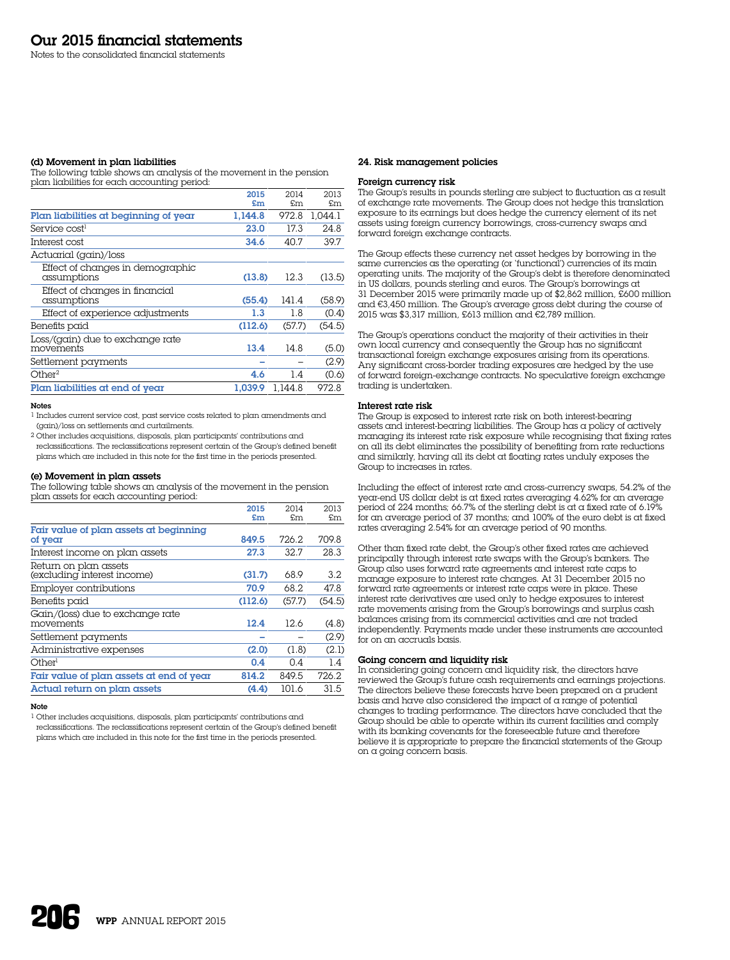#### (d) Movement in plan liabilities

The following table shows an analysis of the movement in the pension plan liabilities for each accounting period:

|                                                 | 2015    | 2014    | 2013    |
|-------------------------------------------------|---------|---------|---------|
|                                                 | £m      | £m      | £m      |
| Plan liabilities at beginning of year           | 1.144.8 | 972.8   | 1.044.1 |
| Service cost <sup>1</sup>                       | 23.0    | 17.3    | 24.8    |
| Interest cost                                   | 34.6    | 40.7    | 39.7    |
| Actuarial (gain)/loss                           |         |         |         |
| Effect of changes in demographic<br>assumptions | (13.8)  | 12.3    | (13.5)  |
| Effect of changes in financial<br>assumptions   | (55.4)  | 141.4   | (58.9)  |
| Effect of experience adjustments                | 1.3     | 1.8     | (0.4)   |
| Benefits paid                                   | (112.6) | (57.7)  | (54.5)  |
| Loss/(gain) due to exchange rate<br>movements   | 13.4    | 14.8    | (5.0)   |
| Settlement payments                             |         |         | (2.9)   |
| Other <sup>2</sup>                              | 4.6     | 1.4     | (0.6)   |
| Plan liabilities at end of year                 | 1.039.9 | 1.144.8 | 972.8   |

#### Notes

1 Includes current service cost, past service costs related to plan amendments and (gain)/loss on settlements and curtailments.

2 Other includes acquisitions, disposals, plan participants' contributions and

reclassifications. The reclassifications represent certain of the Group's defined benefit plans which are included in this note for the first time in the periods presented.

# (e) Movement in plan assets

The following table shows an analysis of the movement in the pension plan assets for each accounting period:

|                                          | 2015    | 2014   | 2013   |
|------------------------------------------|---------|--------|--------|
|                                          | £m      | £m     | £m     |
| Fair value of plan assets at beginning   |         |        |        |
| of year                                  | 849.5   | 726.2  | 709.8  |
| Interest income on plan assets           | 27.3    | 32.7   | 28.3   |
| Return on plan assets                    |         |        |        |
| (excluding interest income)              | (31.7)  | 68.9   | 3.2    |
| Employer contributions                   | 70.9    | 68.2   | 47.8   |
| Benefits paid                            | (112.6) | (57.7) | (54.5) |
| Gain/(loss) due to exchange rate         |         |        |        |
| movements                                | 12.4    | 12.6   | (4.8)  |
| Settlement payments                      |         |        | (2.9)  |
| Administrative expenses                  | (2.0)   | (1.8)  | (2.1)  |
| Other <sup>1</sup>                       | 0.4     | 0.4    | 1.4    |
| Fair value of plan assets at end of year | 814.2   | 849.5  | 726.2  |
| Actual return on plan assets             | (4.4)   | 101.6  | 31.5   |

#### Note

1 Other includes acquisitions, disposals, plan participants' contributions and reclassifications. The reclassifications represent certain of the Group's defined benefit plans which are included in this note for the first time in the periods presented.

### 24. Risk management policies

### Foreign currency risk

The Group's results in pounds sterling are subject to fluctuation as a result of exchange rate movements. The Group does not hedge this translation exposure to its earnings but does hedge the currency element of its net assets using foreign currency borrowings, cross-currency swaps and forward foreign exchange contracts.

The Group effects these currency net asset hedges by borrowing in the same currencies as the operating (or 'functional') currencies of its main operating units. The majority of the Group's debt is therefore denominated in US dollars, pounds sterling and euros. The Group's borrowings at 31 December 2015 were primarily made up of \$2,862 million, £600 million and €3,450 million. The Group's average gross debt during the course of 2015 was \$3,317 million, £613 million and €2,789 million.

The Group's operations conduct the majority of their activities in their own local currency and consequently the Group has no significant transactional foreign exchange exposures arising from its operations. Any significant cross-border trading exposures are hedged by the use of forward foreign-exchange contracts. No speculative foreign exchange trading is undertaken.

#### Interest rate risk

The Group is exposed to interest rate risk on both interest-bearing assets and interest-bearing liabilities. The Group has a policy of actively managing its interest rate risk exposure while recognising that fixing rates on all its debt eliminates the possibility of benefiting from rate reductions and similarly, having all its debt at floating rates unduly exposes the Group to increases in rates.

Including the effect of interest rate and cross-currency swaps, 54.2% of the year-end US dollar debt is at fixed rates averaging 4.62% for an average period of 224 months; 66.7% of the sterling debt is at a fixed rate of 6.19% for an average period of 37 months; and 100% of the euro debt is at fixed rates averaging 2.54% for an average period of 90 months.

Other than fixed rate debt, the Group's other fixed rates are achieved principally through interest rate swaps with the Group's bankers. The Group also uses forward rate agreements and interest rate caps to manage exposure to interest rate changes. At 31 December 2015 no forward rate agreements or interest rate caps were in place. These interest rate derivatives are used only to hedge exposures to interest rate movements arising from the Group's borrowings and surplus cash balances arising from its commercial activities and are not traded independently. Payments made under these instruments are accounted for on an accruals basis.

# Going concern and liquidity risk

In considering going concern and liquidity risk, the directors have reviewed the Group's future cash requirements and earnings projections. The directors believe these forecasts have been prepared on  $\alpha$  prudent basis and have also considered the impact of a range of potential changes to trading performance. The directors have concluded that the Group should be able to operate within its current facilities and comply with its banking covenants for the foreseeable future and therefore believe it is appropriate to prepare the financial statements of the Group on a going concern basis.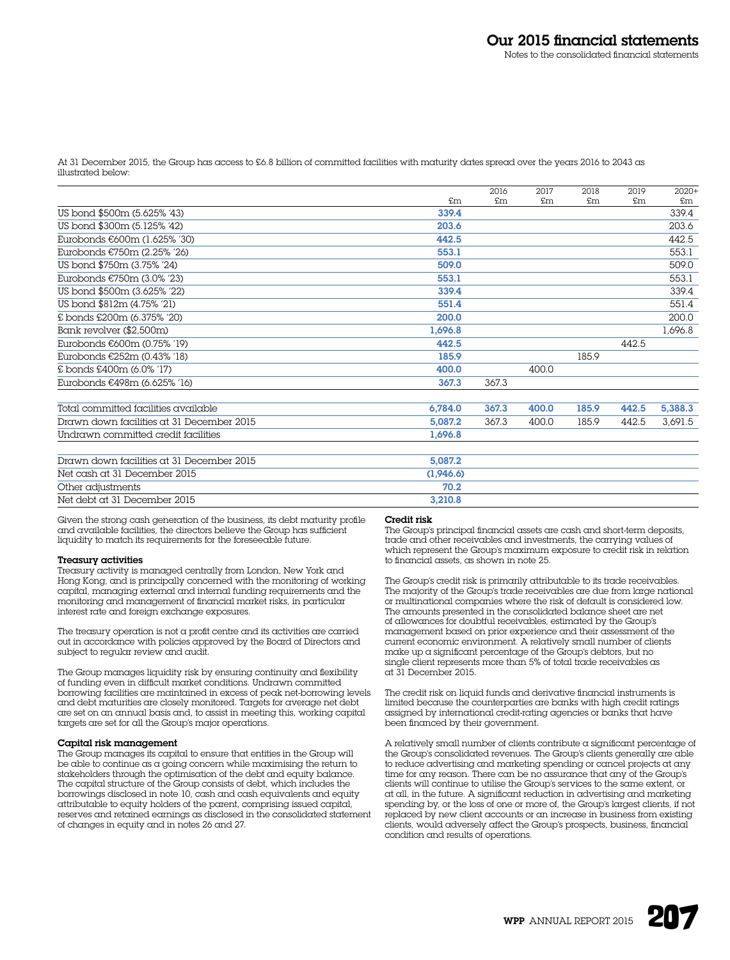At 31 December 2015, the Group has access to £6.8 billion of committed facilities with maturity dates spread over the years 2016 to 2043 as illustrated below:

|                                           |           | 2016           | 2017  | 2018  | 2019           | $2020+$ |
|-------------------------------------------|-----------|----------------|-------|-------|----------------|---------|
|                                           | £m        | $\mathsf{F}$ m | \$m\$ | \$m\$ | $\mathfrak{m}$ | £m.     |
| US bond \$500m (5.625% '43)               | 339.4     |                |       |       |                | 339.4   |
| US bond \$300m (5.125% '42)               | 203.6     |                |       |       |                | 203.6   |
| Eurobonds €600m (1.625% '30)              | 442.5     |                |       |       |                | 442.5   |
| Eurobonds €750m (2.25% '26)               | 553.1     |                |       |       |                | 553.1   |
| US bond \$750m (3.75% '24)                | 509.0     |                |       |       |                | 509.0   |
| Eurobonds €750m (3.0% '23)                | 553.1     |                |       |       |                | 553.1   |
| US bond \$500m (3.625% '22)               | 339.4     |                |       |       |                | 339.4   |
| US bond \$812m (4.75% '21)                | 551.4     |                |       |       |                | 551.4   |
| £ bonds £200m (6.375% '20)                | 200.0     |                |       |       |                | 200.0   |
| Bank revolver (\$2,500m)                  | 1,696.8   |                |       |       |                | 1,696.8 |
| Eurobonds €600m (0.75% '19)               | 442.5     |                |       |       | 442.5          |         |
| Eurobonds €252m (0.43% '18)               | 185.9     |                |       | 185.9 |                |         |
| £ bonds £400m (6.0% '17)                  | 400.0     |                | 400.0 |       |                |         |
| Eurobonds €498m (6.625% '16)              | 367.3     | 367.3          |       |       |                |         |
| Total committed facilities available      | 6,784.0   | 367.3          | 400.0 | 185.9 | 442.5          | 5,388.3 |
| Drawn down facilities at 31 December 2015 | 5,087.2   | 367.3          | 400.0 | 185.9 | 442.5          | 3,691.5 |
| Undrawn committed credit facilities       | 1.696.8   |                |       |       |                |         |
| Drawn down facilities at 31 December 2015 | 5.087.2   |                |       |       |                |         |
| Net cash at 31 December 2015              | (1,946.6) |                |       |       |                |         |
| Other adjustments                         | 70.2      |                |       |       |                |         |
| Net debt at 31 December 2015              | 3,210.8   |                |       |       |                |         |
|                                           |           |                |       |       |                |         |

Given the strong cash generation of the business, its debt maturity profile and available facilities, the directors believe the Group has sufficient liquidity to match its requirements for the foreseeable future.

#### Treasury activities

Treasury activity is managed centrally from London, New York and Hong Kong, and is principally concerned with the monitoring of working capital, managing external and internal funding requirements and the monitoring and management of financial market risks, in particular interest rate and foreign exchange exposures.

The treasury operation is not a profit centre and its activities are carried out in accordance with policies approved by the Board of Directors and subject to regular review and audit.

The Group manages liquidity risk by ensuring continuity and flexibility of funding even in difficult market conditions. Undrawn committed borrowing facilities are maintained in excess of peak net-borrowing levels and debt maturities are closely monitored. Targets for average net debt are set on an annual basis and, to assist in meeting this, working capital targets are set for all the Group's major operations.

# Capital risk management

The Group manages its capital to ensure that entities in the Group will be able to continue as a going concern while maximising the return to stakeholders through the optimisation of the debt and equity balance. The capital structure of the Group consists of debt, which includes the borrowings disclosed in note 10, cash and cash equivalents and equity attributable to equity holders of the parent, comprising issued capital, reserves and retained earnings as disclosed in the consolidated statement of changes in equity and in notes 26 and 27.

### Credit risk

The Group's principal financial assets are cash and short-term deposits, trade and other receivables and investments, the carrying values of which represent the Group's maximum exposure to credit risk in relation to financial assets, as shown in note 25.

The Group's credit risk is primarily attributable to its trade receivables. The majority of the Group's trade receivables are due from large national or multinational companies where the risk of default is considered low. The amounts presented in the consolidated balance sheet are net of allowances for doubtful receivables, estimated by the Group's management based on prior experience and their assessment of the current economic environment. A relatively small number of clients make up a significant percentage of the Group's debtors, but no single client represents more than 5% of total trade receivables as at 31 December 2015.

The credit risk on liquid funds and derivative financial instruments is limited because the counterparties are banks with high credit ratings assigned by international credit-rating agencies or banks that have been financed by their government.

A relatively small number of clients contribute a significant percentage of the Group's consolidated revenues. The Group's clients generally are able to reduce advertising and marketing spending or cancel projects at any time for any reason. There can be no assurance that any of the Group's clients will continue to utilise the Group's services to the same extent, or at all, in the future. A significant reduction in advertising and marketing spending by, or the loss of one or more of, the Group's largest clients, if not replaced by new client accounts or an increase in business from existing clients, would adversely affect the Group's prospects, business, financial condition and results of operations.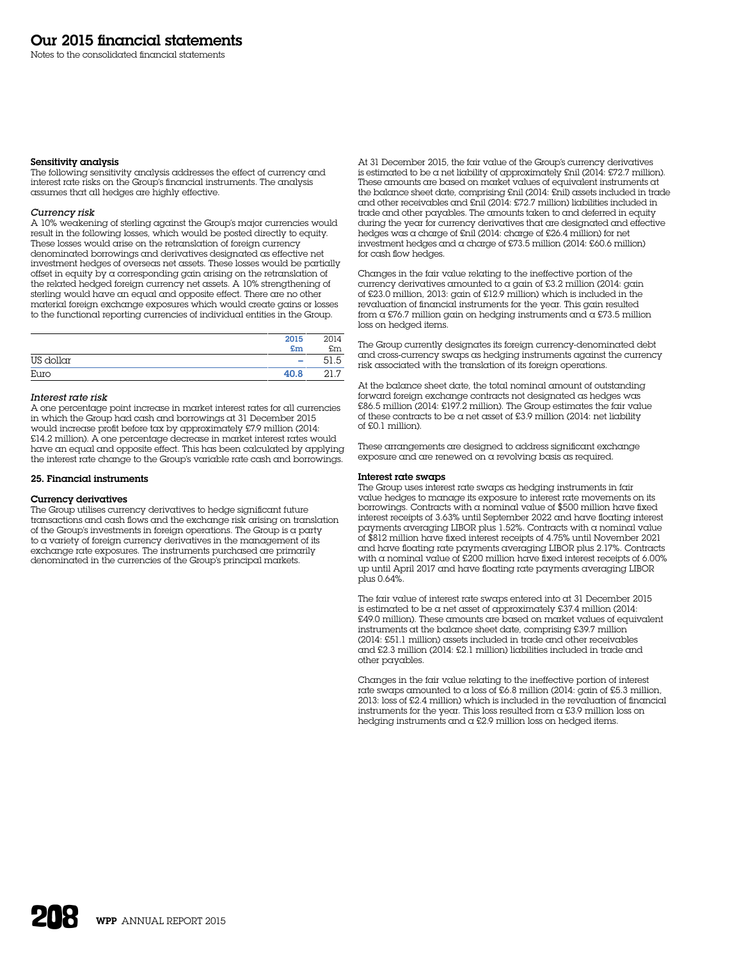Notes to the consolidated financial statements

### Sensitivity analysis

The following sensitivity analysis addresses the effect of currency and interest rate risks on the Group's financial instruments. The analysis assumes that all hedges are highly effective.

# *Currency risk*

A 10% weakening of sterling against the Group's major currencies would result in the following losses, which would be posted directly to equity. These losses would arise on the retranslation of foreign currency denominated borrowings and derivatives designated as effective net investment hedges of overseas net assets. These losses would be partially offset in equity by a corresponding gain arising on the retranslation of the related hedged foreign currency net assets. A 10% strengthening of sterling would have an equal and opposite effect. There are no other material foreign exchange exposures which would create gains or losses to the functional reporting currencies of individual entities in the Group.

|           | 2015<br>£m               | 2014<br>£m |
|-----------|--------------------------|------------|
| US dollar | $\overline{\phantom{a}}$ | .5         |
| Euro      | 40.8                     | 21.7       |

# *Interest rate risk*

A one percentage point increase in market interest rates for all currencies in which the Group had cash and borrowings at 31 December 2015 would increase profit before tax by approximately £7.9 million (2014: £14.2 million). A one percentage decrease in market interest rates would have an equal and opposite effect. This has been calculated by applying the interest rate change to the Group's variable rate cash and borrowings.

#### 25. Financial instruments

#### Currency derivatives

The Group utilises currency derivatives to hedge significant future transactions and cash flows and the exchange risk arising on translation of the Group's investments in foreign operations. The Group is a party to a variety of foreign currency derivatives in the management of its exchange rate exposures. The instruments purchased are primarily denominated in the currencies of the Group's principal markets.

At 31 December 2015, the fair value of the Group's currency derivatives is estimated to be a net liability of approximately £nil (2014: £72.7 million). These amounts are based on market values of equivalent instruments at the balance sheet date, comprising £nil (2014: £nil) assets included in trade and other receivables and £nil (2014: £72.7 million) liabilities included in trade and other payables. The amounts taken to and deferred in equity during the year for currency derivatives that are designated and effective hedges was a charge of £nil (2014: charge of £26.4 million) for net investment hedges and a charge of £73.5 million (2014: £60.6 million) for cash flow hedges.

Changes in the fair value relating to the ineffective portion of the currency derivatives amounted to a gain of £3.2 million (2014: gain of £23.0 million, 2013: gain of £12.9 million) which is included in the revaluation of financial instruments for the year. This gain resulted from a £76.7 million gain on hedging instruments and a £73.5 million loss on hedged items.

The Group currently designates its foreign currency-denominated debt and cross-currency swaps as hedging instruments against the currency risk associated with the translation of its foreign operations.

At the balance sheet date, the total nominal amount of outstanding forward foreign exchange contracts not designated as hedges was £86.5 million (2014: £197.2 million). The Group estimates the fair value of these contracts to be a net asset of £3.9 million (2014: net liability of £0.1 million).

These arrangements are designed to address significant exchange exposure and are renewed on a revolving basis as required.

### Interest rate swaps

The Group uses interest rate swaps as hedging instruments in fair value hedges to manage its exposure to interest rate movements on its borrowings. Contracts with a nominal value of \$500 million have fixed interest receipts of 3.63% until September 2022 and have floating interest payments averaging LIBOR plus 1.52%. Contracts with a nominal value of \$812 million have fixed interest receipts of 4.75% until November 2021 and have floating rate payments averaging LIBOR plus 2.17%. Contracts with a nominal value of £200 million have fixed interest receipts of 6.00% up until April 2017 and have floating rate payments averaging LIBOR plus 0.64%.

The fair value of interest rate swaps entered into at 31 December 2015 is estimated to be a net asset of approximately £37.4 million (2014: £49.0 million). These amounts are based on market values of equivalent instruments at the balance sheet date, comprising £39.7 million (2014: £51.1 million) assets included in trade and other receivables and £2.3 million (2014: £2.1 million) liabilities included in trade and other payables.

Changes in the fair value relating to the ineffective portion of interest rate swaps amounted to a loss of £6.8 million (2014: gain of £5.3 million, 2013: loss of £2.4 million) which is included in the revaluation of financial instruments for the year. This loss resulted from  $\alpha$  £3.9 million loss on hedging instruments and a £2.9 million loss on hedged items.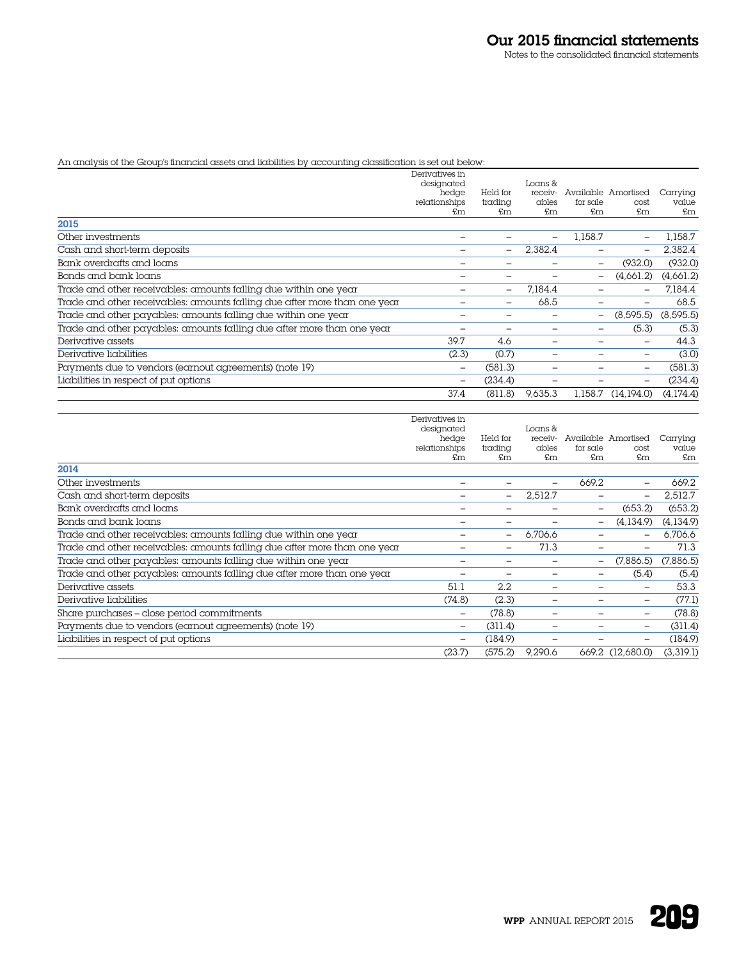# An analysis of the Group's financial assets and liabilities by accounting classification is set out below:

|                                                                           | Derivatives in      |                          |                    |                          |                     |            |
|---------------------------------------------------------------------------|---------------------|--------------------------|--------------------|--------------------------|---------------------|------------|
|                                                                           | designated<br>hedge | Held for                 | Loans &<br>receiv- |                          | Available Amortised | Carrying   |
|                                                                           | relationships       | trading                  | ables              | for sale                 | cost                | value      |
|                                                                           | £m                  | £m                       | £m                 | £m                       | £m                  | £m         |
| 2015                                                                      |                     |                          |                    |                          |                     |            |
| Other investments                                                         |                     |                          |                    | 1.158.7                  |                     | 1,158.7    |
| Cash and short-term deposits                                              |                     | $\overline{\phantom{0}}$ | 2,382.4            |                          |                     | 2,382.4    |
| Bank overdrafts and loans                                                 |                     |                          |                    | -                        | (932.0)             | (932.0)    |
| Bonds and bank loans                                                      |                     |                          |                    | $\overline{\phantom{0}}$ | (4,661.2)           | (4,661.2)  |
| Trade and other receivables: amounts falling due within one year          |                     | $\overline{\phantom{m}}$ | 7.184.4            |                          |                     | 7.184.4    |
| Trade and other receivables: amounts falling due after more than one year |                     | $\overline{\phantom{m}}$ | 68.5               |                          |                     | 68.5       |
| Trade and other payables: amounts falling due within one year             |                     |                          |                    | -                        | (8,595.5)           | (8, 595.5) |
| Trade and other payables: amounts falling due after more than one year    |                     |                          |                    |                          | (5.3)               | (5.3)      |
| Derivative assets                                                         | 39.7                | 4.6                      |                    |                          |                     | 44.3       |
| Derivative liabilities                                                    | (2.3)               | (0.7)                    |                    |                          |                     | (3.0)      |
| Payments due to vendors (earnout agreements) (note 19)                    |                     | (581.3)                  |                    |                          |                     | (581.3)    |
| Liabilities in respect of put options                                     |                     | (234.4)                  |                    |                          |                     | (234.4)    |
|                                                                           | 37.4                | (811.8)                  | 9.635.3            | 1.158.7                  | (14,194.0)          | (4,174.4)  |

|                                                                           | Derivatives in      |                          |             |                          |                          |             |
|---------------------------------------------------------------------------|---------------------|--------------------------|-------------|--------------------------|--------------------------|-------------|
|                                                                           | designated          |                          | Loans &     |                          |                          |             |
|                                                                           | hedge               | Held for                 | receiv-     |                          | Available Amortised      | Carrying    |
|                                                                           | relationships<br>£m | trading<br>£m            | ables<br>£m | for sale<br>£m           | cost<br>£m               | value<br>£m |
| 2014                                                                      |                     |                          |             |                          |                          |             |
| Other investments                                                         |                     |                          |             | 669.2                    |                          | 669.2       |
| Cash and short-term deposits                                              |                     | $\overline{\phantom{m}}$ | 2,512.7     | $\overline{\phantom{0}}$ | $\overline{\phantom{0}}$ | 2,512.7     |
| Bank overdrafts and loans                                                 |                     |                          |             | -                        | (653.2)                  | (653.2)     |
| Bonds and bank loans                                                      |                     |                          |             | -                        | (4,134.9)                | (4,134.9)   |
| Trade and other receivables: amounts falling due within one year          |                     | $\qquad \qquad -$        | 6,706.6     |                          |                          | 6,706.6     |
| Trade and other receivables: amounts falling due after more than one year |                     | $\overline{\phantom{0}}$ | 71.3        | -                        |                          | 71.3        |
| Trade and other payables: amounts falling due within one year             |                     |                          |             | -                        | (7,886.5)                | (7,886.5)   |
| Trade and other payables: amounts falling due after more than one year    |                     |                          |             | -                        | (5.4)                    | (5.4)       |
| Derivative assets                                                         | 51.1                | 2.2                      |             |                          | $\equiv$                 | 53.3        |
| Derivative liabilities                                                    | (74.8)              | (2.3)                    |             |                          | $\overline{\phantom{m}}$ | (77.1)      |
| Share purchases - close period commitments                                | -                   | (78.8)                   |             |                          |                          | (78.8)      |
| Payments due to vendors (earnout agreements) (note 19)                    | -                   | (311.4)                  |             |                          | $\overline{\phantom{a}}$ | (311.4)     |
| Liabilities in respect of put options                                     | -                   | (184.9)                  |             |                          |                          | (184.9)     |
|                                                                           | (23.7)              | (575.2)                  | 9.290.6     |                          | 669.2 (12,680.0)         | (3,319.1)   |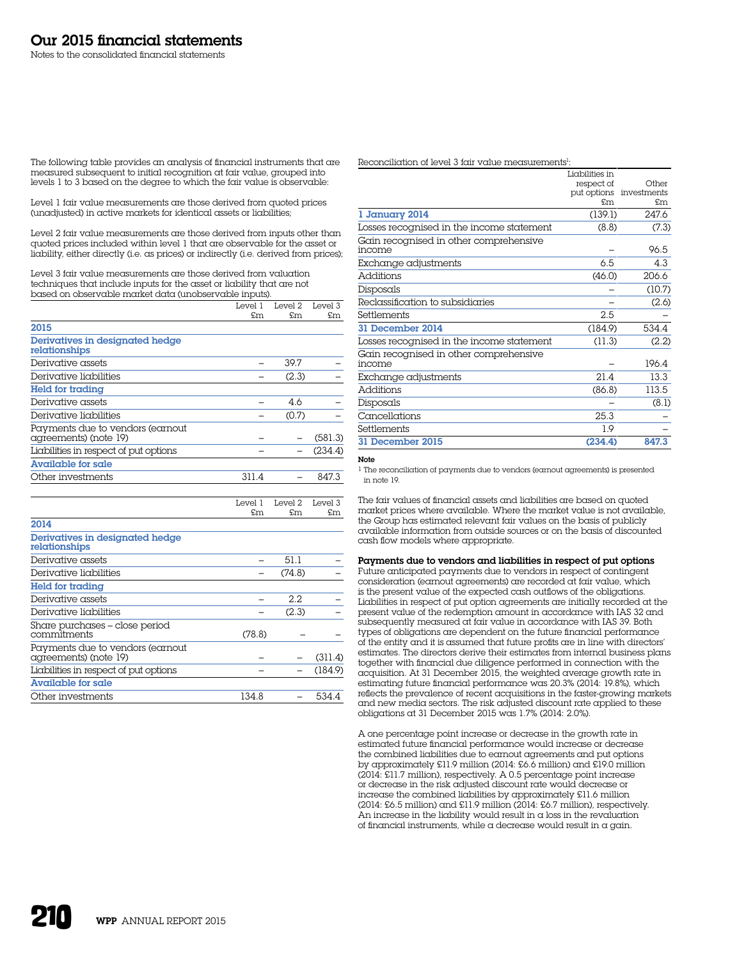The following table provides an analysis of financial instruments that are measured subsequent to initial recognition at fair value, grouped into levels 1 to 3 based on the degree to which the fair value is observable:

Level 1 fair value measurements are those derived from quoted prices (unadjusted) in active markets for identical assets or liabilities;

Level 2 fair value measurements are those derived from inputs other than quoted prices included within level 1 that are observable for the asset or liability, either directly (i.e. as prices) or indirectly (i.e. derived from prices);

Level 3 fair value measurements are those derived from valuation techniques that include inputs for the asset or liability that are not based on observable market data (unobservable inputs).

|                                                           | Level 1 | Level 2 | Level 3 |
|-----------------------------------------------------------|---------|---------|---------|
|                                                           | £m      | £m      | £m      |
| 2015                                                      |         |         |         |
| Derivatives in designated hedge<br>relationships          |         |         |         |
| Derivative assets                                         |         | 39.7    |         |
| Derivative liabilities                                    |         | (2.3)   |         |
| Held for trading                                          |         |         |         |
| Derivative assets                                         |         | 4.6     |         |
| Derivative liabilities                                    |         | (0.7)   |         |
| Payments due to vendors (earnout<br>agreements) (note 19) |         |         | (581.3) |
| Liabilities in respect of put options                     |         |         | (234.4) |
| <b>Available for sale</b>                                 |         |         |         |
| Other investments                                         | 311.4   |         | 847.3   |

|                                                           | Level 1<br>£m | Level 2<br>£m | Level 3<br>£m |
|-----------------------------------------------------------|---------------|---------------|---------------|
| 2014                                                      |               |               |               |
| Derivatives in designated hedge<br>relationships          |               |               |               |
| Derivative assets                                         |               | 51.1          |               |
| Derivative liabilities                                    |               | (74.8)        |               |
| Held for trading                                          |               |               |               |
| Derivative assets                                         |               | 2.2           |               |
| Derivative liabilities                                    |               | (2.3)         |               |
| Share purchases – close period<br>commitments             | (78.8)        |               |               |
| Payments due to vendors (earnout<br>agreements) (note 19) |               |               | (311.4)       |
| Liabilities in respect of put options                     |               |               | (184.9)       |
| <b>Available for sale</b>                                 |               |               |               |
| Other investments                                         | 134.8         |               | 534.4         |

Reconciliation of level 3 fair value measurements<sup>1</sup>:

|                                           | Liabilities in |                         |
|-------------------------------------------|----------------|-------------------------|
|                                           | respect of     | Other                   |
|                                           |                | put options investments |
|                                           | £m             | £m                      |
| 1 January 2014                            | (139.1)        | 247.6                   |
| Losses recognised in the income statement | (8.8)          | (7.3)                   |
| Gain recognised in other comprehensive    |                |                         |
| income                                    |                | 96.5                    |
| Exchange adjustments                      | 6.5            | 4.3                     |
| <b>Additions</b>                          | (46.0)         | 206.6                   |
| Disposals                                 |                | (10.7)                  |
| Reclassification to subsidiaries          |                | (2.6)                   |
| Settlements                               | 2.5            |                         |
| 31 December 2014                          | (184.9)        | 534.4                   |
| Losses recognised in the income statement | (11.3)         | (2.2)                   |
| Gain recognised in other comprehensive    |                |                         |
| income                                    |                | 196.4                   |
| Exchange adjustments                      | 21.4           | 13.3                    |
| <b>Additions</b>                          | (86.8)         | 113.5                   |
| Disposals                                 |                | (8.1)                   |
| Cancellations                             | 25.3           |                         |
| Settlements                               | 1.9            |                         |
| 31 December 2015                          | (234.4)        | 847.3                   |
|                                           |                |                         |

# Note

1 The reconciliation of payments due to vendors (earnout agreements) is presented in note 19.

The fair values of financial assets and liabilities are based on quoted market prices where available. Where the market value is not available, the Group has estimated relevant fair values on the basis of publicly available information from outside sources or on the basis of discounted cash flow models where appropriate.

Payments due to vendors and liabilities in respect of put options Future anticipated payments due to vendors in respect of contingent consideration (earnout agreements) are recorded at fair value, which is the present value of the expected cash outflows of the obligations. Liabilities in respect of put option agreements are initially recorded at the present value of the redemption amount in accordance with IAS 32 and  $\frac{1}{2}$  subsequently measured at fair value in accordance with IAS 39. Both types of obligations are dependent on the future financial performance of the entity and it is assumed that future profits are in line with directors' estimates. The directors derive their estimates from internal business plans together with financial due diligence performed in connection with the acquisition. At 31 December 2015, the weighted average growth rate in estimating future financial performance was 20.3% (2014: 19.8%), which reflects the prevalence of recent acquisitions in the faster-growing markets and new media sectors. The risk adjusted discount rate applied to these obligations at 31 December 2015 was 1.7% (2014: 2.0%).

A one percentage point increase or decrease in the growth rate in estimated future financial performance would increase or decrease the combined liabilities due to earnout agreements and put options by approximately £11.9 million (2014: £6.6 million) and £19.0 million (2014: £11.7 million), respectively. A 0.5 percentage point increase or decrease in the risk adjusted discount rate would decrease or increase the combined liabilities by approximately £11.6 million (2014: £6.5 million) and £11.9 million (2014: £6.7 million), respectively. An increase in the liability would result in a loss in the revaluation of financial instruments, while a decrease would result in a gain.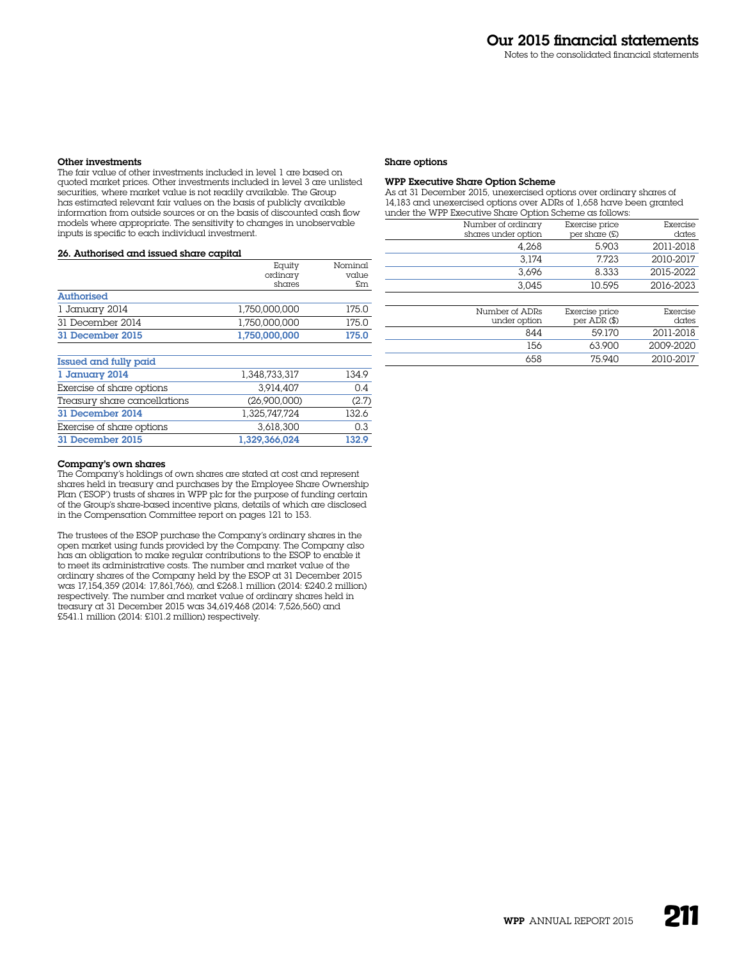# Other investments

The fair value of other investments included in level 1 are based on quoted market prices. Other investments included in level 3 are unlisted securities, where market value is not readily available. The Group has estimated relevant fair values on the basis of publicly available information from outside sources or on the basis of discounted cash flow models where appropriate. The sensitivity to changes in unobservable inputs is specific to each individual investment.

# 26. Authorised and issued share capital

|                              | Equity        | Nominal |
|------------------------------|---------------|---------|
|                              | ordinary      | value   |
|                              | shares        | £m      |
| <b>Authorised</b>            |               |         |
| 1 January 2014               | 1.750.000.000 | 175.0   |
| 31 December 2014             | 1.750.000.000 | 175.0   |
| 31 December 2015             | 1,750,000,000 | 175.0   |
| Issued and fully paid        |               |         |
| 1 January 2014               | 1.348.733.317 | 134.9   |
| Exercise of share options    | 3.914.407     | 0.4     |
| Treasury share cancellations | (26.900.000)  | (2.7)   |
| 31 December 2014             | 1.325.747.724 | 132.6   |
| Exercise of share options    | 3.618.300     | 0.3     |
| 31 December 2015             | 1.329.366.024 | 132.9   |

#### Company's own shares

The Company's holdings of own shares are stated at cost and represent shares held in treasury and purchases by the Employee Share Ownership Plan ('ESOP') trusts of shares in WPP plc for the purpose of funding certain of the Group's share-based incentive plans, details of which are disclosed in the Compensation Committee report on pages 121 to 153.

The trustees of the ESOP purchase the Company's ordinary shares in the open market using funds provided by the Company. The Company also has an obligation to make regular contributions to the ESOP to enable it to meet its administrative costs. The number and market value of the ordinary shares of the Company held by the ESOP at 31 December 2015 was 17,154,359 (2014: 17,861,766), and £268.1 million (2014: £240.2 million) respectively. The number and market value of ordinary shares held in treasury at 31 December 2015 was 34,619,468 (2014: 7,526,560) and £541.1 million (2014: £101.2 million) respectively.

#### Share options

# WPP Executive Share Option Scheme

As at 31 December 2015, unexercised options over ordinary shares of 14,183 and unexercised options over ADRs of 1,658 have been granted under the WPP Executive Share Option Scheme as follows:

| Number of ordinary  | Exercise price  | Exercise  |
|---------------------|-----------------|-----------|
| shares under option | per share $(E)$ | dates     |
| 4.268               | 5.903           | 2011-2018 |
| 3.174               | 7.723           | 2010-2017 |
| 3.696               | 8.333           | 2015-2022 |
| 3.045               | 10.595          | 2016-2023 |

| Number of ADRs | Exercise price | Exercise  |
|----------------|----------------|-----------|
| under option   | per $ADR$ (\$) | dates     |
| 844            | 59170          | 2011-2018 |
| 156            | 63.900         | 2009-2020 |
| 658            | 75 940         | 2010-2017 |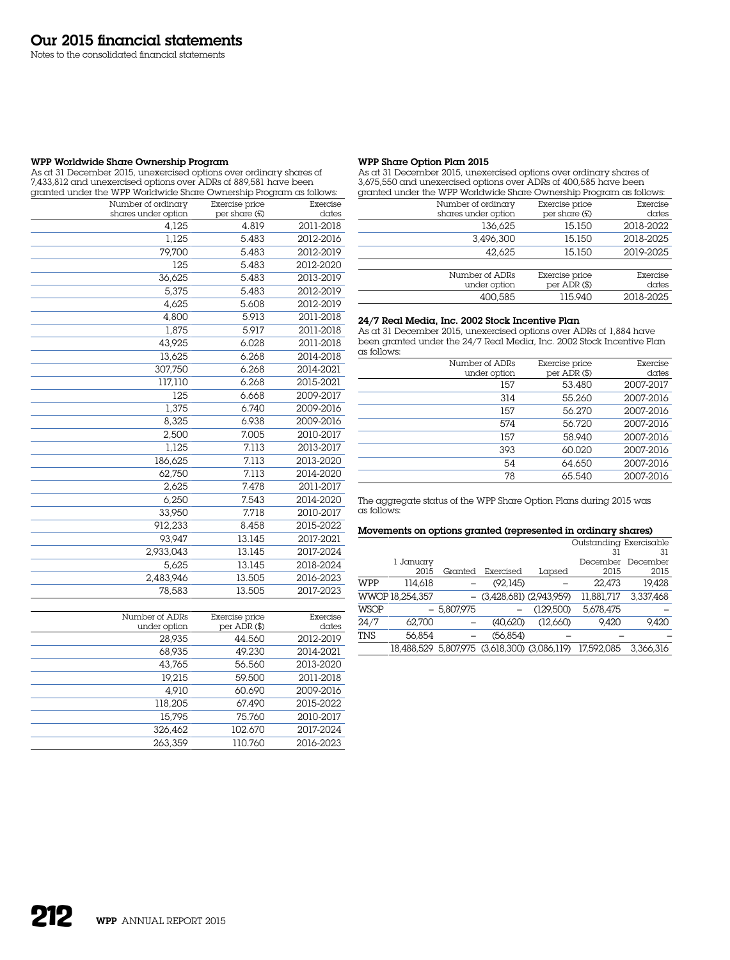Notes to the consolidated financial statements

# WPP Worldwide Share Ownership Program

As at 31 December 2015, unexercised options over ordinary shares of 7,433,812 and unexercised options over ADRs of 889,581 have been granted under the WPP Worldwide Share Ownership Program as follows:

| Number of ordinary  | Exercise price | Exercise  |
|---------------------|----------------|-----------|
| shares under option | per share (£)  | dates     |
| 4,125               | 4.819          | 2011-2018 |
| 1.125               | 5.483          | 2012-2016 |
| 79,700              | 5.483          | 2012-2019 |
| 125                 | 5.483          | 2012-2020 |
| 36,625              | 5.483          | 2013-2019 |
| 5,375               | 5.483          | 2012-2019 |
| 4,625               | 5.608          | 2012-2019 |
| 4,800               | 5.913          | 2011-2018 |
| 1,875               | 5.917          | 2011-2018 |
| 43,925              | 6.028          | 2011-2018 |
| 13,625              | 6.268          | 2014-2018 |
| 307,750             | 6.268          | 2014-2021 |
| 117,110             | 6.268          | 2015-2021 |
| 125                 | 6.668          | 2009-2017 |
| 1,375               | 6.740          | 2009-2016 |
| 8,325               | 6.938          | 2009-2016 |
| 2,500               | 7.005          | 2010-2017 |
| 1,125               | 7.113          | 2013-2017 |
| 186,625             | 7.113          | 2013-2020 |
| 62,750              | 7.113          | 2014-2020 |
| 2,625               | 7.478          | 2011-2017 |
| 6,250               | 7.543          | 2014-2020 |
| 33,950              | 7.718          | 2010-2017 |
| 912,233             | 8.458          | 2015-2022 |
| 93.947              | 13.145         | 2017-2021 |
| 2,933,043           | 13.145         | 2017-2024 |
| 5,625               | 13.145         | 2018-2024 |
| 2,483,946           | 13.505         | 2016-2023 |
| 78,583              | 13.505         | 2017-2023 |
|                     |                |           |

| Exercise<br>dates | Exercise price<br>per $ADR$ $(\$)$ | Number of ADRs<br>under option |
|-------------------|------------------------------------|--------------------------------|
| 2012-2019         | 44.560                             | 28.935                         |
| 2014-2021         | 49.230                             | 68.935                         |
| 2013-2020         | 56.560                             | 43.765                         |
| 2011-2018         | 59.500                             | 19.215                         |
| 2009-2016         | 60.690                             | 4.910                          |
| 2015-2022         | 67.490                             | 118,205                        |
| 2010-2017         | 75.760                             | 15.795                         |
| 2017-2024         | 102.670                            | 326.462                        |
| 2016-2023         | 110.760                            | 263.359                        |
|                   |                                    |                                |

# WPP Share Option Plan 2015

As at 31 December 2015, unexercised options over ordinary shares of 3,675,550 and unexercised options over ADRs of 400,585 have been granted under the WPP Worldwide Share Ownership Program as follows:

| granted under the WPP Worldwide Share Ownership Program as follows: |                  |           |
|---------------------------------------------------------------------|------------------|-----------|
| Number of ordinary                                                  | Exercise price   | Exercise  |
| shares under option                                                 | per share (£)    | dates     |
| 136.625                                                             | 15.150           | 2018-2022 |
| 3,496,300                                                           | 15.150           | 2018-2025 |
| 42.625                                                              | 15.150           | 2019-2025 |
|                                                                     |                  |           |
| Number of ADRs                                                      | Exercise price   | Exercise  |
| under option                                                        | per $ADR$ $(\$)$ | dates     |
| 400.585                                                             | 115.940          | 2018-2025 |
|                                                                     |                  |           |

# 24/7 Real Media, Inc. 2002 Stock Incentive Plan

As at 31 December 2015, unexercised options over ADRs of 1,884 have been granted under the 24/7 Real Media, Inc. 2002 Stock Incentive Plan as follows:

| Number of ADRs<br>under option | Exercise price<br>per $ADR$ $(\$)$ | Exercise<br>dates |
|--------------------------------|------------------------------------|-------------------|
| 157                            | 53.480                             | 2007-2017         |
| 314                            | 55.260                             | 2007-2016         |
| 157                            | 56.270                             | 2007-2016         |
| 574                            | 56.720                             | 2007-2016         |
| 157                            | 58.940                             | 2007-2016         |
| 393                            | 60.020                             | 2007-2016         |
| 54                             | 64.650                             | 2007-2016         |
| 78                             | 65.540                             | 2007-2016         |

The aggregate status of the WPP Share Option Plans during 2015 was as follows:

# Movements on options granted (represented in ordinary shares)

|            |                 |           |                                              |                             | Outstanding Exercisable |           |
|------------|-----------------|-----------|----------------------------------------------|-----------------------------|-------------------------|-----------|
|            | 31              |           |                                              |                             |                         | 31        |
|            | 1 January       |           |                                              |                             | December                | December  |
|            | 2015            | Granted   | Exercised                                    | Lapsed                      | 2015                    | 2015      |
| WPP        | 114.618         |           | (92.145)                                     |                             | 22.473                  | 19.428    |
|            | WWOP 18.254.357 |           |                                              | $(3,428,681)$ $(2,943,959)$ | 11.881.717              | 3,337,468 |
| WSOP       |                 | 5.807.975 |                                              | (129.500)                   | 5,678,475               |           |
| 24/7       | 62.700          |           | (40.620)                                     | (12.660)                    | 9.420                   | 9.420     |
| <b>TNS</b> | 56.854          |           | (56, 854)                                    |                             |                         |           |
|            |                 |           | 18,488,529 5,807,975 (3,618,300) (3,086,119) |                             | 17,592,085              | 3.366.316 |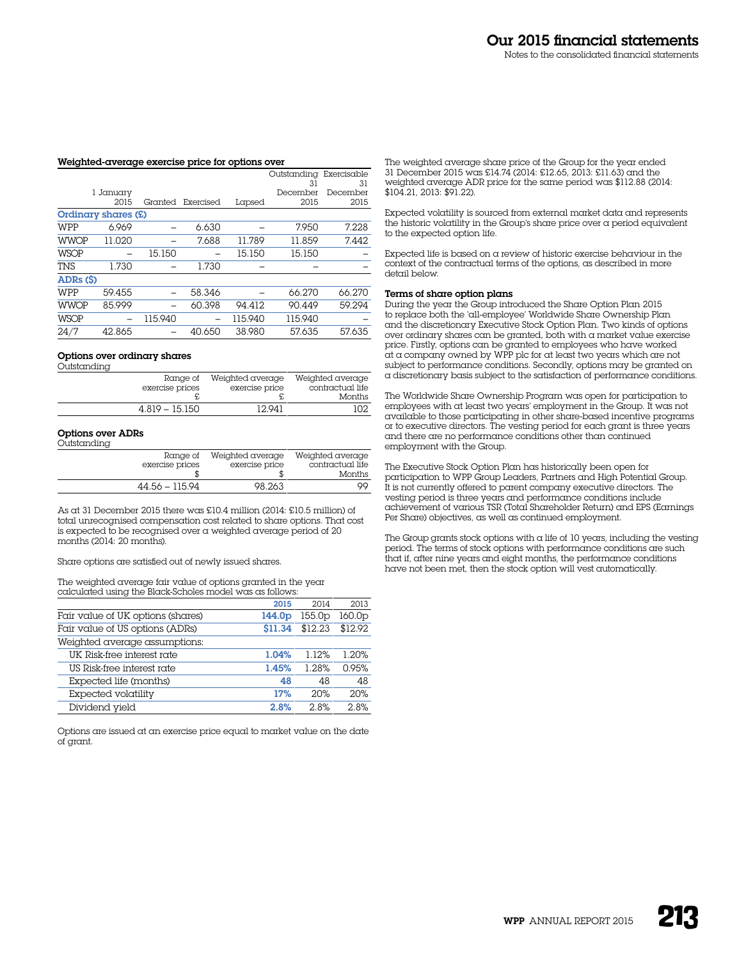#### Weighted-average exercise price for options over

|             |                     |         |           |         | Outstanding | Exercisable |
|-------------|---------------------|---------|-----------|---------|-------------|-------------|
|             |                     |         |           |         | 31          | 31          |
|             | 1 January           |         |           |         | December    | December    |
|             | 2015                | Granted | Exercised | Lapsed  | 2015        | 2015        |
|             | Ordinary shares (£) |         |           |         |             |             |
| WPP         | 6.969               |         | 6.630     |         | 7.950       | 7.228       |
| <b>WWOP</b> | 11.020              |         | 7.688     | 11.789  | 11.859      | 7.442       |
| <b>WSOP</b> |                     | 15.150  |           | 15.150  | 15.150      |             |
| <b>TNS</b>  | 1.730               |         | 1.730     |         |             |             |
| ADRs (\$)   |                     |         |           |         |             |             |
| WPP         | 59.455              |         | 58.346    |         | 66.270      | 66.270      |
| <b>WWOP</b> | 85.999              |         | 60.398    | 94.412  | 90.449      | 59.294      |
| <b>WSOP</b> |                     | 115.940 |           | 115.940 | 115.940     |             |
| 24/7        | 42.865              |         | 40.650    | 38.980  | 57.635      | 57.635      |

#### Options over ordinary shares

| Outstanding |                  |                  |                  |
|-------------|------------------|------------------|------------------|
|             | Range of         | Weighted average | Weighted average |
|             | exercise prices  | exercise price   | contractual life |
|             |                  |                  | Months           |
|             | $4.819 - 15.150$ | 12.941           | 102.             |

### Options over ADRs

| . |                  |                  |                  |
|---|------------------|------------------|------------------|
|   | Ranae of         | Weighted average | Weighted average |
|   | exercise prices  | exercise price   | contractual life |
|   |                  |                  | Months           |
|   | $44.56 - 115.94$ | 98.263           | OO.              |

As at 31 December 2015 there was £10.4 million (2014: £10.5 million) of total unrecognised compensation cost related to share options. That cost is expected to be recognised over a weighted average period of 20 months (2014: 20 months).

Share options are satisfied out of newly issued shares.

The weighted average fair value of options granted in the year calculated using the Black-Scholes model was as follows:

|                                   | 2015               | 2014               | 2013    |
|-----------------------------------|--------------------|--------------------|---------|
| Fair value of UK options (shares) | 144.0 <sub>p</sub> | 155.0 <sub>p</sub> | 160.0p  |
| Fair value of US options (ADRs)   | \$11.34            | \$12.23            | \$12.92 |
| Weighted average assumptions:     |                    |                    |         |
| UK Risk-free interest rate        | 1.04%              | 1.12%              | 1.20%   |
| US Risk-free interest rate        | 1.45%              | 1.28%              | 0.95%   |
| Expected life (months)            | 48                 | 48                 | 48      |
| Expected volatility               | 17%                | 20%                | 20%     |
| Dividend yield                    | 2.8%               | 2.8%               | 2.8%    |

Options are issued at an exercise price equal to market value on the date of grant.

The weighted average share price of the Group for the year ended 31 December 2015 was £14.74 (2014: £12.65, 2013: £11.63) and the weighted average ADR price for the same period was \$112.88 (2014: \$104.21, 2013: \$91.22).

Expected volatility is sourced from external market data and represents the historic volatility in the Group's share price over a period equivalent to the expected option life.

Expected life is based on a review of historic exercise behaviour in the context of the contractual terms of the options, as described in more detail below.

#### Terms of share option plans

During the year the Group introduced the Share Option Plan 2015 to replace both the 'all-employee' Worldwide Share Ownership Plan and the discretionary Executive Stock Option Plan. Two kinds of options over ordinary shares can be granted, both with a market value exercise price. Firstly, options can be granted to employees who have worked at a company owned by WPP plc for at least two years which are not subject to performance conditions. Secondly, options may be granted on a discretionary basis subject to the satisfaction of performance conditions.

The Worldwide Share Ownership Program was open for participation to employees with at least two years' employment in the Group. It was not available to those participating in other share-based incentive programs or to executive directors. The vesting period for each grant is three years and there are no performance conditions other than continued employment with the Group.

The Executive Stock Option Plan has historically been open for participation to WPP Group Leaders, Partners and High Potential Group. It is not currently offered to parent company executive directors. The vesting period is three years and performance conditions include achievement of various TSR (Total Shareholder Return) and EPS (Earnings Per Share) objectives, as well as continued employment.

The Group grants stock options with  $\alpha$  life of 10 years, including the vesting period. The terms of stock options with performance conditions are such that if, after nine years and eight months, the performance conditions have not been met, then the stock option will vest automatically.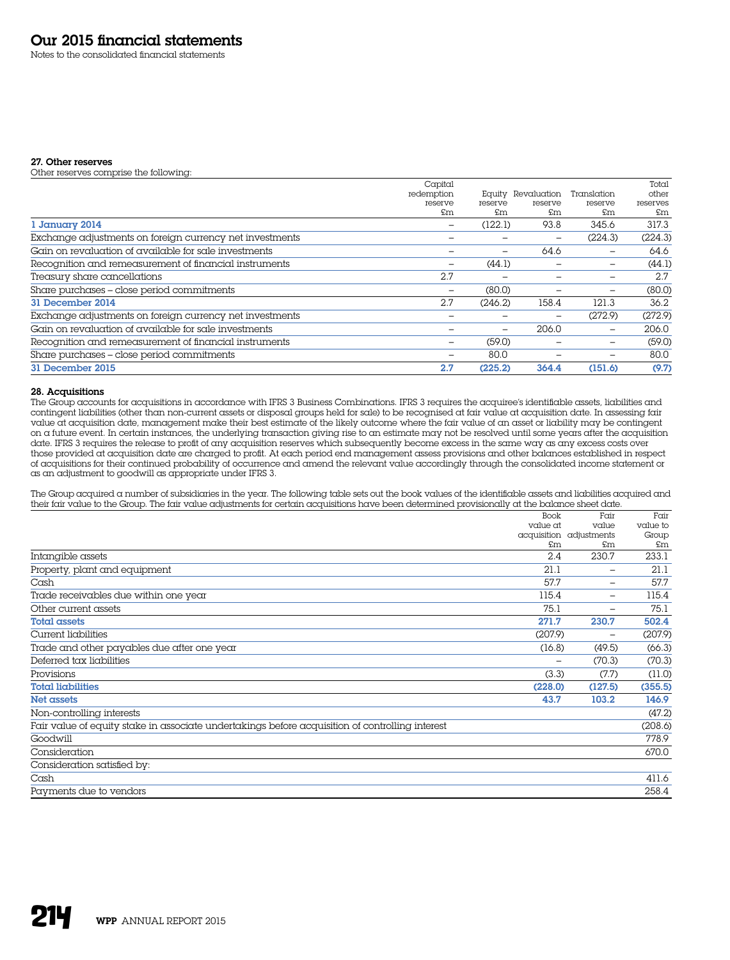Notes to the consolidated financial statements

# 27. Other reserves

Other reserves comprise the following:

|                                                          | Capital                  |         |             |                          | Total    |
|----------------------------------------------------------|--------------------------|---------|-------------|--------------------------|----------|
|                                                          | redemption               | Equity  | Revaluation | Translation              | other    |
|                                                          | reserve                  | reserve | reserve     | reserve                  | reserves |
|                                                          | £m                       | £m      | £m          | £m                       | £m       |
| 1 January 2014                                           |                          | (122.1) | 93.8        | 345.6                    | 317.3    |
| Exchange adjustments on foreign currency net investments |                          |         | -           | (224.3)                  | (224.3)  |
| Gain on revaluation of available for sale investments    |                          |         | 64.6        |                          | 64.6     |
| Recognition and remeasurement of financial instruments   |                          | (44.1)  |             |                          | (44.1)   |
| Treasury share cancellations                             | 2.7                      |         |             |                          | 2.7      |
| Share purchases - close period commitments               | -                        | (80.0)  |             | $\overline{\phantom{0}}$ | (80.0)   |
| 31 December 2014                                         | 2.7                      | (246.2) | 158.4       | 121.3                    | 36.2     |
| Exchange adjustments on foreign currency net investments |                          |         | -           | (272.9)                  | (272.9)  |
| Gain on revaluation of available for sale investments    |                          |         | 206.0       |                          | 206.0    |
| Recognition and remeasurement of financial instruments   | $\overline{\phantom{0}}$ | (59.0)  |             |                          | (59.0)   |
| Share purchases - close period commitments               |                          | 80.0    |             |                          | 80.0     |
| 31 December 2015                                         | 2.7                      | (225.2) | 364.4       | (151.6)                  | (9.7)    |

# 28. Acquisitions

The Group accounts for acquisitions in accordance with IFRS 3 Business Combinations. IFRS 3 requires the acquiree's identifiable assets, liabilities and contingent liabilities (other than non-current assets or disposal groups held for sale) to be recognised at fair value at acquisition date. In assessing fair value at acquisition date, management make their best estimate of the likely outcome where the fair value of an asset or liability may be contingent on a future event. In certain instances, the underlying transaction giving rise to an estimate may not be resolved until some years after the acquisition date. IFRS 3 requires the release to profit of any acquisition reserves which subsequently become excess in the same way as any excess costs over those provided at acquisition date are charged to profit. At each period end management assess provisions and other balances established in respect of acquisitions for their continued probability of occurrence and amend the relevant value accordingly through the consolidated income statement or as an adjustment to goodwill as appropriate under IFRS 3.

The Group acquired a number of subsidiaries in the year. The following table sets out the book values of the identifiable assets and liabilities acquired and their fair value to the Group. The fair value adjustments for certain acquisitions have been determined provisionally at the balance sheet date.

|                                                                                                 | Book           | Fair                     | Fair     |
|-------------------------------------------------------------------------------------------------|----------------|--------------------------|----------|
|                                                                                                 | value at       | value                    | value to |
|                                                                                                 |                | acquisition adjustments  | Group    |
|                                                                                                 | $\mathsf{F}$ m | £m                       | £m       |
| Intangible assets                                                                               | 2.4            | 230.7                    | 233.1    |
| Property, plant and equipment                                                                   | 21.1           |                          | 21.1     |
| Cash                                                                                            | 57.7           | $\overline{\phantom{0}}$ | 57.7     |
| Trade receivables due within one year                                                           | 115.4          | $\overline{\phantom{0}}$ | 115.4    |
| Other current assets                                                                            | 75.1           | $\overline{\phantom{a}}$ | 75.1     |
| <b>Total assets</b>                                                                             | 271.7          | 230.7                    | 502.4    |
| Current liabilities                                                                             | (207.9)        |                          | (207.9)  |
| Trade and other payables due after one year                                                     | (16.8)         | (49.5)                   | (66.3)   |
| Deferred tax liabilities                                                                        |                | (70.3)                   | (70.3)   |
| Provisions                                                                                      | (3.3)          | (7.7)                    | (11.0)   |
| <b>Total liabilities</b>                                                                        | (228.0)        | (127.5)                  | (355.5)  |
| Net assets                                                                                      | 43.7           | 103.2                    | 146.9    |
| Non-controlling interests                                                                       |                |                          | (47.2)   |
| Fair value of equity stake in associate undertakings before acquisition of controlling interest |                |                          | (208.6)  |
| Goodwill                                                                                        |                |                          | 778.9    |
| Consideration                                                                                   |                |                          | 670.0    |
| Consideration satisfied by:                                                                     |                |                          |          |
| Cash                                                                                            |                |                          | 411.6    |
| Payments due to vendors                                                                         |                |                          | 258.4    |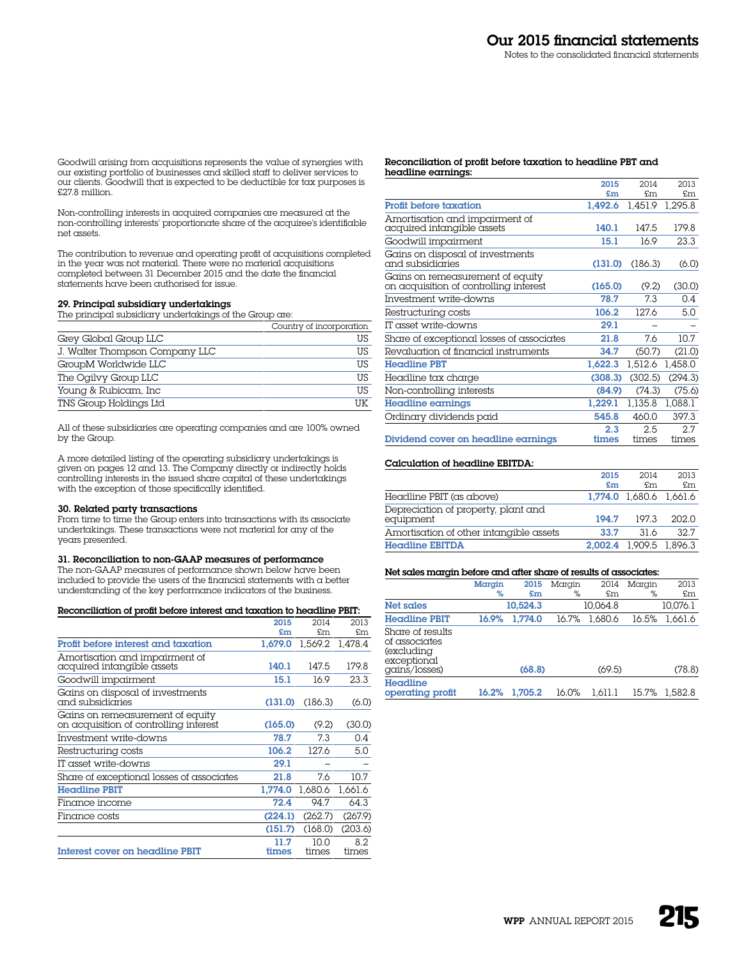Goodwill arising from acquisitions represents the value of synergies with our existing portfolio of businesses and skilled staff to deliver services to our clients. Goodwill that is expected to be deductible for tax purposes is £27.8 million.

Non-controlling interests in acquired companies are measured at the non-controlling interests' proportionate share of the acquiree's identifiable net assets.

The contribution to revenue and operating profit of acquisitions completed in the year was not material. There were no material acquisitions completed between 31 December 2015 and the date the financial statements have been authorised for issue.

#### 29. Principal subsidiary undertakings

The principal subsidiary undertakings of the Group are:

|                                | Country of incorporation |
|--------------------------------|--------------------------|
| Grey Global Group LLC          | US                       |
| J. Walter Thompson Company LLC | US                       |
| GroupM Worldwide LLC           | US                       |
| The Ogilvy Group LLC           | US                       |
| Young & Rubicam, Inc           | US                       |
| TNS Group Holdings Ltd         | TTK                      |

All of these subsidiaries are operating companies and are 100% owned by the Group.

A more detailed listing of the operating subsidiary undertakings is given on pages 12 and 13. The Company directly or indirectly holds controlling interests in the issued share capital of these undertakings with the exception of those specifically identified.

#### 30. Related party transactions

From time to time the Group enters into transactions with its associate undertakings. These transactions were not material for any of the years presented.

#### 31. Reconciliation to non-GAAP measures of performance

The non-GAAP measures of performance shown below have been included to provide the users of the financial statements with a better understanding of the key performance indicators of the business.

#### Reconciliation of profit before interest and taxation to headline PBIT:

|                                                                            | 2015          | 2014          | 2013         |
|----------------------------------------------------------------------------|---------------|---------------|--------------|
|                                                                            | £m            | £m            | £m           |
| Profit before interest and taxation                                        | 1.679.0       | 1.569.2       | 1.478.4      |
| Amortisation and impairment of<br>acquired intangible assets               | 140.1         | 147.5         | 179.8        |
| Goodwill impairment                                                        | 15.1          | 16.9          | 23.3         |
| Gains on disposal of investments<br>and subsidiaries                       | (131.0)       | (186.3)       | (6.0)        |
| Gains on remeasurement of equity<br>on acquisition of controlling interest | (165.0)       | (9.2)         | (30.0)       |
| Investment write-downs                                                     | 78.7          | 7.3           | 0.4          |
| Restructuring costs                                                        | 106.2         | 127.6         | 5.0          |
| IT asset write-downs                                                       | 29.1          |               |              |
| Share of exceptional losses of associates                                  | 21.8          | 7.6           | 10.7         |
| Headline PBIT                                                              | 1,774.0       | 1,680.6       | 1,661.6      |
| Finance income                                                             | 72.4          | 94.7          | 64.3         |
| Finance costs                                                              | (224.1)       | (262.7)       | (267.9)      |
|                                                                            | (151.7)       | (168.0)       | (203.6)      |
| <b>Interest cover on headline PBIT</b>                                     | 11.7<br>times | 10 O<br>times | 8.2<br>times |

#### Reconciliation of profit before taxation to headline PBT and headline earnings:

|                                                                            | 2015         | 2014         | 2013         |
|----------------------------------------------------------------------------|--------------|--------------|--------------|
|                                                                            | £m           | £m           | £m           |
| <b>Profit before taxation</b>                                              | 1.492.6      | 1.451.9      | 1,295.8      |
| Amortisation and impairment of<br>acquired intangible assets               | 140.1        | 147.5        | 179.8        |
| Goodwill impairment                                                        | 15.1         | 16.9         | 23.3         |
| Gains on disposal of investments<br>and subsidiaries                       | (131.0)      | (186.3)      | (6.0)        |
| Gains on remeasurement of equity<br>on acquisition of controlling inferest | (165.0)      | (9.2)        | (30.0)       |
| Investment write-downs                                                     | 78.7         | 7.3          | 0.4          |
| Restructuring costs                                                        | 106.2        | 127.6        | 5.0          |
| IT asset write-downs                                                       | 29.1         |              |              |
| Share of exceptional losses of associates                                  | 21.8         | 7.6          | 10.7         |
| Revaluation of financial instruments                                       | 34.7         | (50.7)       | (21.0)       |
| <b>Headline PBT</b>                                                        | 1,622.3      | 1,512.6      | 1,458.0      |
| Headline tax charge                                                        | (308.3)      | (302.5)      | (294.3)      |
| Non-controlling interests                                                  | (84.9)       | (74.3)       | (75.6)       |
| Headline earnings                                                          | 1,229.1      | 1.135.8      | 1,088.1      |
| Ordinary dividends paid                                                    | 545.8        | 460.0        | 397.3        |
| Dividend cover on headline earnings                                        | 2.3<br>times | 2.5<br>times | 2.7<br>times |

#### Calculation of headline EBITDA:

|                                                  | 2015  | 2014                    | 2013  |
|--------------------------------------------------|-------|-------------------------|-------|
|                                                  | £m    | £m                      | £m.   |
| Headline PBIT (as above)                         |       | 1.774.0 1.680.6 1.661.6 |       |
| Depreciation of property, plant and<br>equipment | 194.7 | 197.3                   | 202.0 |
| Amortisation of other intangible assets          | 33.7  | 31 6                    | 32.7  |
| Headline EBITDA                                  |       | 2.002.4 1.909.5 1.896.3 |       |

# Net sales margin before and after share of results of associates:

|                                                                                 | Margin | 2015     | Margin | 2014     | Margin | 2013     |
|---------------------------------------------------------------------------------|--------|----------|--------|----------|--------|----------|
|                                                                                 | %      | £m       | $\%$   | £m       | %      | £m       |
| Net sales                                                                       |        | 10.524.3 |        | 10.064.8 |        | 10.076.1 |
| <b>Headline PBIT</b>                                                            | 16.9%  | 1.774.0  | 16.7%  | 1.680.6  | 16.5%  | 1.661.6  |
| Share of results<br>of associates<br>(excluding<br>exceptional<br>gains/losses) |        | (68.8)   |        | (69.5)   |        | (78.8)   |
| Headline<br>operating profit                                                    | 16.2%  | 1.705.2  | 16.0%  | 1.611.1  | 15.7%  | 1.582.8  |